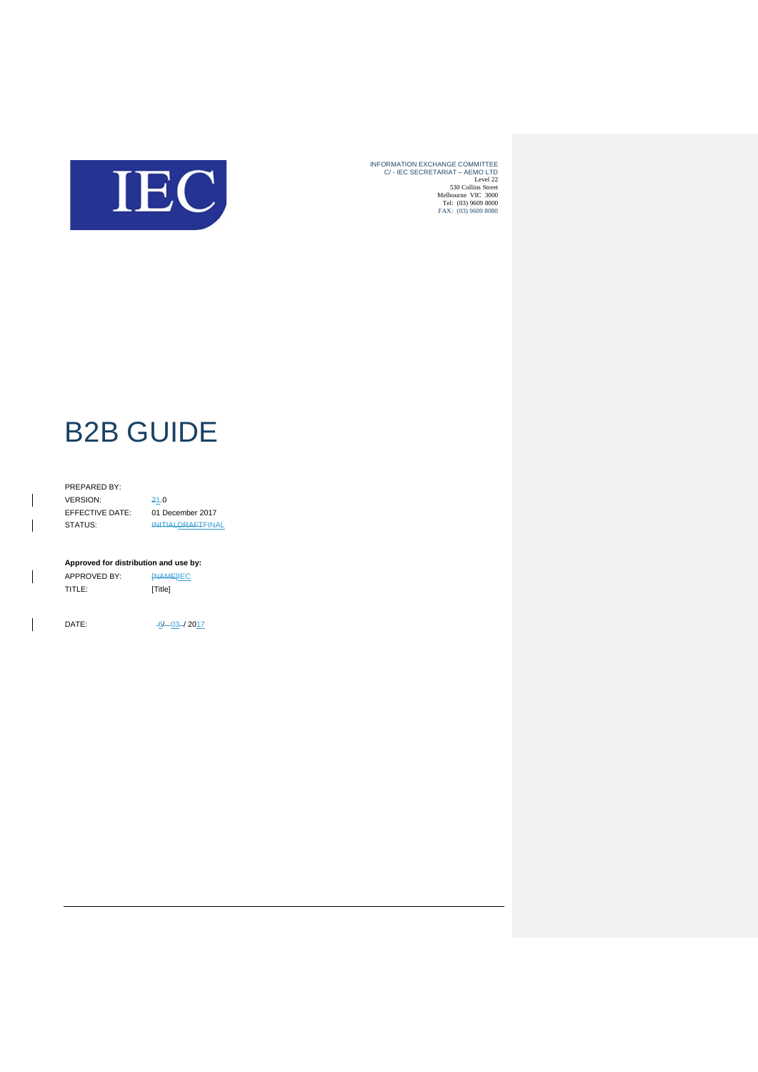

INFORMATION EXCHANGE COMMITTEE<br>
C/ - IEC SECRETARIAT – AEMO LTD<br>
1530 Collins Street<br>
1530 Collins Street<br>
Melbourne VIC 3000<br>
Tel: (03) 9609 8000<br>
FAX: (03) 9609 8008

# B2B GUIDE

| <b>PREPARED BY:</b> |                          |
|---------------------|--------------------------|
| <b>VERSION:</b>     | 21.0                     |
| EFFECTIVE DATE:     | 01 December 2017         |
| STATUS:             | <b>INITIALDRAFTFINAL</b> |
|                     |                          |

# **Approved for distribution and use by:**

| APPROVED BY: | <b>INAME IEC</b> |
|--------------|------------------|
| TITLE:       | [Title]          |

 $\overline{\phantom{a}}$  $\overline{\phantom{a}}$ 

 $\overline{\phantom{a}}$ 

 $\overline{\phantom{a}}$ 

DATE:  $-\frac{6}{9} - \frac{03}{17}$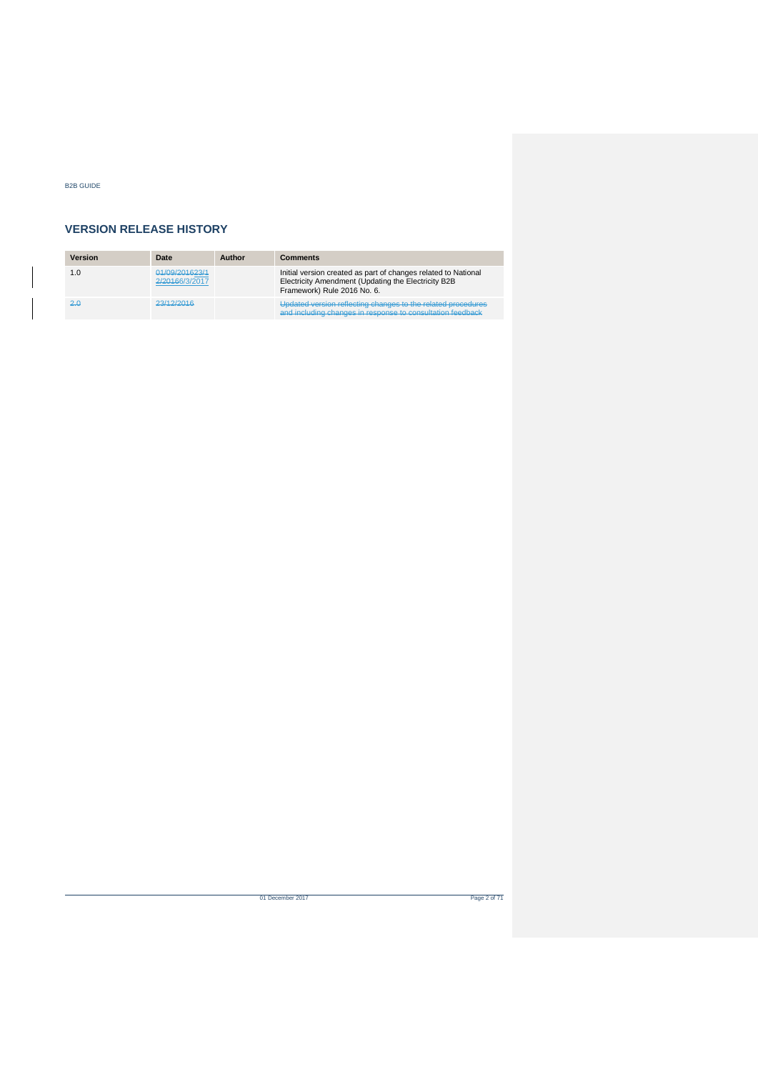# **VERSION RELEASE HISTORY**

| <b>Version</b> | Date                             | Author | <b>Comments</b>                                                                                                                                      |
|----------------|----------------------------------|--------|------------------------------------------------------------------------------------------------------------------------------------------------------|
| 1.0            | 01/09/201623/1<br>2/20166/3/2017 |        | Initial version created as part of changes related to National<br>Electricity Amendment (Updating the Electricity B2B<br>Framework) Rule 2016 No. 6. |
| 2.0            | 23/12/2016                       |        | Updated version reflecting changes to the related procedures<br>and including changes in response to consultation foodback                           |

of December 2017 Page 2 of 71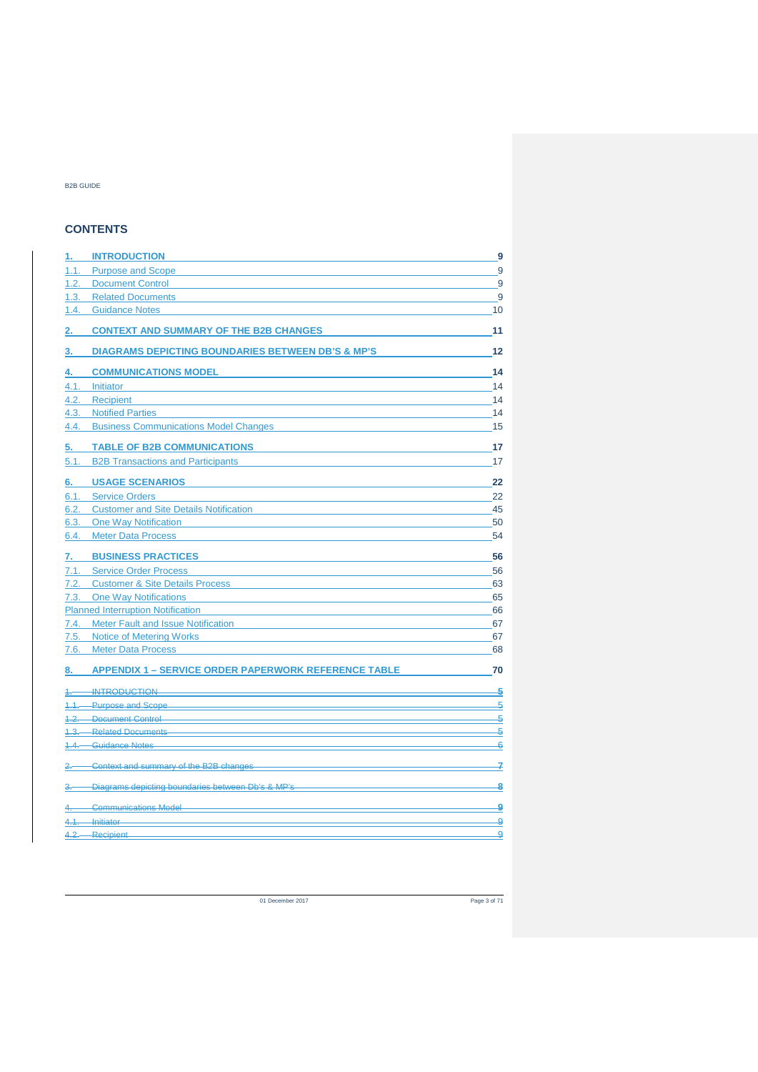# **CONTENTS**

| 1 <u>.</u>   | <b>INTRODUCTION</b>                                          | 9        |
|--------------|--------------------------------------------------------------|----------|
| 1.1.         | <b>Purpose and Scope</b>                                     | 9        |
| 1.2.         | <b>Document Control</b>                                      | 9        |
| 1.3.         | <b>Related Documents</b>                                     | 9        |
| 1.4.         | <b>Guidance Notes</b>                                        | 10       |
| 2.           | <b>CONTEXT AND SUMMARY OF THE B2B CHANGES</b>                | 11       |
| 3.           | <b>DIAGRAMS DEPICTING BOUNDARIES BETWEEN DB'S &amp; MP'S</b> | 12       |
| 4.           | <b>COMMUNICATIONS MODEL</b>                                  | 14       |
| 4.1.         | <b>Initiator</b>                                             | 14       |
| 4.2.         | Recipient                                                    | 14       |
| 4.3.         | <b>Notified Parties</b>                                      | 14       |
| 4.4.         | <b>Business Communications Model Changes</b>                 | 15       |
| 5.           | <b>TABLE OF B2B COMMUNICATIONS</b>                           | 17       |
| 5.1.         | <b>B2B Transactions and Participants</b>                     | 17       |
|              |                                                              |          |
| 6.           | <b>USAGE SCENARIOS</b>                                       | 22       |
| 6.1.         | <b>Service Orders</b>                                        | 22<br>45 |
| 6.2.         | <b>Customer and Site Details Notification</b>                |          |
| 6.3.<br>6.4. | One Way Notification<br><b>Meter Data Process</b>            | 50<br>54 |
|              |                                                              |          |
| 7.           | <b>BUSINESS PRACTICES</b>                                    | 56       |
| 7.1.         | <b>Service Order Process</b>                                 | 56       |
| 7.2.         | <b>Customer &amp; Site Details Process</b>                   | 63       |
| 7.3.         | <b>One Way Notifications</b>                                 | 65       |
|              | <b>Planned Interruption Notification</b>                     | 66       |
| 7.4.         | <b>Meter Fault and Issue Notification</b>                    | 67       |
| 7.5.         | <b>Notice of Metering Works</b>                              | 67       |
|              | 7.6. Meter Data Process                                      | 68       |
| 8. .         | <b>APPENDIX 1 – SERVICE ORDER PAPERWORK REFERENCE TABLE</b>  | 70       |
| 4.-          | -INTRODUCTION-                                               | 5        |
|              | 1.1. Purpose and Scope-                                      | -5       |
| $4.2. -$     | -Document Control                                            | 5        |
| 4.3.         | <b>Related Documents</b>                                     | 5        |
| 4.4.         | <b>Guidance Notes</b>                                        | -6       |
|              | -Context and summary of the B2B changes-                     | 7        |
|              | Diagrams depicting boundaries between Db's & MP's            | 8        |
| 4.           | <b>Communications Model</b>                                  | 9        |
| $4.1 -$      | -Initiator                                                   | 9        |
| 4.2          | Recipient                                                    | 9        |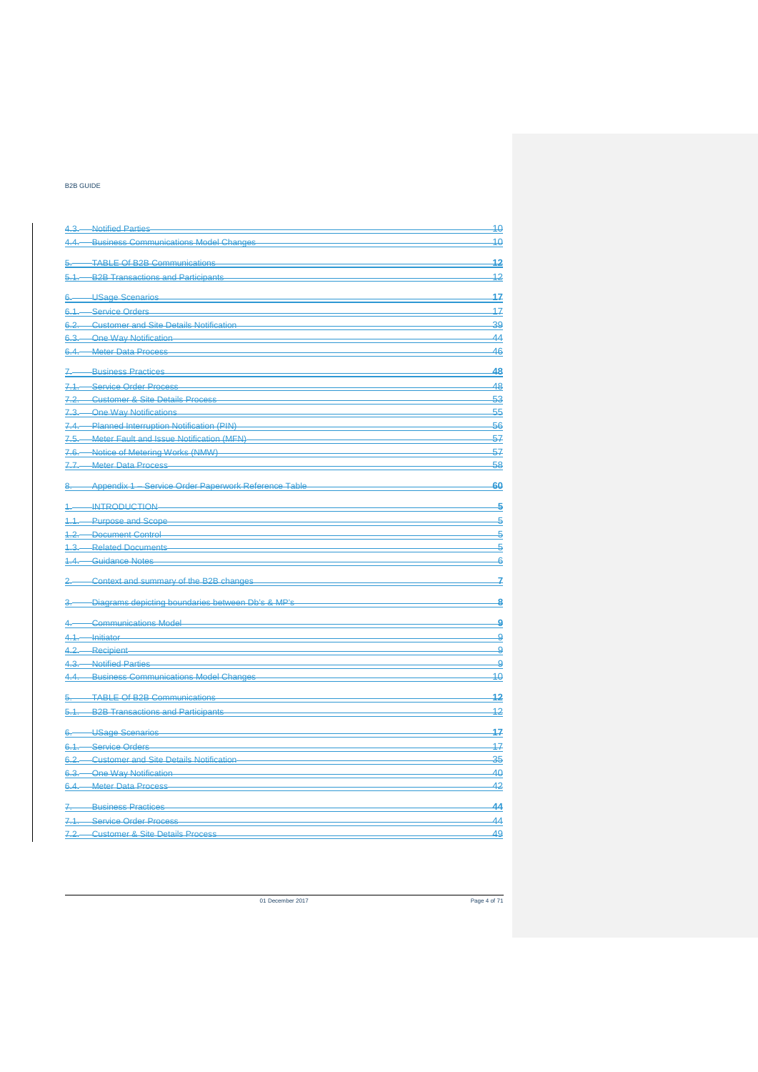|              | 4.3. Notified Parties                                | 10             |
|--------------|------------------------------------------------------|----------------|
| 4.4          | <b>Business Communications Model Changes</b>         | 10             |
| 5.           | <b>TABLE Of B2B Communications</b>                   | 12             |
| 5.1.         | <b>B2B Transactions and Participants</b>             | 12             |
|              |                                                      |                |
| -ء6          | <b>USage Scenarios</b>                               | 17             |
| 6.1.         | Service Orders-                                      | 17             |
| 6.2.         | <b>Customer and Site Details Notification</b>        | 39             |
| 6.3.         | One Way Notification-                                | 44             |
| 6.4.         | <b>Meter Data Process</b>                            | 46             |
| 7.           | <b>Business Practices</b>                            | 48             |
| 7.1.         | <b>Service Order Process</b>                         | 48             |
| 7.2.         | <b>Customer &amp; Site Details Process</b>           | 53             |
| 7.3.         | One Way Notifications-                               | 55             |
| 7.4.         | <b>Planned Interruption Notification (PIN)</b>       | 56             |
| 7.5.         | Meter Fault and Issue Notification (MFN)             | 57             |
| 7.6.         | Notice of Metering Works (NMW)                       | 57             |
| <u>7.7.</u>  | <b>Meter Data Process</b>                            | <u>58</u>      |
| <u>s.</u>    | Appendix 1 – Service Order Paperwork Reference Table | 60             |
| 4.           | <b>INTRODUCTION</b>                                  | 5              |
| 4.1.         | <b>Purpose and Scope</b>                             | 5              |
| <u>1.2.</u>  | Document Control                                     | 5              |
| 4.3.         | <b>Related Documents</b>                             | 5              |
| <u>1.4</u>   | Guidance Notes-                                      | 6              |
|              | -Context and summary of the B2B changes              | 7              |
| <u>3.</u>    | Diagrams depicting boundaries between Db's & MP's    | 8              |
| -ب4          | <b>Communications Model-</b>                         | 9              |
| 4.1          | Initiator                                            | $\overline{9}$ |
| 4.2.         | Recipient-                                           | $\overline{9}$ |
| 4.3.         | <b>Notified Parties-</b>                             | -9             |
| <u>4.4.</u>  | <b>Business Communications Model Changes</b>         | 10             |
| 5.-          | <b>TABLE Of B2B Communications</b>                   | $^{42}$        |
| 5.1.         | <b>B2B Transactions and Participants</b>             | $^{12}$        |
|              |                                                      |                |
| ب6<br>6.1.   | USage Scenarios<br><b>Service Orders-</b>            | 47<br>17       |
| 6.2.         | <b>Customer and Site Details Notification</b>        | 35             |
|              | One Way Notification-                                | 40             |
| 6.3.<br>6.4. | <b>Meter Data Process</b>                            | 42             |
|              |                                                      |                |
| 7.-          | <b>Business Practices</b>                            | 44             |
| 7.1.-        | <b>Service Order Process</b>                         | 44             |
| 7.2.         | <b>Customer &amp; Site Details Process</b>           | 49             |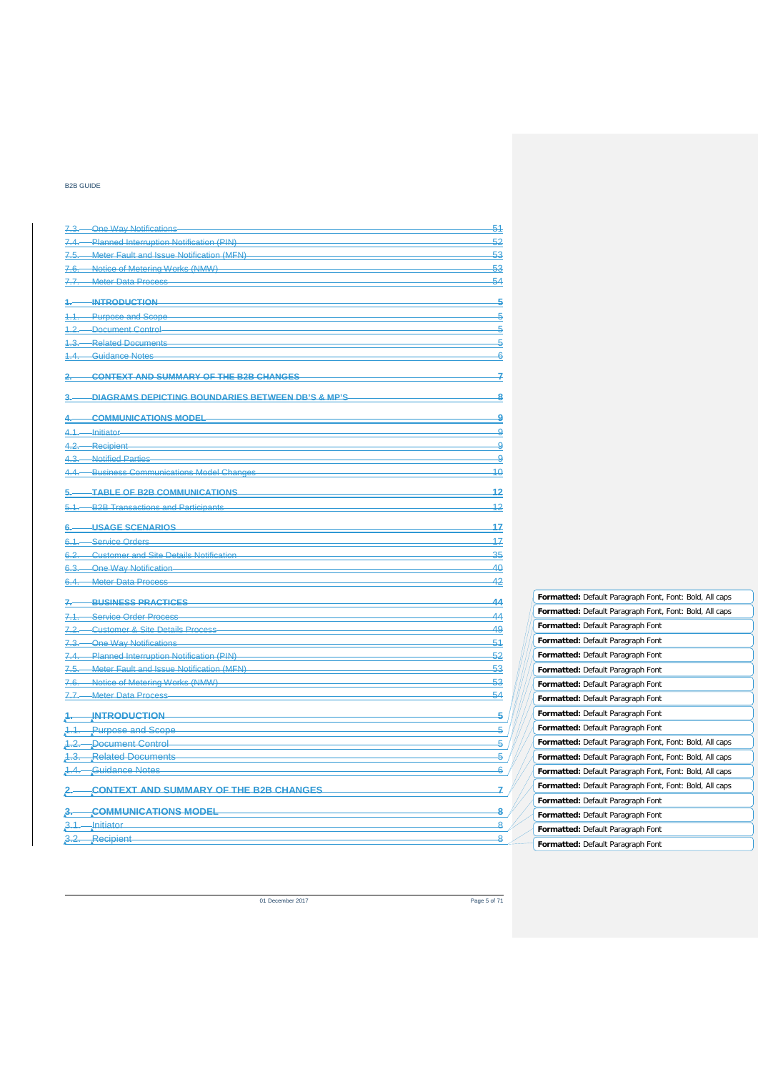|             | 7.3. One Way Notifications                                      | -51    |            |
|-------------|-----------------------------------------------------------------|--------|------------|
|             | 7.4. Planned Interruption Notification (PIN)                    | 52     |            |
|             | 7.5. Meter Fault and Issue Notification (MFN)                   | 53     |            |
|             | 7.6. Notice of Metering Works (NMW)                             | 53     |            |
|             | 7.7. Meter Data Process                                         | $-54$  |            |
| $1 -$       | -INTRODUCTION                                                   | 5      |            |
| $4.1 -$     | -Purpose and Scope                                              | -5     |            |
|             | 1.2. Document Control                                           | -5     |            |
|             | 1.3. Related Documents                                          | -5     |            |
|             | 1.4. Guidance Notes                                             | -6     |            |
|             |                                                                 |        |            |
|             | 2. CONTEXT AND SUMMARY OF THE B2B CHANGES                       | 7      |            |
|             | <u>3. DIAGRAMS DEPICTING BOUNDARIES BETWEEN DB'S &amp; MP'S</u> | -8     |            |
|             | 4.-COMMUNICATIONS MODEL                                         | 9      |            |
| $4.1 -$     | -Initiator                                                      | 9      |            |
|             | 4.2. Recipient                                                  | 9      |            |
|             | 4.3. Notified Parties                                           | -9     |            |
|             | 4.4. Business Communications Model Changes                      | 40     |            |
|             |                                                                 |        |            |
| 5.—         | -TABLE OF B2B COMMUNICATIONS-                                   | $-12$  |            |
| $5.1 -$     | -B2B Transactions and Participants-                             | 12     |            |
|             | 6. USAGE SCENARIOS                                              | -17    |            |
|             | 6.1. Service Orders                                             | $-17$  |            |
|             | 6.2. Customer and Site Details Notification                     | -35    |            |
|             | 6.3. One Way Notification                                       | -40    |            |
| 6.4.-       | Meter Data Process                                              | 42     |            |
| $7 -$       | —BUSINESS PRACTICES—                                            | 44     | For        |
| $7.1 -$     | Service Order Process                                           | 44     | For        |
|             | 7.2. Customer & Site Details Process                            | 49     | For        |
|             | 7.3. One Way Notifications                                      | $-54$  | For        |
| 7.4.-       | -Planned Interruption Notification (PIN)-                       | 52     | For        |
|             | 7.5.- Meter Fault and Issue Notification (MFN)                  | 53     | For        |
|             | 7.6. Notice of Metering Works (NMW)                             | 53     | For        |
|             | 7.7. Meter Data Process-                                        | 54     |            |
|             |                                                                 |        | For<br>For |
|             | 1. NTRODUCTION                                                  | 5      | For        |
|             | 1.1.—Purpose and Scope—                                         | 5      | For        |
|             | 1.2. Document Control                                           | 5      |            |
|             | 1.3. Related Documents                                          | 5<br>6 | For        |
|             | 1.4. Guidance Notes                                             |        | For        |
| <u>2. —</u> | <del>CONTEXT AND SUMMARY OF THE B2B CHANGES.</del>              | 7      | For        |
|             | 3. COMMUNICATIONS MODEL                                         | 8      | For        |
|             |                                                                 | 8      | For        |
|             | 3.1.—Initiator<br>3.2. Recipient                                | ዳ      | For        |
|             |                                                                 |        |            |

| Formatted: Default Paragraph Font, Font: Bold, All caps |
|---------------------------------------------------------|
| Formatted: Default Paragraph Font, Font: Bold, All caps |
| Formatted: Default Paragraph Font                       |
| Formatted: Default Paragraph Font                       |
| Formatted: Default Paragraph Font                       |
| Formatted: Default Paragraph Font                       |
| Formatted: Default Paragraph Font                       |
| Formatted: Default Paragraph Font                       |
| Formatted: Default Paragraph Font                       |
| Formatted: Default Paragraph Font                       |
| Formatted: Default Paragraph Font, Font: Bold, All caps |
| Formatted: Default Paragraph Font, Font: Bold, All caps |
| Formatted: Default Paragraph Font, Font: Bold, All caps |
| Formatted: Default Paragraph Font, Font: Bold, All caps |
| Formatted: Default Paragraph Font                       |
| Formatted: Default Paragraph Font                       |
| Formatted: Default Paragraph Font                       |
| Formatted: Default Paragraph Font                       |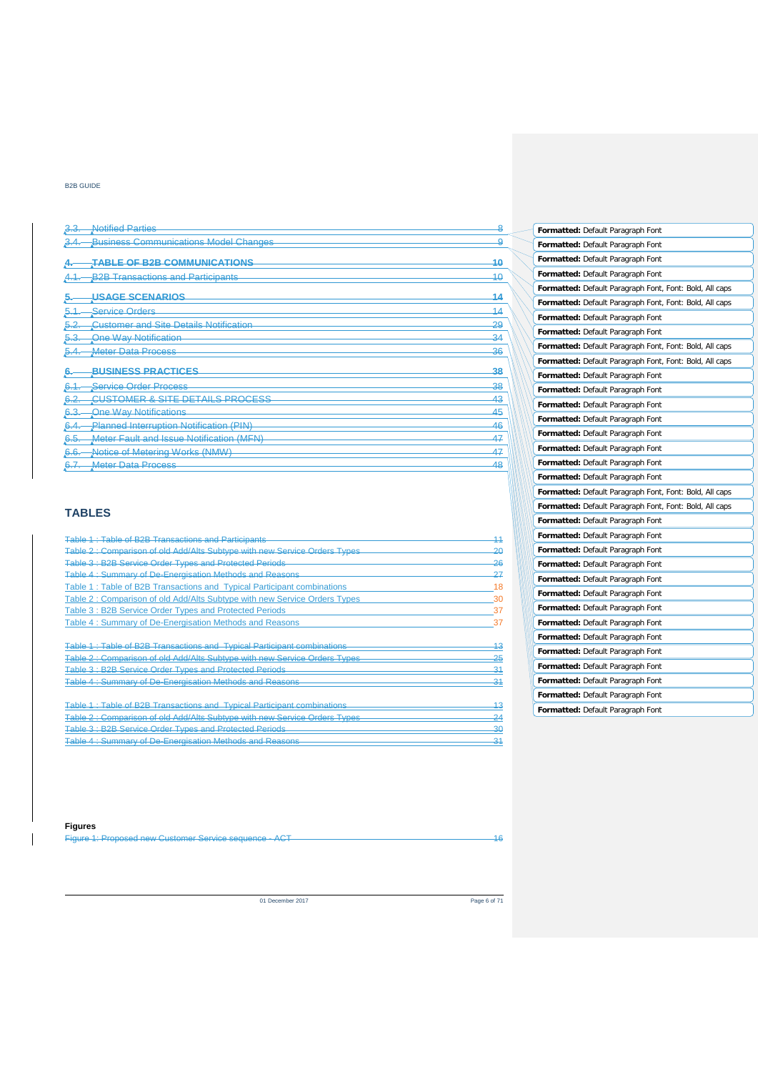| 3.3.         | <b>Notified Parties</b>                         | 8   |
|--------------|-------------------------------------------------|-----|
| <u>3.4.</u>  | Business Communications Model Changes           | 9   |
| д.,          | TABLE OF B2B COMMUNICATIONS                     | 40  |
| A.1.         | <b>B2B Transactions and Participants</b>        | 40  |
| ,            | USAGE SCENARIOS                                 | 14  |
| 5.1          | <b>Service Orders</b>                           | 14  |
| 5.2.         | <b>Customer and Site Details Notification</b>   | -29 |
| 5.3.         | <b>One Way Notification</b>                     | 34  |
| 5.4.         | Meter Data Process                              | 36  |
| 6.           | <b>BUSINESS PRACTICES</b>                       | 38  |
| ,6.1         | <b>Service Order Process</b>                    | 38  |
| 6.2.         | <u>CUSTOMER &amp; SITE DETAILS PROCESS</u>      | 43  |
| 6.3.         | <b>One Way Notifications</b>                    | 45  |
| <u>,6.4.</u> | Planned Interruption Notification (PIN)         | 46  |
| 6.5.         | <b>Meter Fault and Issue Notification (MFN)</b> | 47  |
| 6.6.         | Notice of Metering Works (NMW)                  | 47  |
| 6.7.         | <b>Meter Data Process</b>                       | 48  |

# **TABLES**

| Table 1 : Table of B2B Transactions and Participants                           | 11 |
|--------------------------------------------------------------------------------|----|
| Table 2 : Comparison of old Add/Alts Subtype with new Service Orders Types     | 20 |
| <b>Table 3: B2B Service Order Types and Protected Periods</b>                  | 26 |
| Table 4 : Summary of De-Energisation Methods and Reasons                       | 27 |
| Table 1: Table of B2B Transactions and Typical Participant combinations        | 18 |
| Table 2: Comparison of old Add/Alts Subtype with new Service Orders Types      | 30 |
| Table 3: B2B Service Order Types and Protected Periods                         | 37 |
| Table 4: Summary of De-Energisation Methods and Reasons                        | 37 |
|                                                                                |    |
| Table 1 : Table of B2B Transactions and Typical Participant combinations       | 13 |
| Table 2 : Comparison of old Add/Alts Subtype with new Service Orders Types     | 25 |
| <b>Table 3: B2B Service Order Types and Protected Periods</b>                  | 31 |
| <b>Table 4: Summary of De-Energisation Methods and Reasons</b>                 | 31 |
|                                                                                | 19 |
| <b>Table 1: Table of B2B Transactions and Typical Participant combinations</b> | ਢ  |
| Table 2 : Comparison of old Add/Alts Subtype with new Service Orders Types     | 24 |

Table 3 : B2B Service Order Types and Protected Periods 30 Table 4 : Summary of De-Energisation Methods and Reasons 31

# **Figures**

Figure 1: Proposed new Customer Service sequence - ACT 16

01 December 2017 Page 6 of 71

| Formatted: Default Paragraph Font, Font: Bold, All caps<br>Formatted: Default Paragraph Font, Font: Bold, All caps<br>Formatted: Default Paragraph Font, Font: Bold, All caps<br>Formatted: Default Paragraph Font, Font: Bold, All caps |
|------------------------------------------------------------------------------------------------------------------------------------------------------------------------------------------------------------------------------------------|
|                                                                                                                                                                                                                                          |
|                                                                                                                                                                                                                                          |
|                                                                                                                                                                                                                                          |
|                                                                                                                                                                                                                                          |
|                                                                                                                                                                                                                                          |
|                                                                                                                                                                                                                                          |
|                                                                                                                                                                                                                                          |
|                                                                                                                                                                                                                                          |
|                                                                                                                                                                                                                                          |
|                                                                                                                                                                                                                                          |
|                                                                                                                                                                                                                                          |
|                                                                                                                                                                                                                                          |
|                                                                                                                                                                                                                                          |
|                                                                                                                                                                                                                                          |
|                                                                                                                                                                                                                                          |
|                                                                                                                                                                                                                                          |
|                                                                                                                                                                                                                                          |
|                                                                                                                                                                                                                                          |
| Formatted: Default Paragraph Font, Font: Bold, All caps                                                                                                                                                                                  |
| Formatted: Default Paragraph Font, Font: Bold, All caps                                                                                                                                                                                  |
|                                                                                                                                                                                                                                          |
|                                                                                                                                                                                                                                          |
|                                                                                                                                                                                                                                          |
|                                                                                                                                                                                                                                          |
|                                                                                                                                                                                                                                          |
|                                                                                                                                                                                                                                          |
|                                                                                                                                                                                                                                          |
|                                                                                                                                                                                                                                          |
|                                                                                                                                                                                                                                          |
|                                                                                                                                                                                                                                          |
|                                                                                                                                                                                                                                          |
|                                                                                                                                                                                                                                          |
|                                                                                                                                                                                                                                          |
|                                                                                                                                                                                                                                          |
|                                                                                                                                                                                                                                          |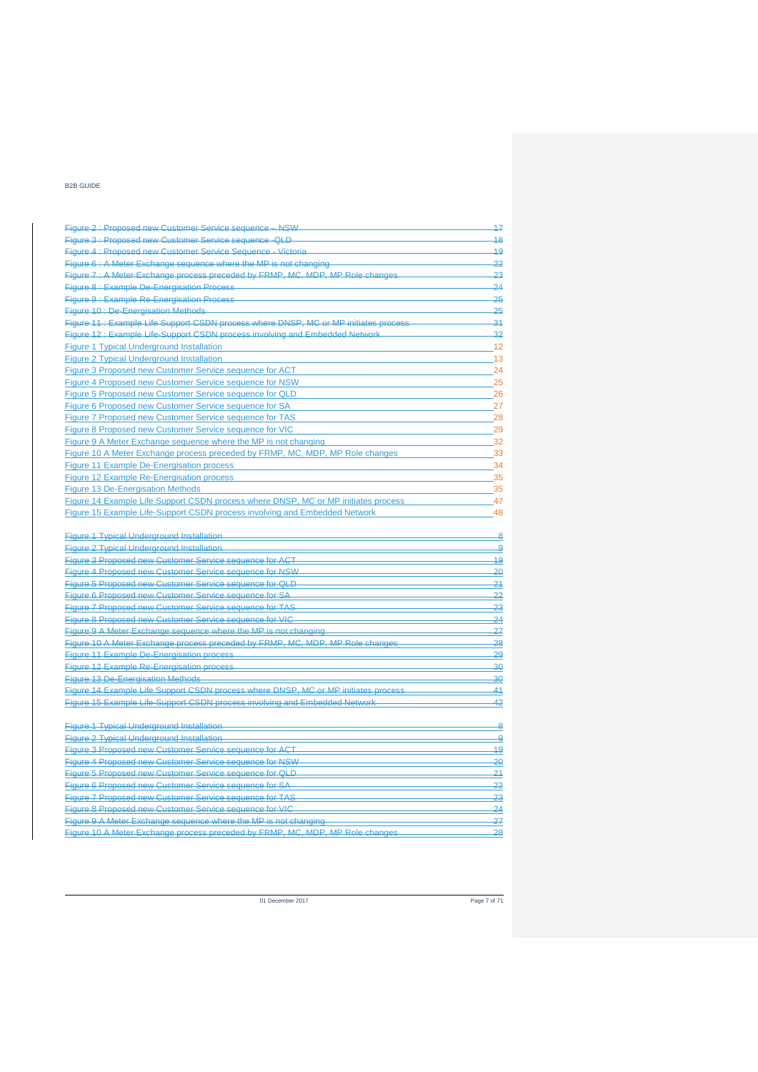| Figure 2 : Proposed new Customer Service sequence - NSW                             | 17              |
|-------------------------------------------------------------------------------------|-----------------|
| Figure 3 : Proposed new Customer Service sequence - QLD                             | 18              |
| Figure 4 : Proposed new Customer Service Sequence - Victoria                        | 19              |
| Figure 6 : A Meter Exchange sequence where the MP is not changing                   | 22              |
| Figure 7 : A Meter Exchange process preceded by FRMP, MC, MDP, MP Role changes      | 23              |
| <b>Figure 8: Example De-Energisation Process</b>                                    | $\overline{24}$ |
| <b>Figure 9: Example Re-Energisation Process</b>                                    | 25              |
| <b>Figure 10: De-Energisation Methods</b>                                           | 25              |
| Figure 11: Example Life Support CSDN process where DNSP, MC or MP initiates process | 31              |
| Figure 12: Example Life-Support CSDN process involving and Embedded Network         | 32              |
| <b>Figure 1 Typical Underground Installation</b>                                    | 12              |
| <b>Figure 2 Typical Underground Installation</b>                                    | 13              |
| Figure 3 Proposed new Customer Service sequence for ACT                             | 24              |
| Figure 4 Proposed new Customer Service sequence for NSW                             | 25              |
| Figure 5 Proposed new Customer Service sequence for QLD                             | 26              |
| Figure 6 Proposed new Customer Service sequence for SA                              | 27              |
| Figure 7 Proposed new Customer Service sequence for TAS                             | 28              |
| Figure 8 Proposed new Customer Service sequence for VIC                             | 29              |
| Figure 9 A Meter Exchange sequence where the MP is not changing                     | 32              |
| Figure 10 A Meter Exchange process preceded by FRMP, MC, MDP, MP Role changes       | 33              |
| Figure 11 Example De-Energisation process                                           | 34              |
| Figure 12 Example Re-Energisation process                                           | 35              |
| <b>Figure 13 De-Energisation Methods</b>                                            | 35              |
| Figure 14 Example Life Support CSDN process where DNSP, MC or MP initiates process  | 47              |
| Figure 15 Example Life-Support CSDN process involving and Embedded Network          | 48              |

| <b>Figure 1 Typical Underground Installation</b>                                   |         |
|------------------------------------------------------------------------------------|---------|
| <b>Figure 2 Typical Underground Installation</b>                                   |         |
| <b>Figure 3 Proposed new Customer Service sequence for ACT</b>                     | 49      |
| <b>Figure 4 Proposed new Customer Service sequence for NSW</b>                     | 20      |
| Figure 5 Proposed new Customer Service sequence for QLD                            | $^{21}$ |
| Figure 6 Proposed new Customer Service sequence for SA                             | 22      |
| <b>Figure 7 Proposed new Customer Service sequence for TAS</b>                     | 23      |
| Figure 8 Proposed new Customer Service sequence for VIC                            |         |
| Figure 9 A Meter Exchange sequence where the MP is not changing                    | 27      |
| Figure 10 A Meter Exchange process preceded by FRMP, MC, MDP, MP Role changes      | 28      |
| <b>Figure 11 Example De-Energisation process</b>                                   | 29      |
| <b>Figure 12 Example Re-Energisation process</b>                                   | 30      |
| <b>Figure 13 De-Energisation Methods</b>                                           | 30      |
| Figure 14 Example Life Support CSDN process where DNSP, MC or MP initiates process | л.<br>┭ |
| Figure 15 Example Life-Support CSDN process involving and Embedded Network         | 42      |
|                                                                                    |         |

| <b>Figure 1 Typical Underground Installation</b>                              | 8        |
|-------------------------------------------------------------------------------|----------|
| <b>Figure 2 Typical Underground Installation</b>                              | o        |
| <b>Figure 3 Proposed new Customer Service sequence for ACT</b>                | 10<br>۳J |
| Figure 4 Proposed new Customer Service sequence for NSW                       | 20       |
| <b>Figure 5 Proposed new Customer Service sequence for QLD</b>                | $^{21}$  |
| Figure 6 Proposed new Customer Service sequence for SA                        | 22       |
| <b>Figure 7 Proposed new Customer Service sequence for TAS</b>                | 23       |
| Figure 8 Proposed new Customer Service sequence for VIC                       | 24       |
| <b>Figure 9 A Meter Exchange sequence where the MP is not changing</b>        | 27       |
| Figure 10 A Meter Exchange process preceded by FRMP, MC, MDP, MP Role changes | 28       |

01 December 2017 Page 7 of 71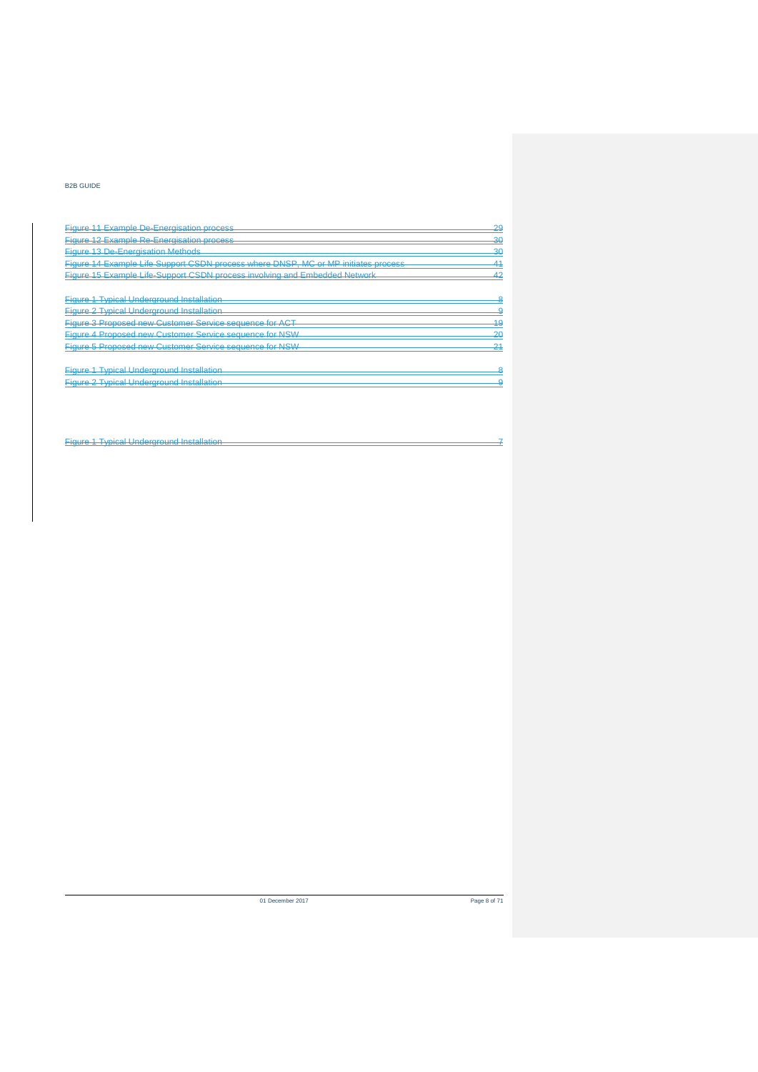| <b>Figure 11 Example De-Energisation process</b>                                   | 29 |
|------------------------------------------------------------------------------------|----|
| <b>Figure 12 Example Re-Energisation process</b>                                   | 30 |
| <b>Figure 13 De-Energisation Methods</b>                                           | 30 |
| Figure 14 Example Life Support CSDN process where DNSP, MC or MP initiates process | 41 |
| Figure 15 Example Life-Support CSDN process involving and Embedded Network         | 42 |
|                                                                                    |    |
| <b>Figure 1 Typical Underground Installation</b>                                   |    |
| <b>Figure 2 Typical Underground Installation</b>                                   | o  |
| <b>Figure 3 Proposed new Customer Service sequence for ACT</b>                     | 19 |
| Figure 4 Proposed new Customer Service sequence for NSW                            | 20 |
| Figure 5 Proposed new Customer Service sequence for NSW                            | 21 |
|                                                                                    |    |
| <b>Figure 1 Typical Underground Installation</b>                                   |    |
| <b>Figure 2 Typical Underground Installation</b>                                   |    |

Figure 1 Typical Underground Installation 7 (2002) 2 and 2009 2 and 2009 2 and 2009 2 and 2009 2 and 2009 2 and 2009 2 and 2009 2 and 2009 2 and 2009 2 and 2009 2 and 2009 2 and 2009 2 and 2009 2 and 2009 2 and 2009 2 and

01 December 2017 Page 8 of 71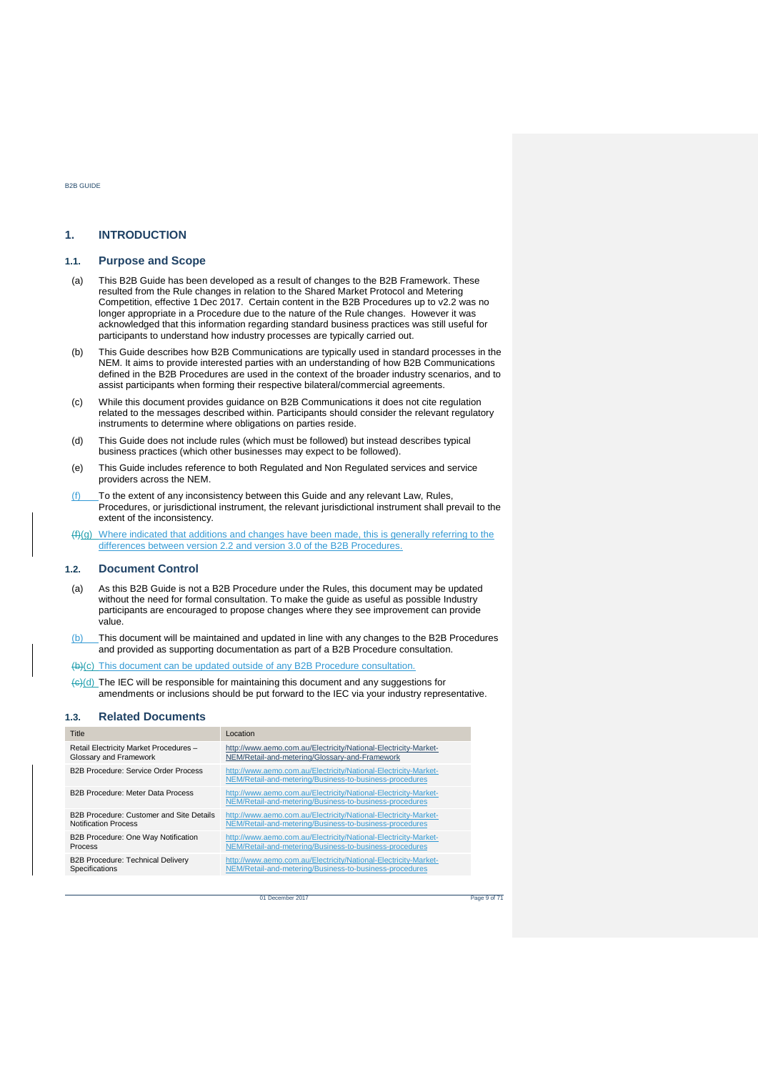# <span id="page-8-0"></span>**1. INTRODUCTION**

# <span id="page-8-1"></span>**1.1. Purpose and Scope**

- (a) This B2B Guide has been developed as a result of changes to the B2B Framework. These resulted from the Rule changes in relation to the Shared Market Protocol and Metering Competition, effective 1 Dec 2017. Certain content in the B2B Procedures up to v2.2 was no longer appropriate in a Procedure due to the nature of the Rule changes. However it was acknowledged that this information regarding standard business practices was still useful for participants to understand how industry processes are typically carried out.
- (b) This Guide describes how B2B Communications are typically used in standard processes in the NEM. It aims to provide interested parties with an understanding of how B2B Communications defined in the B2B Procedures are used in the context of the broader industry scenarios, and to assist participants when forming their respective bilateral/commercial agreements.
- (c) While this document provides guidance on B2B Communications it does not cite regulation related to the messages described within. Participants should consider the relevant regulatory instruments to determine where obligations on parties reside.
- (d) This Guide does not include rules (which must be followed) but instead describes typical business practices (which other businesses may expect to be followed).
- (e) This Guide includes reference to both Regulated and Non Regulated services and service providers across the NEM.
- $(f)$  To the extent of any inconsistency between this Guide and any relevant Law, Rules, Procedures, or jurisdictional instrument, the relevant jurisdictional instrument shall prevail to the extent of the inconsistency.
- (f)(g) Where indicated that additions and changes have been made, this is generally referring to the differences between version 2.2 and version 3.0 of the B2B Procedures.

# <span id="page-8-2"></span>**1.2. Document Control**

- (a) As this B2B Guide is not a B2B Procedure under the Rules, this document may be updated without the need for formal consultation. To make the guide as useful as possible Industry participants are encouraged to propose changes where they see improvement can provide value.
- (b) This document will be maintained and updated in line with any changes to the B2B Procedures and provided as supporting documentation as part of a B2B Procedure consultation.

(b)(c) This document can be updated outside of any B2B Procedure consultation.

 $\left\langle \epsilon \right\rangle$ (d) The IEC will be responsible for maintaining this document and any suggestions for amendments or inclusions should be put forward to the IEC via your industry representative.

#### <span id="page-8-3"></span>**1.3. Related Documents**

| Title                                       | Location                                                                                                                   |
|---------------------------------------------|----------------------------------------------------------------------------------------------------------------------------|
| Retail Electricity Market Procedures -      | http://www.aemo.com.au/Electricity/National-Electricity-Market-                                                            |
| Glossary and Framework                      | NEM/Retail-and-metering/Glossary-and-Framework                                                                             |
| <b>B2B Procedure: Service Order Process</b> | http://www.aemo.com.au/Electricity/National-Electricity-Market-<br>NEM/Retail-and-metering/Business-to-business-procedures |
| <b>B2B Procedure: Meter Data Process</b>    | http://www.aemo.com.au/Electricity/National-Electricity-Market-<br>NEM/Retail-and-metering/Business-to-business-procedures |
| B2B Procedure: Customer and Site Details    | http://www.aemo.com.au/Electricity/National-Electricity-Market-                                                            |
| <b>Notification Process</b>                 | NEM/Retail-and-metering/Business-to-business-procedures                                                                    |
| B2B Procedure: One Way Notification         | http://www.aemo.com.au/Electricity/National-Electricity-Market-                                                            |
| <b>Process</b>                              | NEM/Retail-and-metering/Business-to-business-procedures                                                                    |
| <b>B2B Procedure: Technical Delivery</b>    | http://www.aemo.com.au/Electricity/National-Electricity-Market-                                                            |
| Specifications                              | NEM/Retail-and-metering/Business-to-business-procedures                                                                    |
|                                             |                                                                                                                            |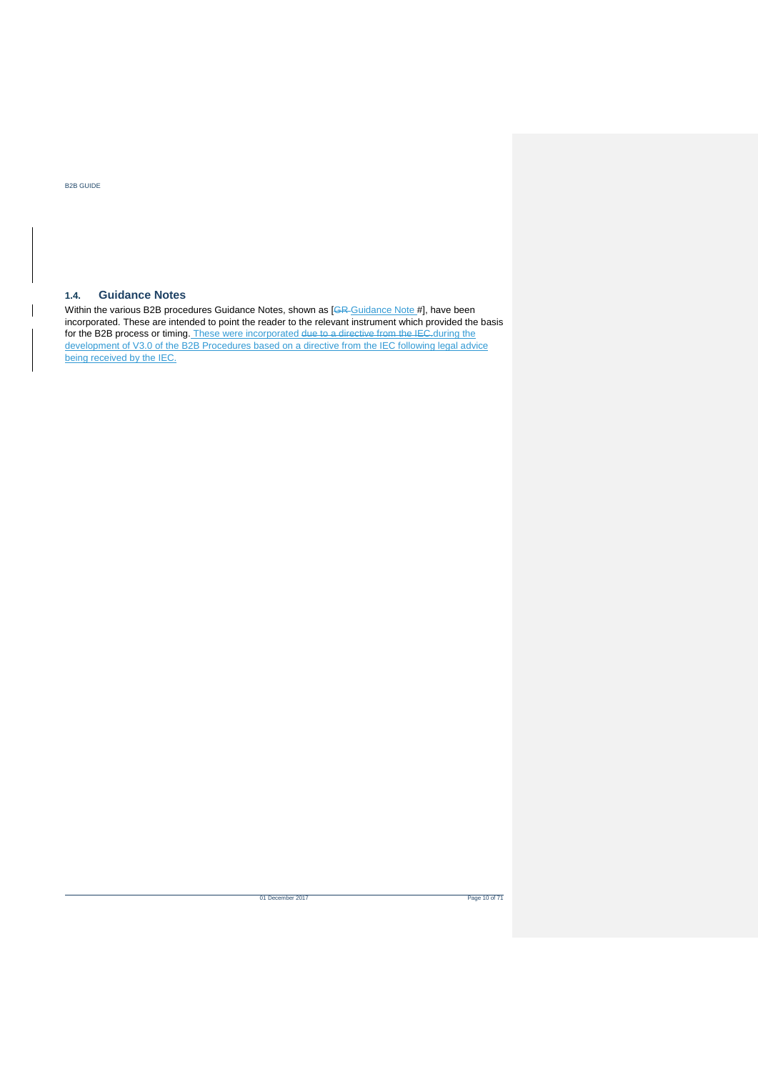# <span id="page-9-0"></span>**1.4. Guidance Notes**

Within the various B2B procedures Guidance Notes, shown as [GR-Guidance Note #], have been incorporated. These are intended to point the reader to the relevant instrument which provided the basis for the B2B process or timing. These were incorporated due to a directive from the IEC.during the development of V3.0 of the B2B Procedures based on a directive from the IEC following legal advice being received by the IEC.

of December 2017 Page 10 of 71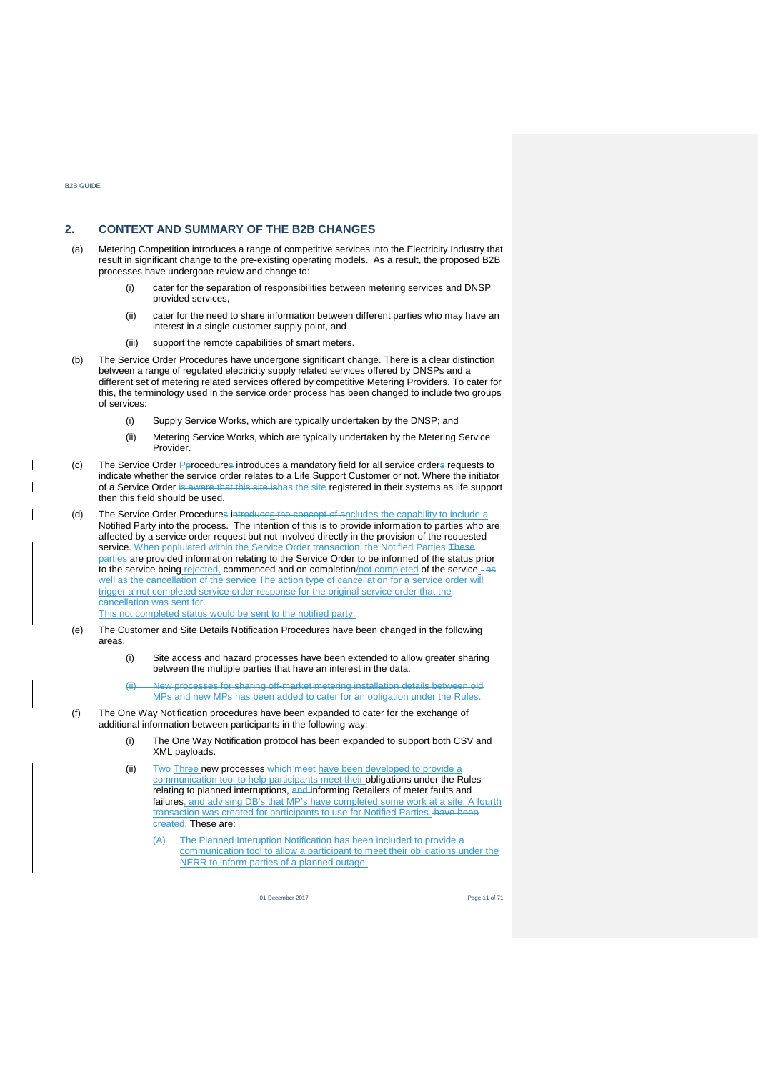# <span id="page-10-0"></span>**2. CONTEXT AND SUMMARY OF THE B2B CHANGES**

- (a) Metering Competition introduces a range of competitive services into the Electricity Industry that result in significant change to the pre-existing operating models. As a result, the proposed B2B processes have undergone review and change to:
	- (i) cater for the separation of responsibilities between metering services and DNSP provided services,
	- (ii) cater for the need to share information between different parties who may have an interest in a single customer supply point, and
	- (iii) support the remote capabilities of smart meters.
- (b) The Service Order Procedures have undergone significant change. There is a clear distinction between a range of regulated electricity supply related services offered by DNSPs and a different set of metering related services offered by competitive Metering Providers. To cater for this, the terminology used in the service order process has been changed to include two groups of services:
	- (i) Supply Service Works, which are typically undertaken by the DNSP; and
	- (ii) Metering Service Works, which are typically undertaken by the Metering Service Provider.
- (c) The Service Order Pprocedures introduces a mandatory field for all service orders requests to indicate whether the service order relates to a Life Support Customer or not. Where the initiator of a Service Order is aware that this site ishas the site registered in their systems as life support then this field should be used.
- (d) The Service Order Procedures introduces the concept of ancludes the capability to include a Notified Party into the process. The intention of this is to provide information to parties who are affected by a service order request but not involved directly in the provision of the requested service. When poplulated within the Service Order transaction, the Notified Parties These parties are provided information relating to the Service Order to be informed of the status prior to the service being rejected, commenced and on completion/not completed of the service., as well as the cancellation of the service The action type of cancellation for a service order will trigger a not completed service order response for the original service order that the cancellation was sent for. This not completed status would be sent to the notified party.
	-
- (e) The Customer and Site Details Notification Procedures have been changed in the following areas.
	- (i) Site access and hazard processes have been extended to allow greater sharing between the multiple parties that have an interest in the data.
	- (ii) New processes for sharing off-market metering installation details between old and new MPs has been added to cater for an obligation under the Rules
- (f) The One Way Notification procedures have been expanded to cater for the exchange of additional information between participants in the following way:
	- (i) The One Way Notification protocol has been expanded to support both CSV and XML payloads.
	- (ii) Two-Three new processes which meet have been developed to provide a communication tool to help participants meet their obligations under the Rules relating to planned interruptions, and informing Retailers of meter faults and failures, and advising DB's that MP's have completed some work at a site. A fourth transaction was created for participants to use for Notified Parties. have been created. These are:
		- (A) The Planned Interuption Notification has been included to provide a communication tool to allow a participant to meet their obligations under the NERR to inform parties of a planned outage.

01 December 2017 Page 11 of 71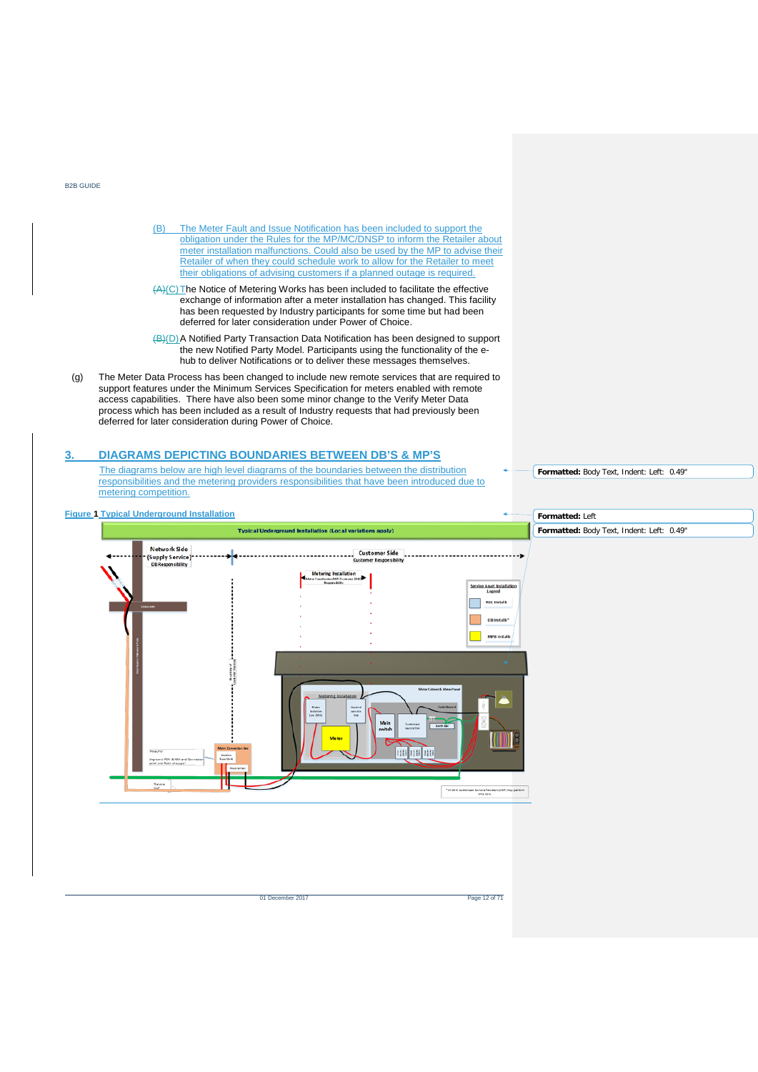- (B) The Meter Fault and Issue Notification has been included to support the obligation under the Rules for the MP/MC/DNSP to inform the Retailer about meter installation malfunctions. Could also be used by the MP to advise their Retailer of when they could schedule work to allow for the Retailer to meet their obligations of advising customers if a planned outage is required.
- (A)(C)The Notice of Metering Works has been included to facilitate the effective exchange of information after a meter installation has changed. This facility has been requested by Industry participants for some time but had been deferred for later consideration under Power of Choice.
- (B)(D)A Notified Party Transaction Data Notification has been designed to support the new Notified Party Model. Participants using the functionality of the ehub to deliver Notifications or to deliver these messages themselves.
- (g) The Meter Data Process has been changed to include new remote services that are required to support features under the Minimum Services Specification for meters enabled with remote access capabilities. There have also been some minor change to the Verify Meter Data process which has been included as a result of Industry requests that had previously been deferred for later consideration during Power of Choice.

# <span id="page-11-0"></span>**3. DIAGRAMS DEPICTING BOUNDARIES BETWEEN DB'S & MP'S**

The diagrams below are high level diagrams of the boundaries between the distribution responsibilities and the metering providers responsibilities that have been introduced due to metering competition.

**Formatted:** Body Text, Indent: Left: 0.49"

<span id="page-11-1"></span>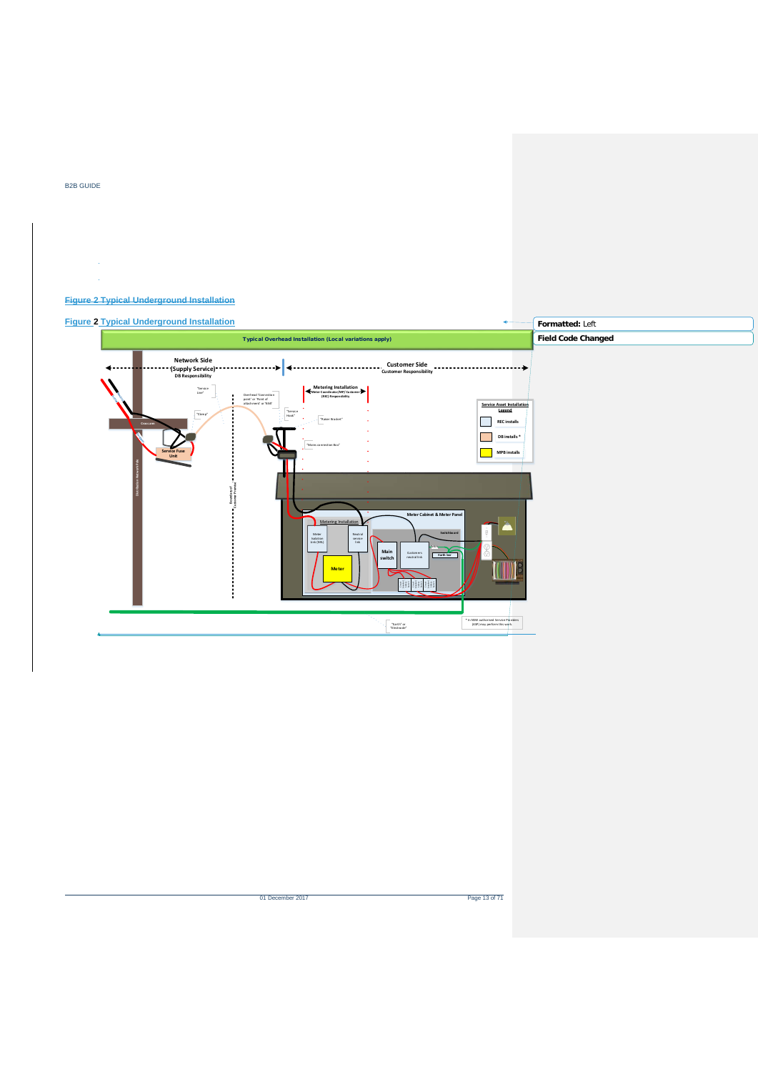# **Figure 2 Typical Underground Installation**

<span id="page-12-0"></span>

of December 2017 Page 13 of 71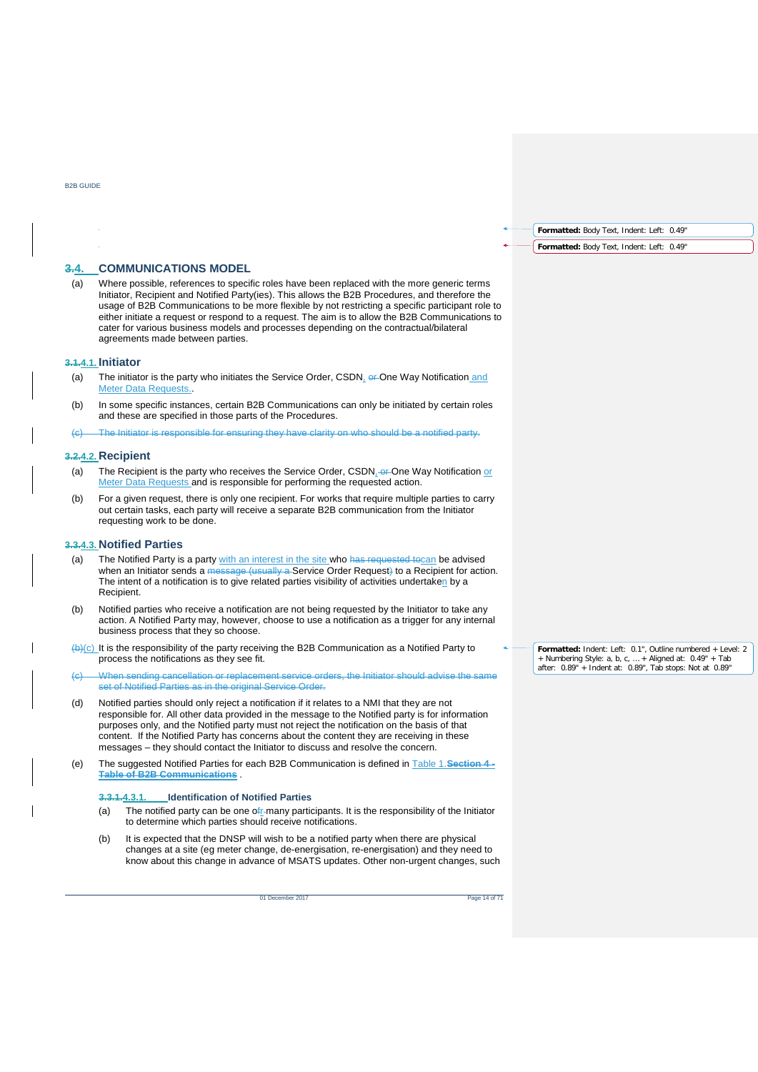## <span id="page-13-0"></span>**3.4. COMMUNICATIONS MODEL**

(a) Where possible, references to specific roles have been replaced with the more generic terms Initiator, Recipient and Notified Party(ies). This allows the B2B Procedures, and therefore the usage of B2B Communications to be more flexible by not restricting a specific participant role to either initiate a request or respond to a request. The aim is to allow the B2B Communications to cater for various business models and processes depending on the contractual/bilateral agreements made between parties.

#### <span id="page-13-1"></span>**3.1.4.1. Initiator**

- (a) The initiator is the party who initiates the Service Order, CSDN, or One Way Notification and Meter Data Reque
- (b) In some specific instances, certain B2B Communications can only be initiated by certain roles and these are specified in those parts of the Procedures.
- The Initiator is responsible for ensuring they have clarity on who should be a notified party.

#### <span id="page-13-2"></span>**3.2.4.2. Recipient**

- (a) The Recipient is the party who receives the Service Order, CSDN, or One Way Notification or Meter Data Requests and is responsible for performing the requested action.
- (b) For a given request, there is only one recipient. For works that require multiple parties to carry out certain tasks, each party will receive a separate B2B communication from the Initiator requesting work to be done.

#### <span id="page-13-3"></span>**3.3.4.3. Notified Parties**

- (a) The Notified Party is a party with an interest in the site who has requested tocan be advised when an Initiator sends a message (usually a Service Order Request) to a Recipient for action. The intent of a notification is to give related parties visibility of activities undertaken by a Recipient.
- (b) Notified parties who receive a notification are not being requested by the Initiator to take any action. A Notified Party may, however, choose to use a notification as a trigger for any internal business process that they so choose.
- (b)(c) It is the responsibility of the party receiving the B2B Communication as a Notified Party to process the notifications as they see fit.

When sending cancellation or replacement service orders, the Initiator should advise the same set of Notified Parties as in the original Service Order.

- (d) Notified parties should only reject a notification if it relates to a NMI that they are not responsible for. All other data provided in the message to the Notified party is for information purposes only, and the Notified party must not reject the notification on the basis of that content. If the Notified Party has concerns about the content they are receiving in these messages – they should contact the Initiator to discuss and resolve the concern.
- (e) The suggested Notified Parties for each B2B Communication is defined in Table 1.**[Section 4 -](#page-16-0) [Table of B2B Communications](#page-16-0)** .

## **3.3.1.4.3.1. Identification of Notified Parties**

- (a) The notified party can be one of  $r$ -many participants. It is the responsibility of the Initiator to determine which parties should receive notifications.
- (b) It is expected that the DNSP will wish to be a notified party when there are physical changes at a site (eg meter change, de-energisation, re-energisation) and they need to know about this change in advance of MSATS updates. Other non-urgent changes, such

01 December 2017 Page 14 of 71

**Formatted:** Indent: Left: 0.1", Outline numbered + Level: 2 + Numbering Style: a, b, c, … + Aligned at: 0.49" + Tab after: 0.89" + Indent at: 0.89", Tab stops: Not at 0.89"

**Formatted:** Body Text, Indent: Left: 0.49" **Formatted:** Body Text, Indent: Left: 0.49"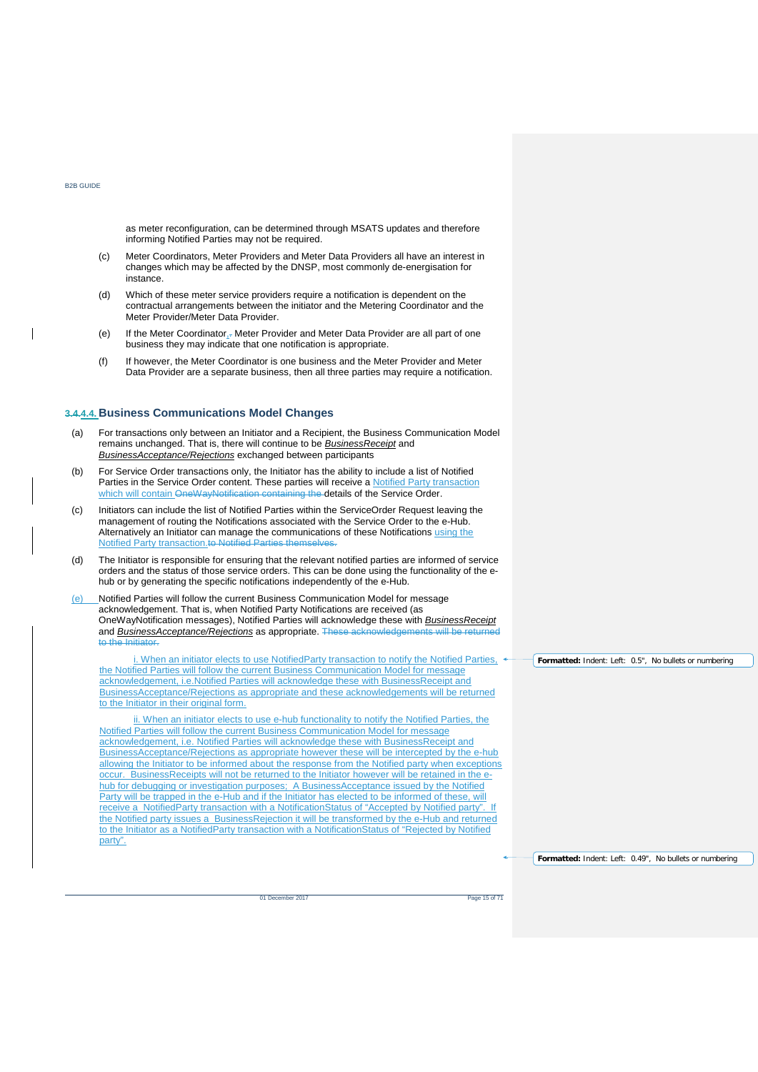as meter reconfiguration, can be determined through MSATS updates and therefore informing Notified Parties may not be required.

- (c) Meter Coordinators, Meter Providers and Meter Data Providers all have an interest in changes which may be affected by the DNSP, most commonly de-energisation for instance.
- Which of these meter service providers require a notification is dependent on the contractual arrangements between the initiator and the Metering Coordinator and the Meter Provider/Meter Data Provider.
- $(e)$  If the Meter Coordinator,. Meter Provider and Meter Data Provider are all part of one business they may indicate that one notification is appropriate.
- (f) If however, the Meter Coordinator is one business and the Meter Provider and Meter Data Provider are a separate business, then all three parties may require a notification.

# <span id="page-14-0"></span>**3.4.4.4. Business Communications Model Changes**

- (a) For transactions only between an Initiator and a Recipient, the Business Communication Model remains unchanged. That is, there will continue to be *BusinessReceipt* and *BusinessAcceptance/Rejections* exchanged between participants
- (b) For Service Order transactions only, the Initiator has the ability to include a list of Notified Parties in the Service Order content. These parties will receive a Notified Party transaction which will contain OneWayNotification containing the details of the Service Order.
- (c) Initiators can include the list of Notified Parties within the ServiceOrder Request leaving the management of routing the Notifications associated with the Service Order to the e-Hub. Alternatively an Initiator can manage the communications of these Notifications using the Notified Party transaction.to Notifie
- (d) The Initiator is responsible for ensuring that the relevant notified parties are informed of service orders and the status of those service orders. This can be done using the functionality of the ehub or by generating the specific notifications independently of the e-Hub.
- Notified Parties will follow the current Business Communication Model for message acknowledgement. That is, when Notified Party Notifications are received (as OneWayNotification messages), Notified Parties will acknowledge these with *BusinessReceipt* and *BusinessAcceptance/Rejections* as appropriate. These acknowledgements will be returned to the Initiator.

i. When an initiator elects to use NotifiedParty transaction to notify the Notified Parties, the Notified Parties will follow the current Business Communication Model for message acknowledgement, i.e.Notified Parties will acknowledge these with BusinessReceipt and BusinessAcceptance/Rejections as appropriate and these acknowledgements will be returned to the Initiator in their original form.

ii. When an initiator elects to use e-hub functionality to notify the Notified Parties, the Notified Parties will follow the current Business Communication Model for message acknowledgement, i.e. Notified Parties will acknowledge these with BusinessReceipt and BusinessAcceptance/Rejections as appropriate however these will be intercepted by the e-hub allowing the Initiator to be informed about the response from the Notified party when exceptions occur. BusinessReceipts will not be returned to the Initiator however will be retained in the ehub for debugging or investigation purposes; A BusinessAcceptance issued by the Notified Party will be trapped in the e-Hub and if the Initiator has elected to be informed of these, will receive a NotifiedParty transaction with a NotificationStatus of "Accepted by Notified party". If the Notified party issues a BusinessRejection it will be transformed by the e-Hub and returned to the Initiator as a NotifiedParty transaction with a NotificationStatus of "Rejected by Notified party".

**Formatted:** Indent: Left: 0.5", No bullets or numbering

**Formatted:** Indent: Left: 0.49", No bullets or numbering

01 December 2017 Page 15 of 71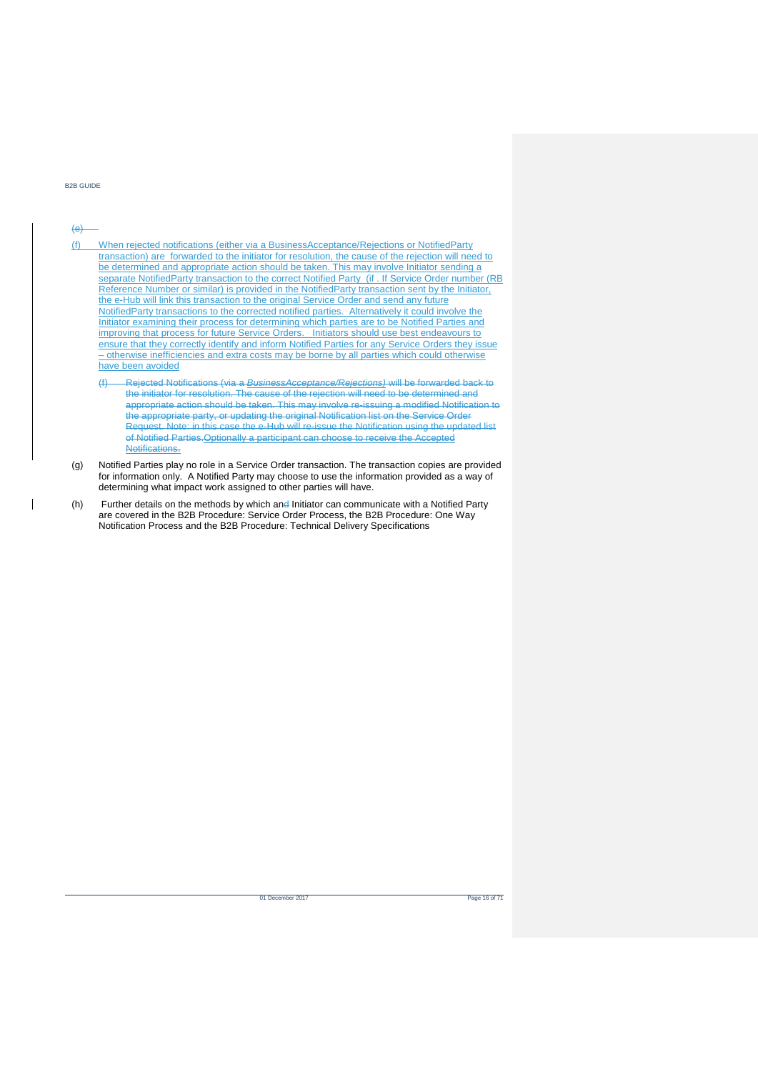$(e)$ 

- (f) When rejected notifications (either via a BusinessAcceptance/Rejections or NotifiedParty transaction) are forwarded to the initiator for resolution, the cause of the rejection will need to be determined and appropriate action should be taken. This may involve Initiator sending a separate NotifiedParty transaction to the correct Notified Party (if . If Service Order number (RB Reference Number or similar) is provided in the NotifiedParty transaction sent by the Initiator, the e-Hub will link this transaction to the original Service Order and send any future NotifiedParty transactions to the corrected notified parties. Alternatively it could involve the Initiator examining their process for determining which parties are to be Notified Parties and improving that process for future Service Orders. Initiators should use best endeavours to ensure that they correctly identify and inform Notified Parties for any Service Orders they issue – otherwise inefficiencies and extra costs may be borne by all parties which could otherwise have been avoided
	- (f) Rejected Notifications (via a *BusinessAcceptance/Rejections)* will be forwarded back to the initiator for resolution. The cause of the rejection will need to be determined and appropriate action should be taken. This may involve re-issuing a modified Notification to the appropriate party, or updating the original Notification list on the Service Order Request. Note: in this case the e-Hub will re-issue the Notification using the updated list of Notified Parties.Optionally a participant can choose to receive the Accepted Notifications.
- (g) Notified Parties play no role in a Service Order transaction. The transaction copies are provided for information only. A Notified Party may choose to use the information provided as a way of determining what impact work assigned to other parties will have.
- (h) Further details on the methods by which and Initiator can communicate with a Notified Party are covered in the B2B Procedure: Service Order Process, the B2B Procedure: One Way Notification Process and the B2B Procedure: Technical Delivery Specifications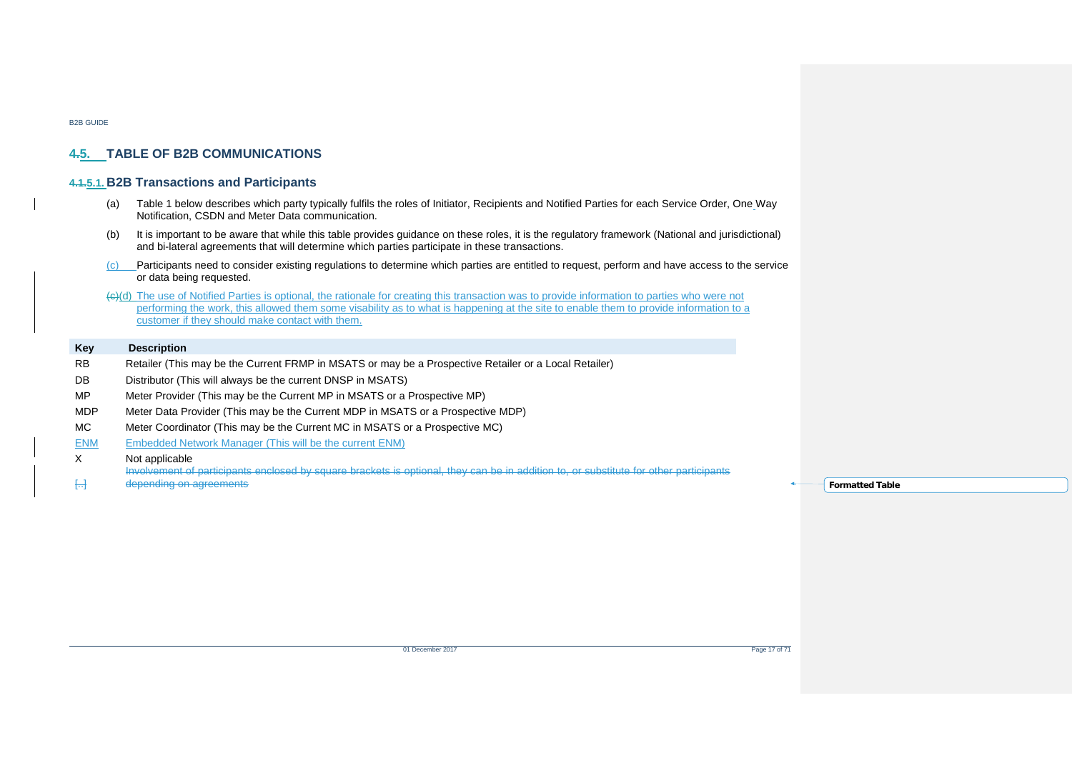# **4.5. TABLE OF B2B COMMUNICATIONS**

# **4.1.5.1. B2B Transactions and Participants**

- (a) Table 1 below describes which party typically fulfils the roles of Initiator, Recipients and Notified Parties for each Service Order, One Way Notification, CSDN and Meter Data communication.
- (b) It is important to be aware that while this table provides guidance on these roles, it is the regulatory framework (National and jurisdictional) and bi-lateral agreements that will determine which parties participate in these transactions.
- (c) Participants need to consider existing regulations to determine which parties are entitled to request, perform and have access to the service or data being requested.
- (c)(d) The use of Notified Parties is optional, the rationale for creating this transaction was to provide information to parties who were not performing the work, this allowed them some visability as to what is happening at the site to enable them to provide information to a customer if they should make contact with them.

# **Key Description**

- RB Retailer (This may be the Current FRMP in MSATS or may be a Prospective Retailer or a Local Retailer)
- DB Distributor (This will always be the current DNSP in MSATS)
- MP Meter Provider (This may be the Current MP in MSATS or a Prospective MP)
- MDP Meter Data Provider (This may be the Current MDP in MSATS or a Prospective MDP)
- MC Meter Coordinator (This may be the Current MC in MSATS or a Prospective MC)
- ENM Embedded Network Manager (This will be the current ENM)

# X Not applicable

Involvement of participants enclosed by square brackets is optional, they can be in addition to, or substitute for other participants

<span id="page-16-1"></span><span id="page-16-0"></span> $\overline{[}.]$ depending on agreements **Formatted Table**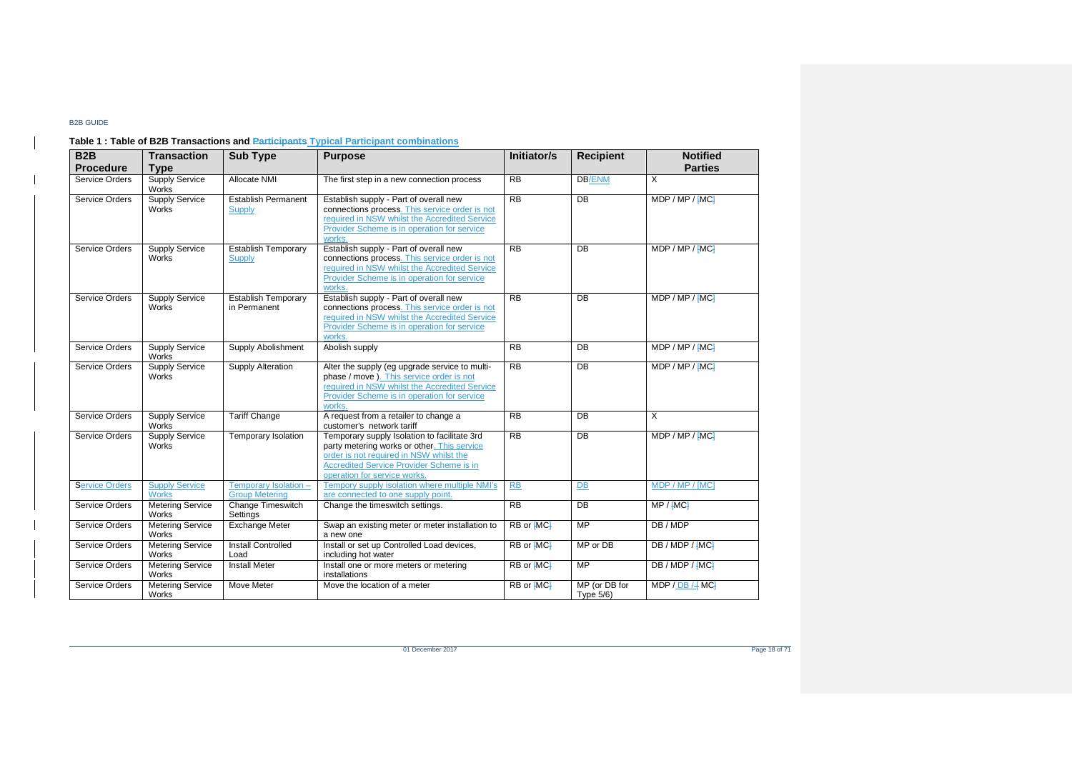# **Table 1 : Table of B2B Transactions and Participants Typical Participant combinations**

<span id="page-17-0"></span>

| B <sub>2</sub> B      | <b>Sub Type</b><br><b>Purpose</b><br><b>Transaction</b> |                                                | Initiator/s                                                                                                                                                                                                                                 | <b>Recipient</b> | <b>Notified</b>               |                   |
|-----------------------|---------------------------------------------------------|------------------------------------------------|---------------------------------------------------------------------------------------------------------------------------------------------------------------------------------------------------------------------------------------------|------------------|-------------------------------|-------------------|
| <b>Procedure</b>      | <b>Type</b>                                             |                                                |                                                                                                                                                                                                                                             |                  |                               | <b>Parties</b>    |
| Service Orders        | <b>Supply Service</b><br>Works                          | <b>Allocate NMI</b>                            | The first step in a new connection process                                                                                                                                                                                                  | R <sub>B</sub>   | <b>DB/ENM</b>                 | X                 |
| Service Orders        | <b>Supply Service</b><br>Works                          | <b>Establish Permanent</b><br><b>Supply</b>    | Establish supply - Part of overall new<br>connections process. This service order is not<br>required in NSW whilst the Accredited Service<br>Provider Scheme is in operation for service<br>works.                                          | RB               | $\overline{DB}$               | MDP / MP / HMCI   |
| Service Orders        | <b>Supply Service</b><br>Works                          | <b>Establish Temporary</b><br><b>Supply</b>    | Establish supply - Part of overall new<br>R <sub>B</sub><br>connections process. This service order is not<br>required in NSW whilst the Accredited Service<br>Provider Scheme is in operation for service<br>works.                        |                  | DB                            | MDP / MP / HMCH   |
| Service Orders        | <b>Supply Service</b><br>Works                          | <b>Establish Temporary</b><br>in Permanent     | Establish supply - Part of overall new<br>connections process. This service order is not<br>required in NSW whilst the Accredited Service<br>Provider Scheme is in operation for service<br>works.                                          | R <sub>B</sub>   | $\overline{DB}$               | MDP / MP / HMCI   |
| Service Orders        | <b>Supply Service</b><br>Works                          | Supply Abolishment                             | Abolish supply                                                                                                                                                                                                                              | R <sub>B</sub>   | $\overline{DB}$               | MDP / MP / HMCI   |
| Service Orders        | <b>Supply Service</b><br>Works                          | Supply Alteration                              | Alter the supply (eg upgrade service to multi-<br>phase / move ). This service order is not<br>required in NSW whilst the Accredited Service<br>Provider Scheme is in operation for service<br>works.                                       | RB               | $\overline{DB}$               | MDP / MP / [MC]   |
| Service Orders        | <b>Supply Service</b><br>Works                          | <b>Tariff Change</b>                           | A request from a retailer to change a<br>customer's network tariff                                                                                                                                                                          | <b>RB</b>        | DB                            | X                 |
| Service Orders        | <b>Supply Service</b><br>Works                          | <b>Temporary Isolation</b>                     | Temporary supply Isolation to facilitate 3rd<br>R <sub>B</sub><br>party metering works or other. This service<br>order is not required in NSW whilst the<br><b>Accredited Service Provider Scheme is in</b><br>operation for service works. |                  | $\overline{DB}$               | MDP / MP / [MC]   |
| <b>Service Orders</b> | <b>Supply Service</b><br><b>Works</b>                   | Temporary Isolation -<br><b>Group Metering</b> | Tempory supply isolation where multiple NMI's<br>are connected to one supply point.                                                                                                                                                         | <b>RB</b>        | DB                            | MDP / MP / [MC]   |
| Service Orders        | <b>Metering Service</b><br>Works                        | <b>Change Timeswitch</b><br>Settings           | R <sub>B</sub><br>Change the timeswitch settings.<br>DB                                                                                                                                                                                     |                  |                               | MP / [MC]         |
| Service Orders        | <b>Metering Service</b><br>Works                        | <b>Exchange Meter</b>                          | Swap an existing meter or meter installation to<br>a new one                                                                                                                                                                                | RB or HMC        | <b>MP</b>                     | DB/MDP            |
| Service Orders        | <b>Metering Service</b><br>Works                        | <b>Install Controlled</b><br>Load              | Install or set up Controlled Load devices,<br>including hot water                                                                                                                                                                           | RB or <b>MC</b>  | MP or DB                      | DB / MDP / HMC    |
| Service Orders        | <b>Metering Service</b><br>Works                        | <b>Install Meter</b>                           | Install one or more meters or metering<br>installations                                                                                                                                                                                     | RB or [MC]       | <b>MP</b>                     | DB / MDP / [MC]   |
| Service Orders        | <b>Metering Service</b><br>Works                        | Move Meter                                     | Move the location of a meter                                                                                                                                                                                                                | RB or [MC]       | MP (or DB for<br>Type $5/6$ ) | $MDP / DB / + MC$ |

01 December 2017 Page 18 of 71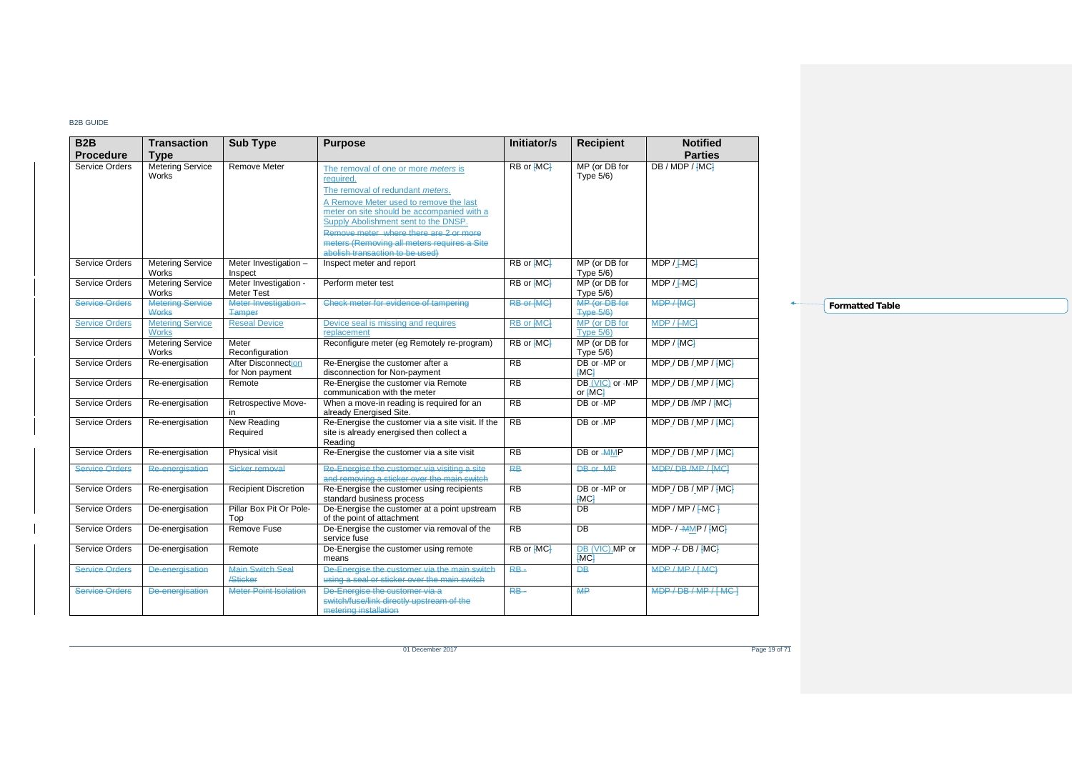| B <sub>2</sub> B<br><b>Sub Type</b><br><b>Transaction</b><br><b>Procedure</b><br><b>Type</b><br><b>Metering Service</b><br>Service Orders<br><b>Remove Meter</b><br><b>Works</b> |                                         | <b>Purpose</b>                                                                                                                                                                                                                                                                                                                                           | Initiator/s                                                                                              | <b>Recipient</b>              | <b>Notified</b><br><b>Parties</b> |                                 |
|----------------------------------------------------------------------------------------------------------------------------------------------------------------------------------|-----------------------------------------|----------------------------------------------------------------------------------------------------------------------------------------------------------------------------------------------------------------------------------------------------------------------------------------------------------------------------------------------------------|----------------------------------------------------------------------------------------------------------|-------------------------------|-----------------------------------|---------------------------------|
|                                                                                                                                                                                  |                                         | The removal of one or more <i>meters</i> is<br>required.<br>The removal of redundant meters.<br>A Remove Meter used to remove the last<br>meter on site should be accompanied with a<br>Supply Abolishment sent to the DNSP.<br>Remove meter where there are 2 or more<br>meters (Removing all meters requires a Site<br>abolish transaction to be used) | RB or MC                                                                                                 | MP (or DB for<br>Type $5/6$ ) | DB / MDP / <del>I</del> MCI       |                                 |
| Service Orders                                                                                                                                                                   | <b>Metering Service</b><br><b>Works</b> | Meter Investigation -<br>Inspect                                                                                                                                                                                                                                                                                                                         | Inspect meter and report                                                                                 | RB or <b>MC</b>               | MP (or DB for<br>Type $5/6$ )     | MDP / <del>[</del> MC]          |
| Service Orders                                                                                                                                                                   | <b>Metering Service</b><br>Works        | Meter Investigation -<br><b>Meter Test</b>                                                                                                                                                                                                                                                                                                               | Perform meter test                                                                                       | RB or IMCI                    | $MP$ (or $DB$ for<br>Type $5/6$ ) | MDP / LMC <sub>1</sub>          |
| <b>Service Orders</b>                                                                                                                                                            | <b>Metering Service</b><br>Works        | Meter Investigation-<br><b>Tamper</b>                                                                                                                                                                                                                                                                                                                    | Check meter for evidence of tampering                                                                    | <b>RB or [MC]</b>             | MP (or DB for<br>Type 5/6)        | MDP/[MC]                        |
| <b>Service Orders</b>                                                                                                                                                            | <b>Metering Service</b><br><b>Works</b> | <b>Reseal Device</b>                                                                                                                                                                                                                                                                                                                                     | Device seal is missing and requires<br>replacement                                                       | RB or [MC]                    | MP (or DB for<br><b>Type 5/6)</b> | MDP/ <sub>FMC</sub>             |
| Service Orders                                                                                                                                                                   | <b>Metering Service</b><br><b>Works</b> | Meter<br>Reconfiguration                                                                                                                                                                                                                                                                                                                                 | Reconfigure meter (eg Remotely re-program)                                                               | RB or <b>MC</b>               | MP (or DB for<br>Type $5/6$ )     | MDP / [MC]                      |
| Service Orders                                                                                                                                                                   | Re-energisation                         | <b>After Disconnection</b><br>for Non payment                                                                                                                                                                                                                                                                                                            | Re-Energise the customer after a<br>disconnection for Non-payment                                        | R <sub>B</sub>                | DB or -MP or<br><b>[MC]</b>       | MDP / DB / MP / [MC]            |
| Service Orders                                                                                                                                                                   | Re-energisation                         | Remote                                                                                                                                                                                                                                                                                                                                                   | Re-Energise the customer via Remote<br>communication with the meter                                      | RB                            | DB (VIC) or -MP<br>or <b>HMC</b>  | MDP / DB / MP / [MC]            |
| Service Orders                                                                                                                                                                   | Re-energisation                         | Retrospective Move-<br>in                                                                                                                                                                                                                                                                                                                                | When a move-in reading is required for an<br>already Energised Site.                                     | RB                            | DB or -MP                         | MDP / DB /MP / <del>[</del> MC] |
| Service Orders                                                                                                                                                                   | Re-energisation                         | New Reading<br>Required                                                                                                                                                                                                                                                                                                                                  | Re-Energise the customer via a site visit. If the<br>site is already energised then collect a<br>Reading | RB                            | DB or -MP                         | MDP / DB / MP / [MC]            |
| Service Orders                                                                                                                                                                   | Re-energisation                         | Physical visit                                                                                                                                                                                                                                                                                                                                           | Re-Energise the customer via a site visit                                                                | R <sub>B</sub>                | DB or -MMP                        | MDP / DB / MP / [MC]            |
| <b>Service Orders</b>                                                                                                                                                            | Re-energisation                         | Sicker removal                                                                                                                                                                                                                                                                                                                                           | Re-Energise the customer via visiting a site<br>and removing a sticker over the main switch              | R <sub>B</sub>                | <b>DB or MP</b>                   | MDP/DB/MP/[MG]                  |
| Service Orders                                                                                                                                                                   | Re-energisation                         | <b>Recipient Discretion</b>                                                                                                                                                                                                                                                                                                                              | Re-Energise the customer using recipients<br>standard business process                                   | R <sub>B</sub>                | DB or -MP or<br><b>[MC]</b>       | MDP / DB / MP / [MC]            |
| Service Orders                                                                                                                                                                   | De-energisation                         | Pillar Box Pit Or Pole-<br>Top                                                                                                                                                                                                                                                                                                                           | De-Energise the customer at a point upstream<br>of the point of attachment                               | RB                            | <b>DB</b>                         | MDP / MP / HMC }                |
| Service Orders                                                                                                                                                                   | De-energisation                         | Remove Fuse                                                                                                                                                                                                                                                                                                                                              | De-Energise the customer via removal of the<br>service fuse                                              | <b>RB</b>                     | $\overline{DB}$                   | MDP-/ -MMP / FMC                |
| Service Orders                                                                                                                                                                   | De-energisation                         | Remote                                                                                                                                                                                                                                                                                                                                                   | De-Energise the customer using remote<br>RB or [MC]<br>means                                             |                               | DB (VIC), MP or<br><b>FMC</b>     | $MDP - LDB / [MC]$              |
| <b>Service Orders</b>                                                                                                                                                            | De-energisation                         | <b>Main Switch Seal</b><br><b>/Sticker</b>                                                                                                                                                                                                                                                                                                               | De-Energise the customer via the main switch<br>using a seal or sticker over the main switch             | $RB -$                        | $\overline{DB}$                   | MDP/MP/IMC                      |
| <b>Service Orders</b>                                                                                                                                                            | De-energisation                         | <b>Meter Point Isolation</b>                                                                                                                                                                                                                                                                                                                             | De-Energise the customer via a<br>switch/fuse/link directly upstream of the<br>metering installation     | RB-                           | <b>MP</b>                         | MDP/DB/MP/[MC]                  |

**Formatted Table**

01 December 2017 Page 19 of 71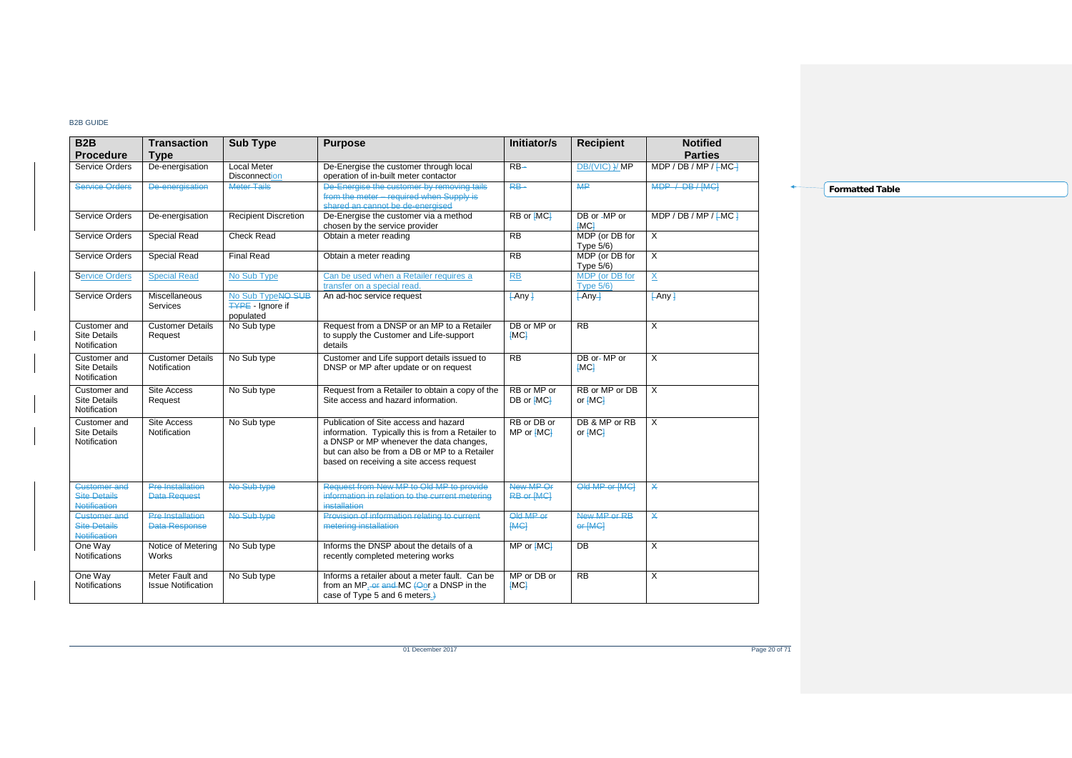| <b>B2B</b><br><b>Sub Type</b><br><b>Purpose</b><br><b>Transaction</b> |                                                 |                                                           | Initiator/s                                                                                                                                                                                                                        | <b>Recipient</b>               | <b>Notified</b>                    |                                                |
|-----------------------------------------------------------------------|-------------------------------------------------|-----------------------------------------------------------|------------------------------------------------------------------------------------------------------------------------------------------------------------------------------------------------------------------------------------|--------------------------------|------------------------------------|------------------------------------------------|
| <b>Procedure</b>                                                      | <b>Type</b>                                     |                                                           |                                                                                                                                                                                                                                    |                                |                                    | <b>Parties</b>                                 |
| Service Orders                                                        | De-energisation                                 | Local Meter<br><b>Disconnection</b>                       | De-Energise the customer through local<br>operation of in-built meter contactor                                                                                                                                                    | $RB-$                          | DB/(VIC) +/ MP                     | MDP / DB / MP / <del>[</del> MC <sup>1</sup> ] |
| <b>Service Orders</b>                                                 | De-energisation                                 | <b>Meter Tails</b>                                        | De-Energise the customer by removing tails<br>from the meter - required when Supply is<br>shared an cannot be de-energised                                                                                                         | $RB -$                         | <b>MP</b>                          | MDP / DB / [MC]                                |
| Service Orders                                                        | De-energisation                                 | <b>Recipient Discretion</b>                               | De-Energise the customer via a method<br>RB or [MC]<br>chosen by the service provider                                                                                                                                              |                                | DB or -MP or<br><b>FMC1</b>        | MDP / DB / MP / LMC                            |
| Service Orders                                                        | <b>Special Read</b>                             | <b>Check Read</b>                                         | Obtain a meter reading                                                                                                                                                                                                             | <b>RB</b>                      | MDP (or DB for<br>Type $5/6$ )     | $\overline{X}$                                 |
| Service Orders                                                        | <b>Special Read</b>                             | <b>Final Read</b>                                         | Obtain a meter reading                                                                                                                                                                                                             | R <sub>B</sub>                 | MDP (or DB for<br>Type $5/6$ )     | $\overline{X}$                                 |
| <b>Service Orders</b>                                                 | <b>Special Read</b>                             | No Sub Type                                               | Can be used when a Retailer requires a<br>transfer on a special read.                                                                                                                                                              | <b>RB</b>                      | MDP (or DB for<br><b>Type 5/6)</b> | $\overline{\mathsf{X}}$                        |
| Service Orders                                                        | Miscellaneous<br>Services                       | No Sub TypeNO SUB<br><b>TYPE - Ignore if</b><br>populated | An ad-hoc service request                                                                                                                                                                                                          | $\text{Any}$                   | $H$ Any-                           | $H$ Any                                        |
| Customer and<br><b>Site Details</b><br>Notification                   | <b>Customer Details</b><br>Request              | No Sub type                                               | Request from a DNSP or an MP to a Retailer<br>to supply the Customer and Life-support<br>details                                                                                                                                   | DB or MP or<br><b>IMC1</b>     | R <sub>B</sub>                     | $\overline{X}$                                 |
| Customer and<br><b>Site Details</b><br>Notification                   | <b>Customer Details</b><br>Notification         | No Sub type                                               | Customer and Life support details issued to<br>DNSP or MP after update or on request                                                                                                                                               | R <sub>B</sub>                 | DB or-MP or<br><b>FMC1</b>         | $\overline{X}$                                 |
| Customer and<br><b>Site Details</b><br>Notification                   | <b>Site Access</b><br>Request                   | No Sub type                                               | Request from a Retailer to obtain a copy of the<br>Site access and hazard information.                                                                                                                                             | RB or MP or<br>DB or [MC]      | RB or MP or DB<br>or [MC]          | $\overline{\mathsf{x}}$                        |
| Customer and<br><b>Site Details</b><br>Notification                   | <b>Site Access</b><br>Notification              | No Sub type                                               | Publication of Site access and hazard<br>information. Typically this is from a Retailer to<br>a DNSP or MP whenever the data changes,<br>but can also be from a DB or MP to a Retailer<br>based on receiving a site access request | RB or DB or<br>MP or [MC]      | DB & MP or RB<br>or <b>IMC</b>     | $\overline{X}$                                 |
| <b>Customer and</b><br><b>Site Details</b><br><b>Notification</b>     | <b>Pre Installation</b><br><b>Data Request</b>  | No Sub type                                               | Request from New MP to Old MP to provide<br>information in relation to the current metering<br>installation                                                                                                                        | New MP Or<br><b>RB or [MG]</b> | Old MP or IMCI                     | $\star$                                        |
| <b>Customer and</b><br><b>Site Details</b><br><b>Notification</b>     | <b>Pre Installation</b><br><b>Data Response</b> | No Sub type                                               | Old MP or<br>Provision of information relating to current<br>metering installation<br><b>[MG]</b>                                                                                                                                  |                                | New MP or RB<br>or [MC]            | X                                              |
| One Wav<br><b>Notifications</b>                                       | Notice of Metering<br>Works                     | No Sub type                                               | Informs the DNSP about the details of a<br>recently completed metering works                                                                                                                                                       | MP or <b>[MC]</b>              | $\overline{DB}$                    | $\overline{X}$                                 |
| One Way<br><b>Notifications</b>                                       | Meter Fault and<br><b>Issue Notification</b>    | No Sub type                                               | MP or DB or<br>Informs a retailer about a meter fault. Can be<br>from an MP <sub>s</sub> -or and MC (Oor a DNSP in the<br><b>[MC]</b><br>case of Type 5 and 6 meters.                                                              |                                | R <sub>B</sub>                     | $\overline{X}$                                 |

**Formatted Table**

01 December 2017 Page 20 of 71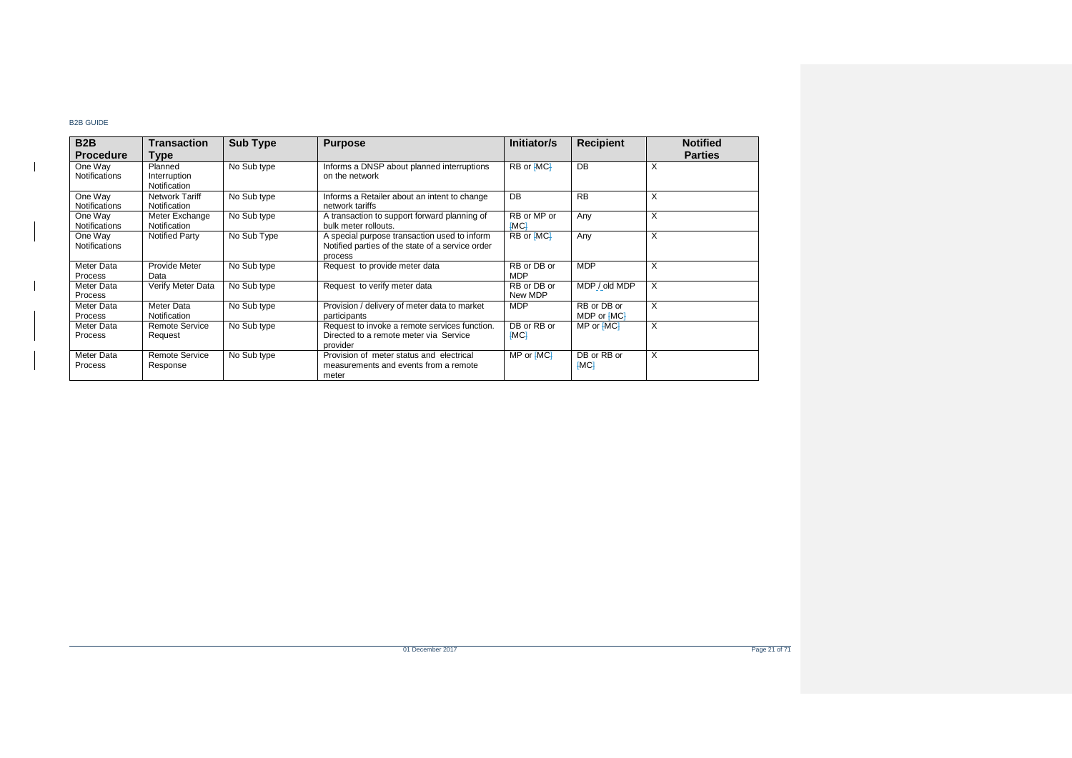| B <sub>2</sub> B<br><b>Procedure</b> | <b>Transaction</b><br><b>Type</b>       | <b>Sub Type</b> | <b>Purpose</b>                                                                                              | Initiator/s                | <b>Recipient</b>          | <b>Notified</b><br><b>Parties</b> |
|--------------------------------------|-----------------------------------------|-----------------|-------------------------------------------------------------------------------------------------------------|----------------------------|---------------------------|-----------------------------------|
| One Way<br><b>Notifications</b>      | Planned<br>Interruption<br>Notification | No Sub type     | Informs a DNSP about planned interruptions<br>on the network                                                | RB or HMC                  | DB                        | X                                 |
| One Way<br><b>Notifications</b>      | Network Tariff<br>Notification          | No Sub type     | Informs a Retailer about an intent to change<br>network tariffs                                             | DB                         | <b>RB</b>                 | X                                 |
| One Way<br><b>Notifications</b>      | Meter Exchange<br>Notification          | No Sub type     | A transaction to support forward planning of<br>bulk meter rollouts.                                        | RB or MP or<br><b>FMC1</b> | Any                       | X                                 |
| One Way<br>Notifications             | <b>Notified Party</b>                   | No Sub Type     | A special purpose transaction used to inform<br>Notified parties of the state of a service order<br>process | RB or [MC]                 | Any                       | X                                 |
| Meter Data<br>Process                | Provide Meter<br>Data                   | No Sub type     | Request to provide meter data                                                                               | RB or DB or<br><b>MDP</b>  | <b>MDP</b>                | X                                 |
| Meter Data<br>Process                | Verify Meter Data                       | No Sub type     | Request to verify meter data                                                                                | RB or DB or<br>New MDP     | MDP / old MDP             | X                                 |
| Meter Data<br>Process                | Meter Data<br>Notification              | No Sub type     | Provision / delivery of meter data to market<br>participants                                                | <b>MDP</b>                 | RB or DB or<br>MDP or MC  | X                                 |
| Meter Data<br>Process                | <b>Remote Service</b><br>Request        | No Sub type     | Request to invoke a remote services function.<br>Directed to a remote meter via Service<br>provider         | DB or RB or<br>[MC]        | MP or [MC]                | X                                 |
| Meter Data<br><b>Process</b>         | Remote Service<br>Response              | No Sub type     | Provision of meter status and electrical<br>measurements and events from a remote<br>meter                  | MP or [MC]                 | DB or RB or<br><b>FMC</b> | X                                 |

01 December 2017 Page 21 of 71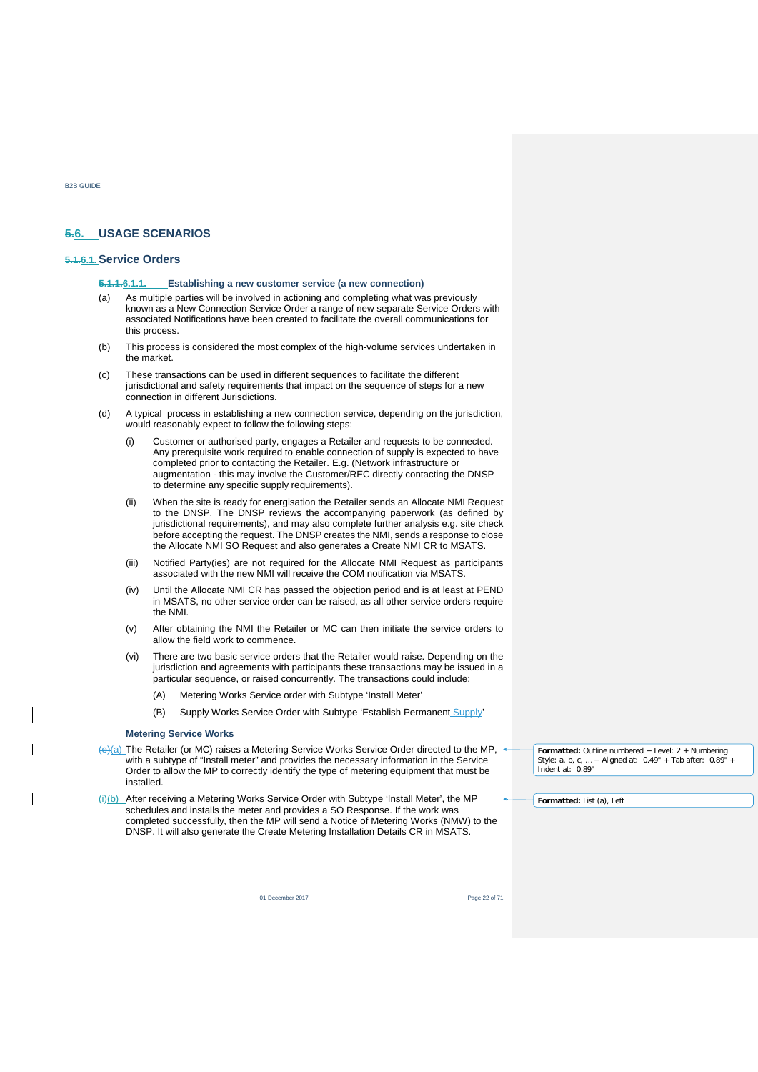# <span id="page-21-0"></span>**5.6. USAGE SCENARIOS**

## <span id="page-21-1"></span>**5.1.6.1. Service Orders**

# **5.1.1.6.1.1. Establishing a new customer service (a new connection)**

- (a) As multiple parties will be involved in actioning and completing what was previously known as a New Connection Service Order a range of new separate Service Orders with associated Notifications have been created to facilitate the overall communications for this process.
- (b) This process is considered the most complex of the high-volume services undertaken in the market.
- (c) These transactions can be used in different sequences to facilitate the different jurisdictional and safety requirements that impact on the sequence of steps for a new connection in different Jurisdictions.
- (d) A typical process in establishing a new connection service, depending on the jurisdiction, would reasonably expect to follow the following steps:
	- (i) Customer or authorised party, engages a Retailer and requests to be connected. Any prerequisite work required to enable connection of supply is expected to have completed prior to contacting the Retailer. E.g. (Network infrastructure or augmentation - this may involve the Customer/REC directly contacting the DNSP to determine any specific supply requirements).
	- (ii) When the site is ready for energisation the Retailer sends an Allocate NMI Request to the DNSP. The DNSP reviews the accompanying paperwork (as defined by jurisdictional requirements), and may also complete further analysis e.g. site check before accepting the request. The DNSP creates the NMI, sends a response to close the Allocate NMI SO Request and also generates a Create NMI CR to MSATS.
	- (iii) Notified Party(ies) are not required for the Allocate NMI Request as participants associated with the new NMI will receive the COM notification via MSATS.
	- (iv) Until the Allocate NMI CR has passed the objection period and is at least at PEND in MSATS, no other service order can be raised, as all other service orders require the NMI.
	- (v) After obtaining the NMI the Retailer or MC can then initiate the service orders to allow the field work to commence.
	- (vi) There are two basic service orders that the Retailer would raise. Depending on the jurisdiction and agreements with participants these transactions may be issued in a particular sequence, or raised concurrently. The transactions could include:
		- (A) Metering Works Service order with Subtype 'Install Meter'
		- (B) Supply Works Service Order with Subtype 'Establish Permanent Supply'

#### **Metering Service Works**

(e)(a) The Retailer (or MC) raises a Metering Service Works Service Order directed to the MP, with a subtype of "Install meter" and provides the necessary information in the Service Order to allow the MP to correctly identify the type of metering equipment that must be installed.

(i)(b) After receiving a Metering Works Service Order with Subtype 'Install Meter', the MP schedules and installs the meter and provides a SO Response. If the work was completed successfully, then the MP will send a Notice of Metering Works (NMW) to the DNSP. It will also generate the Create Metering Installation Details CR in MSATS.

01 December 2017 Page 22 of 71

**Formatted:** Outline numbered + Level: 2 + Numbering<br>Style: a, b, c, ... + Aligned at: 0.49" + Tab after: 0.89" +<br>Indent at: 0.89"

**Formatted:** List (a), Left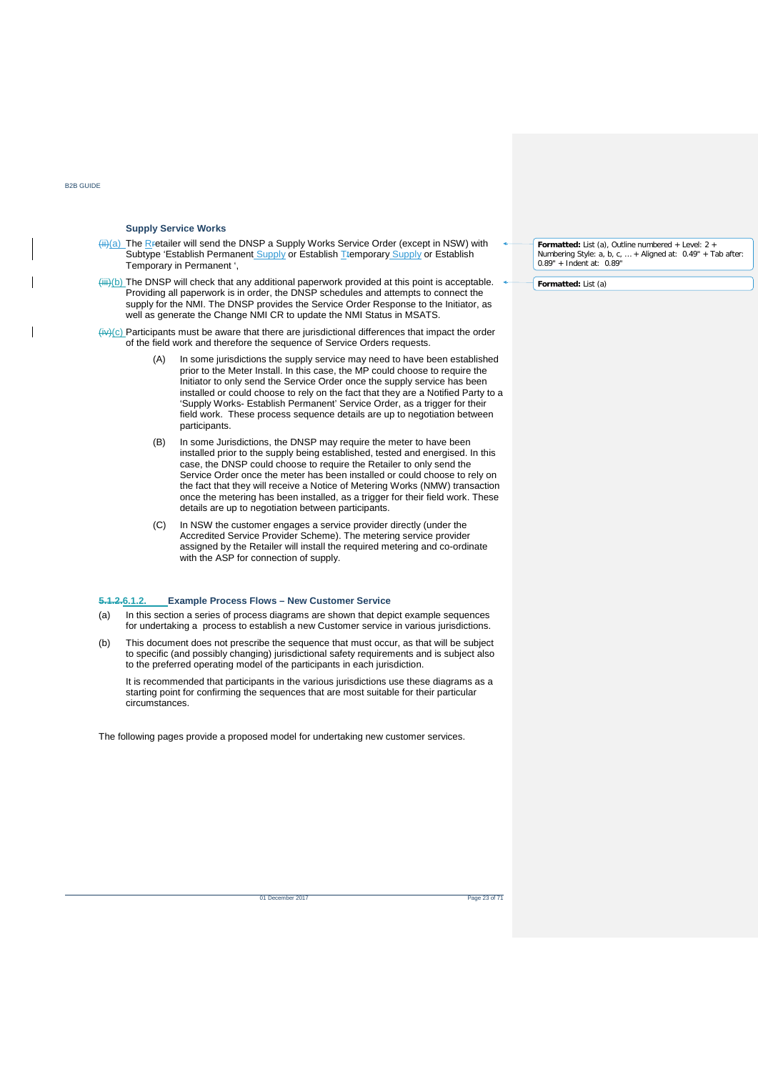#### **Supply Service Works**

- $(iii)(a)$  The R<sub>F</sub>etailer will send the DNSP a Supply Works Service Order (except in NSW) with Subtype 'Establish Permanent Supply or Establish Ttemporary Supply or Establish Temporary in Permanent ',
- (iii)(b) The DNSP will check that any additional paperwork provided at this point is acceptable. Providing all paperwork is in order, the DNSP schedules and attempts to connect the supply for the NMI. The DNSP provides the Service Order Response to the Initiator, as well as generate the Change NMI CR to update the NMI Status in MSATS.

 $\overline{(iv)(c)}$  Participants must be aware that there are jurisdictional differences that impact the order of the field work and therefore the sequence of Service Orders requests.

- (A) In some jurisdictions the supply service may need to have been established prior to the Meter Install. In this case, the MP could choose to require the Initiator to only send the Service Order once the supply service has been installed or could choose to rely on the fact that they are a Notified Party to a 'Supply Works- Establish Permanent' Service Order, as a trigger for their field work. These process sequence details are up to negotiation between participants.
- (B) In some Jurisdictions, the DNSP may require the meter to have been installed prior to the supply being established, tested and energised. In this case, the DNSP could choose to require the Retailer to only send the Service Order once the meter has been installed or could choose to rely on the fact that they will receive a Notice of Metering Works (NMW) transaction once the metering has been installed, as a trigger for their field work. These details are up to negotiation between participants.
- (C) In NSW the customer engages a service provider directly (under the Accredited Service Provider Scheme). The metering service provider assigned by the Retailer will install the required metering and co-ordinate with the ASP for connection of supply.

## **5.1.2.6.1.2. Example Process Flows – New Customer Service**

- (a) In this section a series of process diagrams are shown that depict example sequences for undertaking a process to establish a new Customer service in various jurisdictions.
- (b) This document does not prescribe the sequence that must occur, as that will be subject to specific (and possibly changing) jurisdictional safety requirements and is subject also to the preferred operating model of the participants in each jurisdiction.

It is recommended that participants in the various jurisdictions use these diagrams as a starting point for confirming the sequences that are most suitable for their particular circumstances.

The following pages provide a proposed model for undertaking new customer services.

**Formatted:** List (a), Outline numbered + Level: 2 +<br>Numbering Style: a, b, c, ... + Aligned at: 0.49" + Tab after: 0.89" + Indent at: 0.89"

**Formatted:** List (a)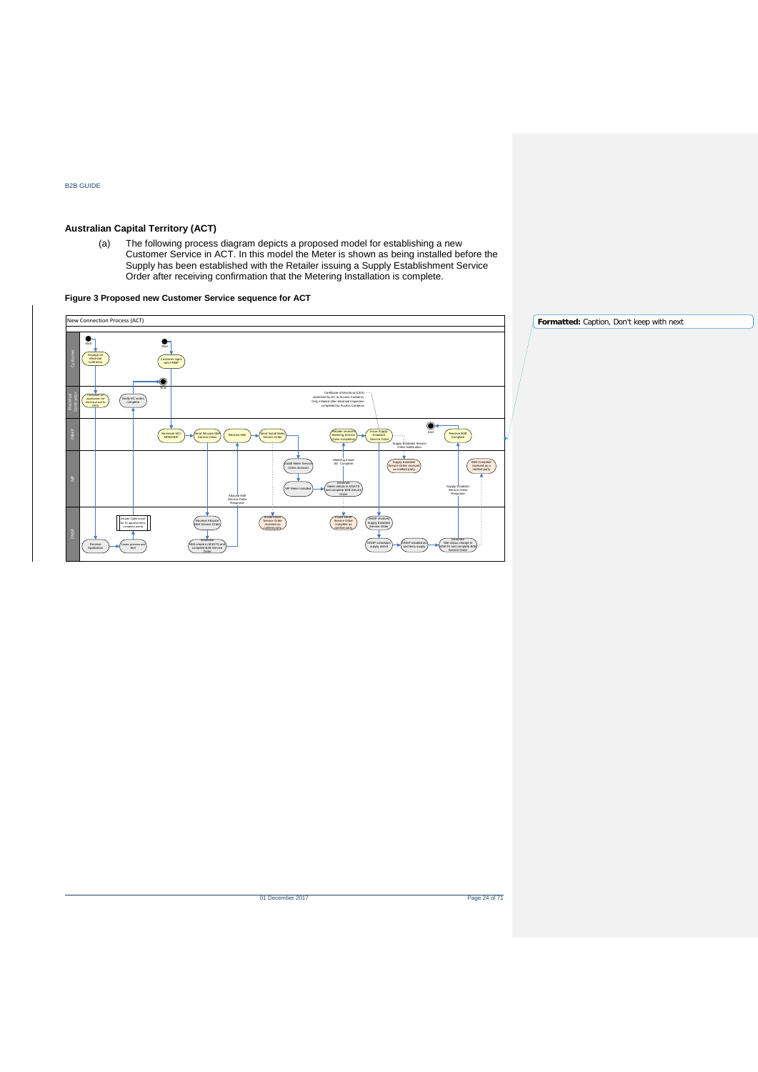# **Australian Capital Territory (ACT)**

(a) The following process diagram depicts a proposed model for establishing a new Customer Service in ACT. In this model the Meter is shown as being installed before the Supply has been established with the Retailer issuing a Supply Establishment Service Order after receiving confirmation that the Metering Installation is complete.

<span id="page-23-0"></span>**Figure 3 Proposed new Customer Service sequence for ACT**



of December 2017 Page 24 of 71

**Formatted:** Caption, Don't keep with next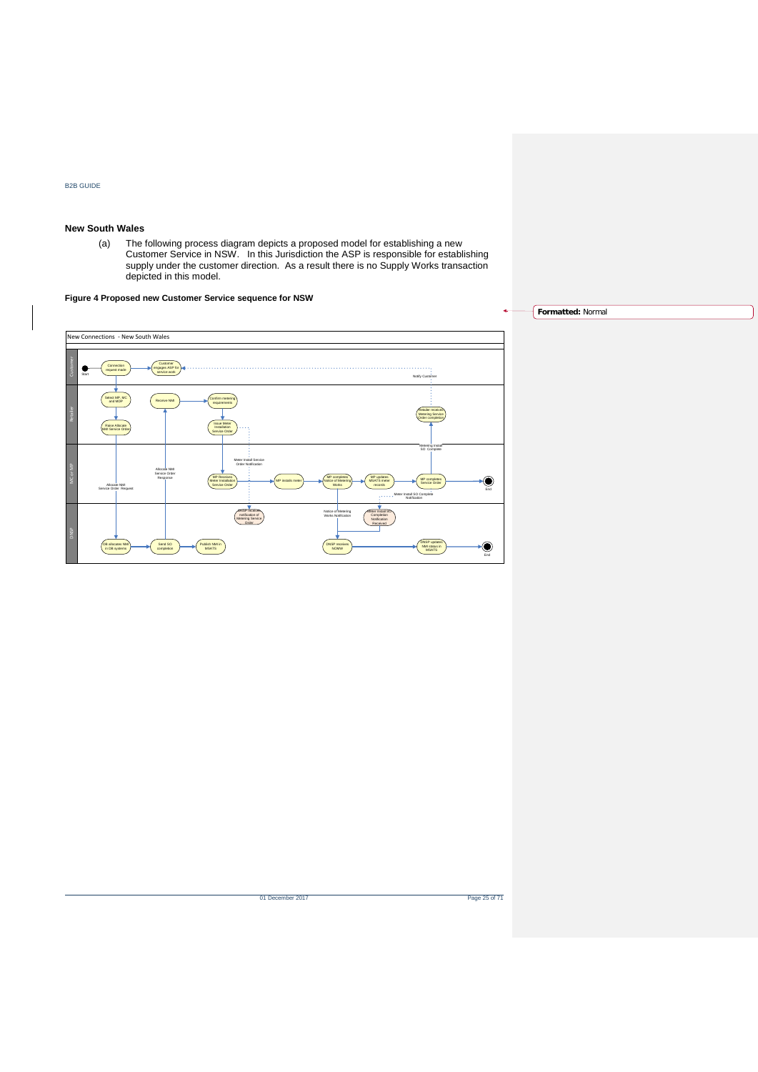# **New South Wales**

(a) The following process diagram depicts a proposed model for establishing a new Customer Service in NSW. In this Jurisdiction the ASP is responsible for establishing supply under the customer direction. As a result there is no Supply Works transaction depicted in this model.

<span id="page-24-0"></span>**Figure 4 Proposed new Customer Service sequence for NSW**



**Formatted:** Normal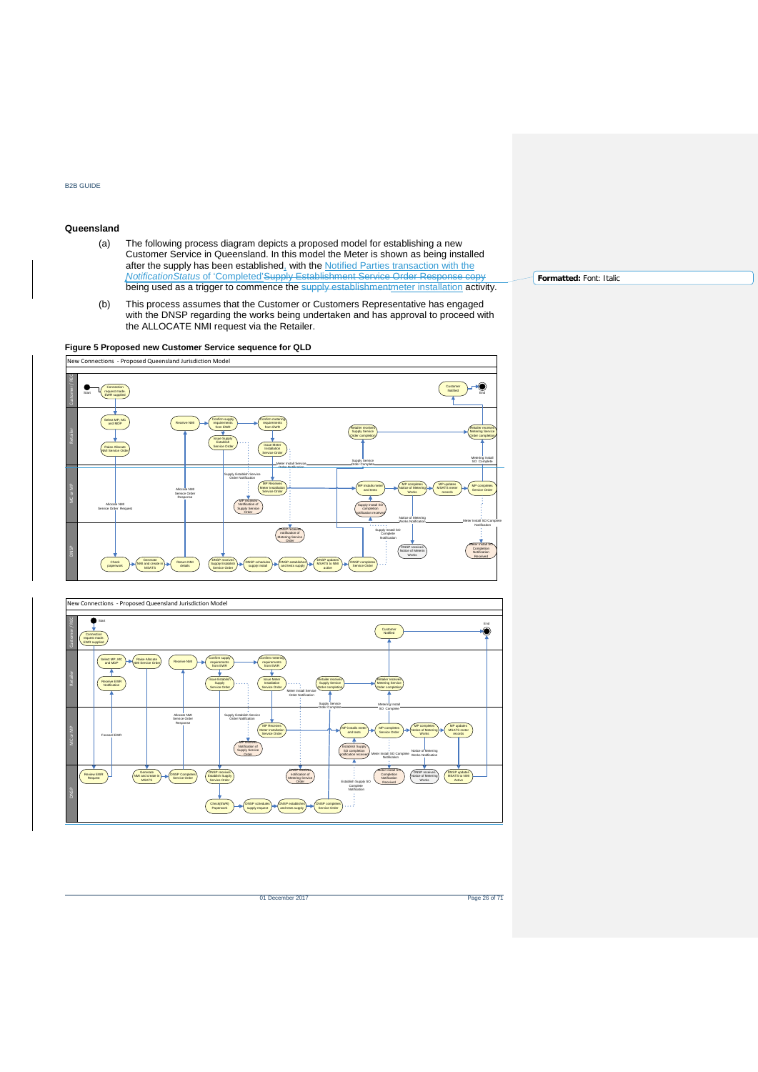# **Queensland**

- (a) The following process diagram depicts a proposed model for establishing a new Customer Service in Queensland. In this model the Meter is shown as being installed after the supply has been established, with the Notified Parties transaction with the *NotificationStatus* of 'Completed'Supply Establishment Service Order Response copy being used as a trigger to commence the <del>supply establishment<u>meter installation</u> acti</del>vity.
- (b) This process assumes that the Customer or Customers Representative has engaged with the DNSP regarding the works being undertaken and has approval to proceed with the ALLOCATE NMI request via the Retailer.

# <span id="page-25-0"></span>**Figure 5 Proposed new Customer Service sequence for QLD**





01 December 2017 Page 26 of 71

**Formatted:** Font: Italic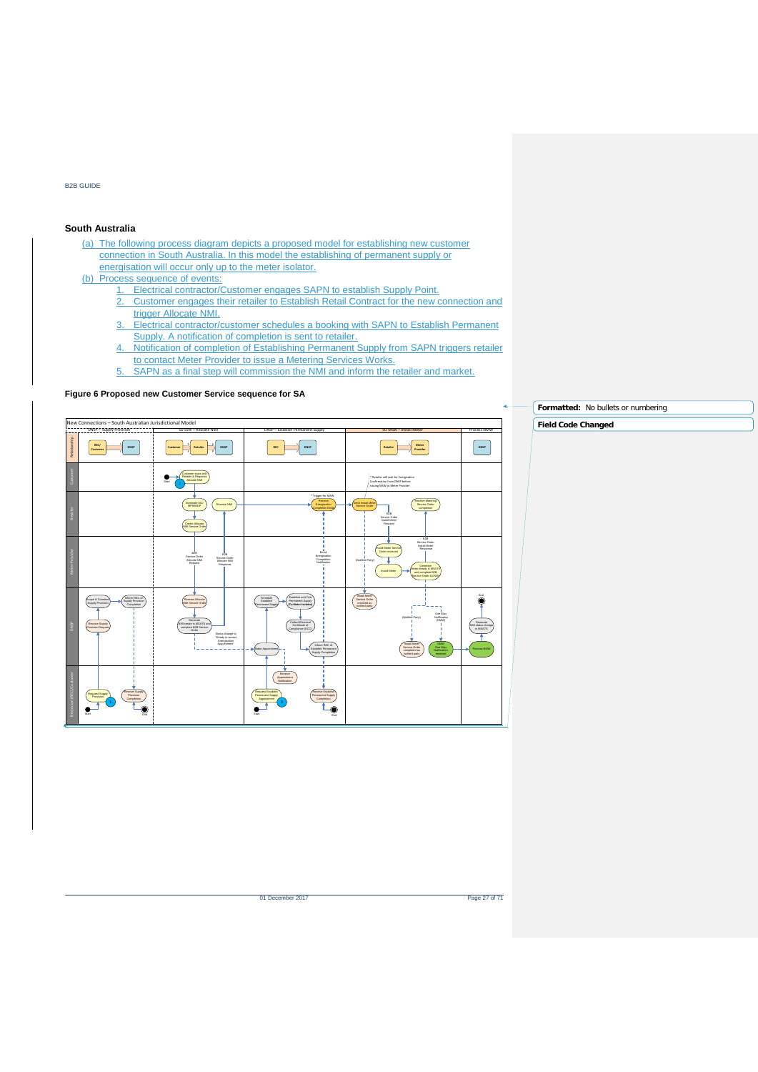# **South Australia**

- (a) The following process diagram depicts a proposed model for establishing new customer connection in South Australia. In this model the establishing of permanent supply or
- energisation will occur only up to the meter isolator. (b) Process sequence of events:
- - 1. Electrical contractor/Customer engages SAPN to establish Supply Point.
	- 2. Customer engages their retailer to Establish Retail Contract for the new connection and trigger Allocate NMI.
	- 3. Electrical contractor/customer schedules a booking with SAPN to Establish Permanent Supply. A notification of completion is sent to retailer.
	- 4. Notification of completion of Establishing Permanent Supply from SAPN triggers retailer to contact Meter Provider to issue a Metering Services Works.
	- 5. SAPN as a final step will commission the NMI and inform the retailer and market.
	-

#### <span id="page-26-0"></span>**Figure 6 Proposed new Customer Service sequence for SA**



01 December 2017 Page 27 of 71

**Formatted:** No bullets or numbering

**Field Code Changed**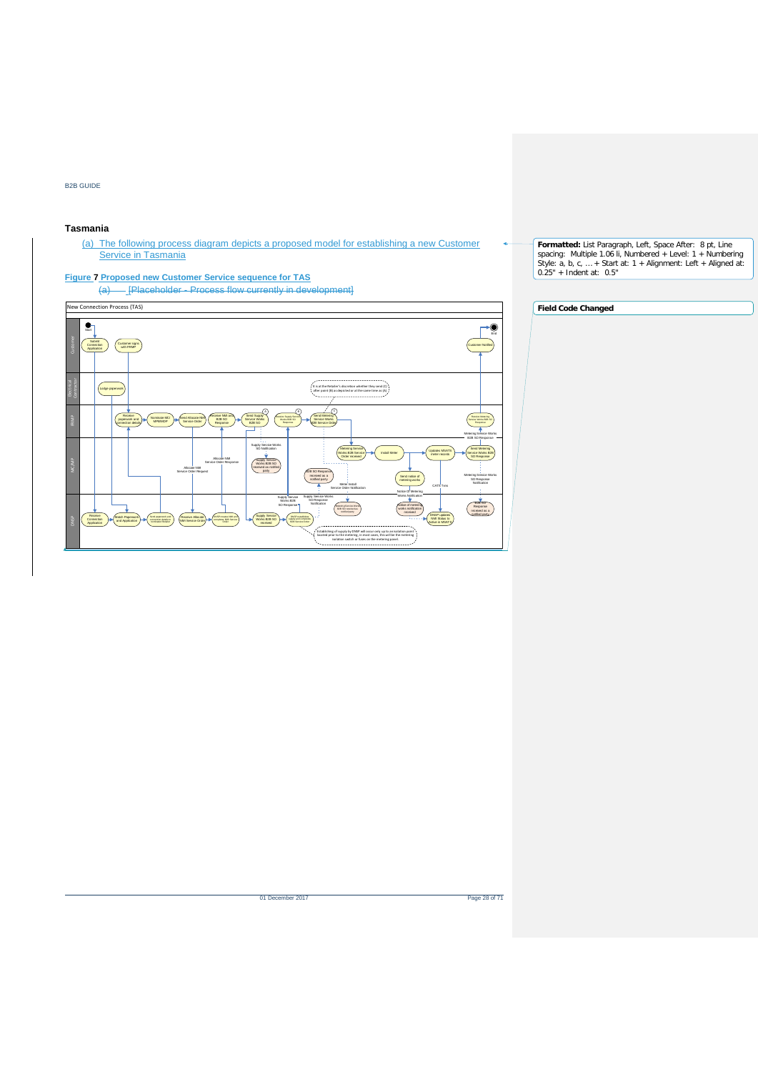# **Tasmania**

- (a) The following process diagram depicts a proposed model for establishing a new Customer **Service in Tasmania**
- <span id="page-27-0"></span>**Figure 7 Proposed new Customer Service sequence for TAS** (a) [Placeholder - Process flow currently in development]



01 December 2017 Page 28 of 71

**Formatted:** List Paragraph, Left, Space After: 8 pt, Line<br>spacing: Multiple 1.06 li, Numbered + Level: 1 + Numbering<br>Style: a, b, c, ... + Start at: 1 + Alignment: Left + Aligned at:<br>0.25" + Indent at: 0.5"

**Field Code Changed**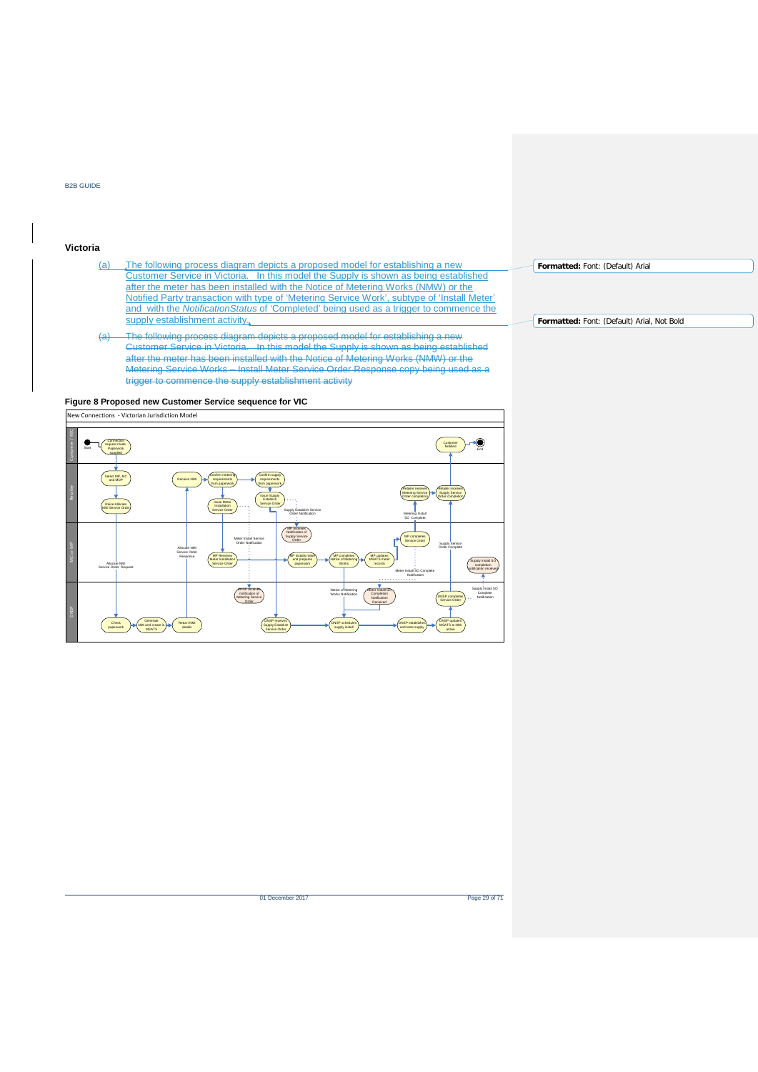## **Victoria**

- (a) The following process diagram depicts a proposed model for establishing a new Customer Service in Victoria. In this model the Supply is shown as being established after the meter has been installed with the Notice of Metering Works (NMW) or the Notified Party transaction with type of 'Metering Service Work', subtype of 'Install Meter' and with the *NotificationStatus* of 'Completed' being used as a trigger to commence the supply establishment activity.
- (a) The following process diagram depicts a proposed model for establishing a new Customer Service in Victoria. In this model the Supply is shown as being established after the meter has been installed with the Notice of Metering Works (NMW) or the Metering Service Works – Install Meter Service Order Response copy being used as a trigger to commence the supply establishment activity

# <span id="page-28-0"></span>**Figure 8 Proposed new Customer Service sequence for VIC**



**Formatted:** Font: (Default) Arial

**Formatted:** Font: (Default) Arial, Not Bold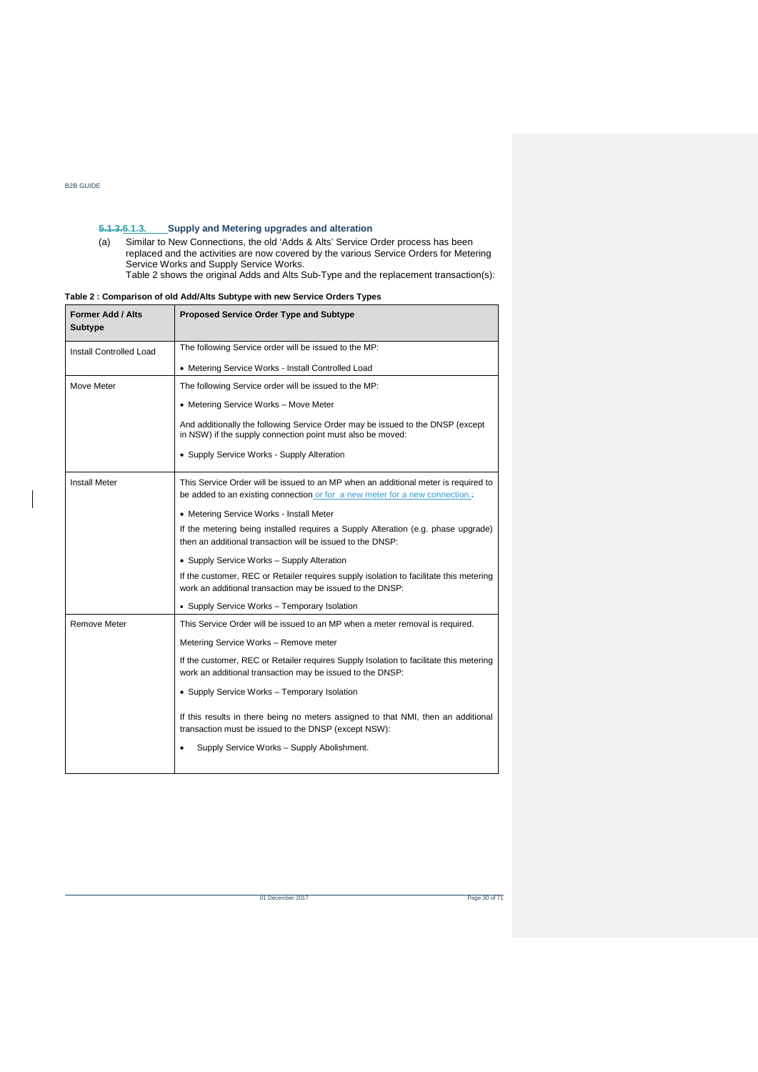# **5.1.3.6.1.3. Supply and Metering upgrades and alteration**

(a) Similar to New Connections, the old 'Adds & Alts' Service Order process has been replaced and the activities are now covered by the various Service Orders for Metering Service Works and Supply Service Works.

| Table 2 shows the original Adds and Alts Sub-Type and the replacement transaction(s): |  |  |
|---------------------------------------------------------------------------------------|--|--|
|---------------------------------------------------------------------------------------|--|--|

<span id="page-29-0"></span>

|  |  |  | Table 2: Comparison of old Add/Alts Subtype with new Service Orders Types |  |  |
|--|--|--|---------------------------------------------------------------------------|--|--|
|--|--|--|---------------------------------------------------------------------------|--|--|

| <b>Former Add / Alts</b><br><b>Subtype</b> | <b>Proposed Service Order Type and Subtype</b>                                                                                                                    |  |  |  |  |  |
|--------------------------------------------|-------------------------------------------------------------------------------------------------------------------------------------------------------------------|--|--|--|--|--|
| Install Controlled Load                    | The following Service order will be issued to the MP:                                                                                                             |  |  |  |  |  |
|                                            | • Metering Service Works - Install Controlled Load                                                                                                                |  |  |  |  |  |
| Move Meter                                 | The following Service order will be issued to the MP:                                                                                                             |  |  |  |  |  |
|                                            | • Metering Service Works - Move Meter                                                                                                                             |  |  |  |  |  |
|                                            | And additionally the following Service Order may be issued to the DNSP (except<br>in NSW) if the supply connection point must also be moved:                      |  |  |  |  |  |
|                                            | • Supply Service Works - Supply Alteration                                                                                                                        |  |  |  |  |  |
| <b>Install Meter</b>                       | This Service Order will be issued to an MP when an additional meter is required to<br>be added to an existing connection or for a new meter for a new connection. |  |  |  |  |  |
|                                            | • Metering Service Works - Install Meter                                                                                                                          |  |  |  |  |  |
|                                            | If the metering being installed requires a Supply Alteration (e.g. phase upgrade)<br>then an additional transaction will be issued to the DNSP:                   |  |  |  |  |  |
|                                            | • Supply Service Works - Supply Alteration                                                                                                                        |  |  |  |  |  |
|                                            | If the customer, REC or Retailer requires supply isolation to facilitate this metering<br>work an additional transaction may be issued to the DNSP:               |  |  |  |  |  |
|                                            | • Supply Service Works - Temporary Isolation                                                                                                                      |  |  |  |  |  |
| Remove Meter                               | This Service Order will be issued to an MP when a meter removal is required.                                                                                      |  |  |  |  |  |
|                                            | Metering Service Works - Remove meter                                                                                                                             |  |  |  |  |  |
|                                            | If the customer, REC or Retailer requires Supply Isolation to facilitate this metering<br>work an additional transaction may be issued to the DNSP:               |  |  |  |  |  |
|                                            | • Supply Service Works - Temporary Isolation                                                                                                                      |  |  |  |  |  |
|                                            | If this results in there being no meters assigned to that NMI, then an additional<br>transaction must be issued to the DNSP (except NSW):                         |  |  |  |  |  |
|                                            | Supply Service Works - Supply Abolishment.                                                                                                                        |  |  |  |  |  |
|                                            |                                                                                                                                                                   |  |  |  |  |  |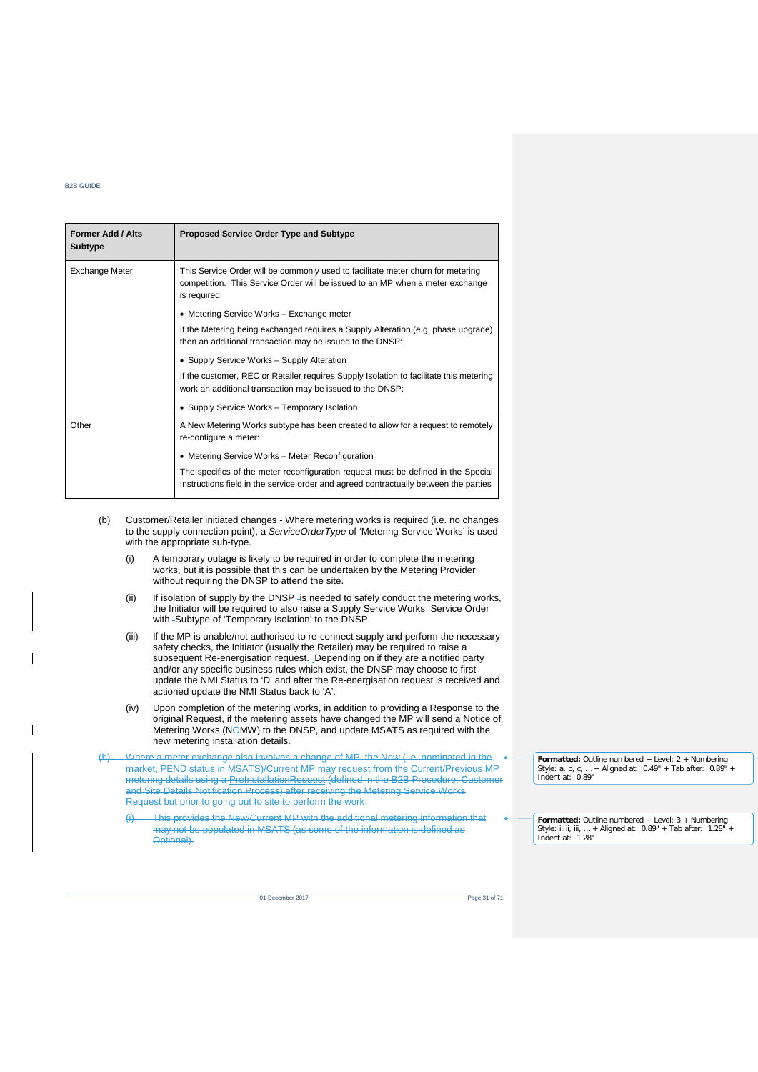| <b>Former Add / Alts</b><br>Subtype                                                                                                            | <b>Proposed Service Order Type and Subtype</b>                                                                                                                                   |  |  |  |  |
|------------------------------------------------------------------------------------------------------------------------------------------------|----------------------------------------------------------------------------------------------------------------------------------------------------------------------------------|--|--|--|--|
| <b>Exchange Meter</b>                                                                                                                          | This Service Order will be commonly used to facilitate meter churn for metering<br>competition. This Service Order will be issued to an MP when a meter exchange<br>is required: |  |  |  |  |
|                                                                                                                                                | • Metering Service Works - Exchange meter                                                                                                                                        |  |  |  |  |
| If the Metering being exchanged requires a Supply Alteration (e.g. phase upgrade)<br>then an additional transaction may be issued to the DNSP: |                                                                                                                                                                                  |  |  |  |  |
|                                                                                                                                                | • Supply Service Works – Supply Alteration                                                                                                                                       |  |  |  |  |
|                                                                                                                                                | If the customer, REC or Retailer requires Supply Isolation to facilitate this metering<br>work an additional transaction may be issued to the DNSP:                              |  |  |  |  |
|                                                                                                                                                | • Supply Service Works – Temporary Isolation                                                                                                                                     |  |  |  |  |
| Other                                                                                                                                          | A New Metering Works subtype has been created to allow for a request to remotely<br>re-configure a meter:                                                                        |  |  |  |  |
|                                                                                                                                                | • Metering Service Works – Meter Reconfiguration                                                                                                                                 |  |  |  |  |
|                                                                                                                                                | The specifics of the meter reconfiguration request must be defined in the Special<br>Instructions field in the service order and agreed contractually between the parties        |  |  |  |  |

(b) Customer/Retailer initiated changes - Where metering works is required (i.e. no changes to the supply connection point), a *ServiceOrderType* of 'Metering Service Works' is used with the appropriate sub-type.

- (i) A temporary outage is likely to be required in order to complete the metering works, but it is possible that this can be undertaken by the Metering Provider without requiring the DNSP to attend the site.
- (ii) If isolation of supply by the DNSP is needed to safely conduct the metering works, the Initiator will be required to also raise a Supply Service Works- Service Order with -Subtype of 'Temporary Isolation' to the DNSP.
- (iii) If the MP is unable/not authorised to re-connect supply and perform the necessary safety checks, the Initiator (usually the Retailer) may be required to raise a subsequent Re-energisation request. Depending on if they are a notified party and/or any specific business rules which exist, the DNSP may choose to first update the NMI Status to 'D' and after the Re-energisation request is received and actioned update the NMI Status back to 'A'.
- (iv) Upon completion of the metering works, in addition to providing a Response to the original Request, if the metering assets have changed the MP will send a Notice of Metering Works (NOMW) to the DNSP, and update MSATS as required with the new metering installation details.
- (b) Where a meter exchange also involves a change of MP, the New (i.e. nominated in the market, PEND status in MSATS)/Current MP may request from the Current/Previous MP metering details using a PreInstallationRequest (defined in the B2B Procedure: Customer and Site Details Notification Process) after receiving the Metering Service Works Request but prior to going out to site to perform the work.
	- This provides the New/Current MP with the additional metering information that may not be populated in MSATS (as some of the information is defined as Optional).

**Formatted:** Outline numbered + Level: 2 + Numbering<br>Style: a, b, c, ... + Aligned at: 0.49" + Tab after: 0.89" +<br>Indent at: 0.89"

**Formatted:** Outline numbered + Level: 3 + Numbering<br>Style: i, ii, iii, ... + Aligned at: 0.89" + Tab after: 1.28" +<br>Indent at: 1.28"

of December 2017 Page 31 of 71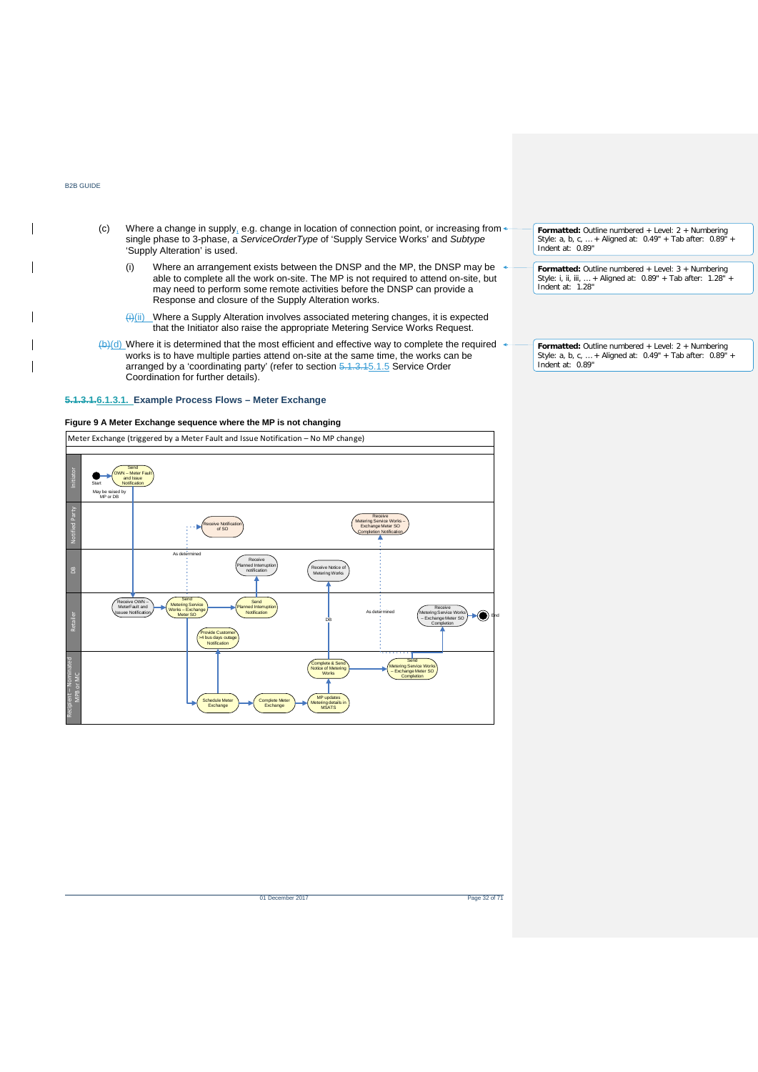- (c) Where a change in supply, e.g. change in location of connection point, or increasing from single phase to 3-phase, a *ServiceOrderType* of 'Supply Service Works' and *Subtype* 'Supply Alteration' is used.
	- (i) Where an arrangement exists between the DNSP and the MP, the DNSP may be able to complete all the work on-site. The MP is not required to attend on-site, but may need to perform some remote activities before the DNSP can provide a Response and closure of the Supply Alteration works.
	- $\frac{f(\cdot)(ii)}{ii}$  Where a Supply Alteration involves associated metering changes, it is expected that the Initiator also raise the appropriate Metering Service Works Request.
- (b)(d) Where it is determined that the most efficient and effective way to complete the required works is to have multiple parties attend on-site at the same time, the works can be arranged by a 'coordinating party' (refer to section [5.1.3.15](#page-34-2).1.5 Service Order Coordination for further details).

# **5.1.3.1.6.1.3.1. Example Process Flows – Meter Exchange**

# <span id="page-31-0"></span>**Figure 9 A Meter Exchange sequence where the MP is not changing**

Meter Exchange (triggered by a Meter Fault and Issue Notification – No MP change)



**Formatted:** Outline numbered + Level: 2 + Numbering<br>Style: a, b, c, ... + Aligned at: 0.49" + Tab after: 0.89" +<br>Indent at: 0.89"

Formatted: Outline numbered + Level: 3 + Numbering<br>Style: i, ii, iii, ... + Aligned at: 0.89" + Tab after: 1.28" +<br>Indent at: 1.28"

**Formatted:** Outline numbered + Level: 2 + Numbering<br>Style: a, b, c, ... + Aligned at: 0.49" + Tab after: 0.89" +<br>Indent at: 0.89"

of December 2017 Page 32 of 71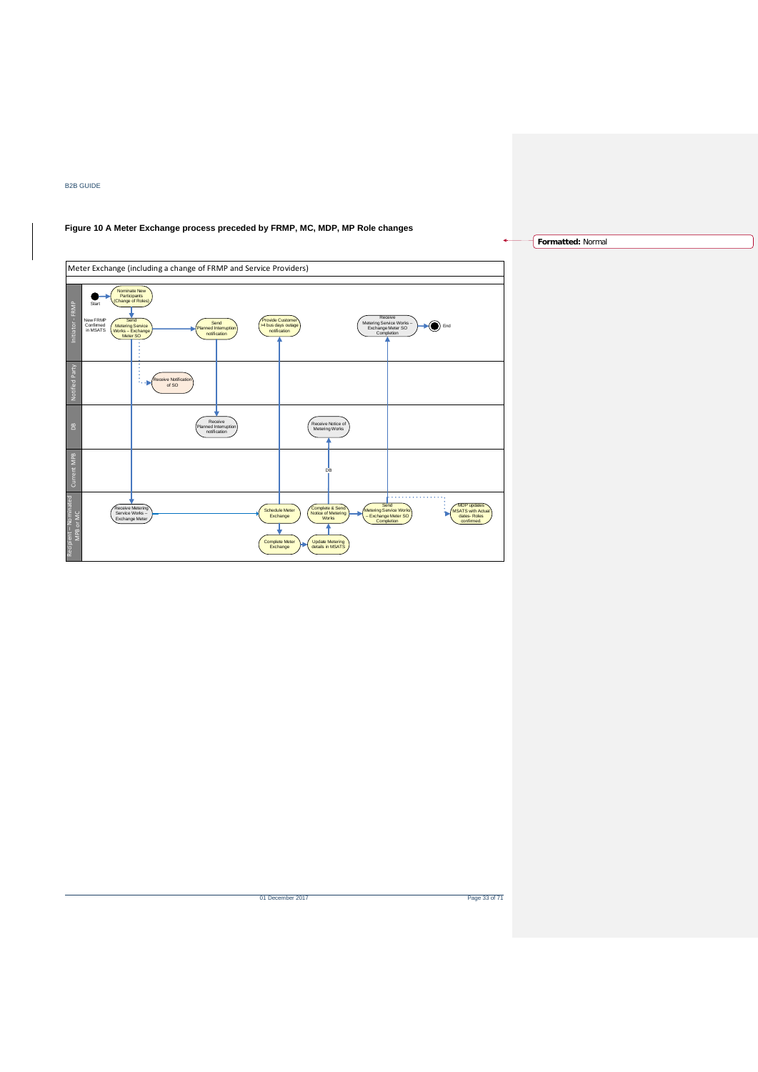# <span id="page-32-0"></span>**Figure 10 A Meter Exchange process preceded by FRMP, MC, MDP, MP Role changes**



**Formatted:** Normal

of December 2017 Page 33 of 71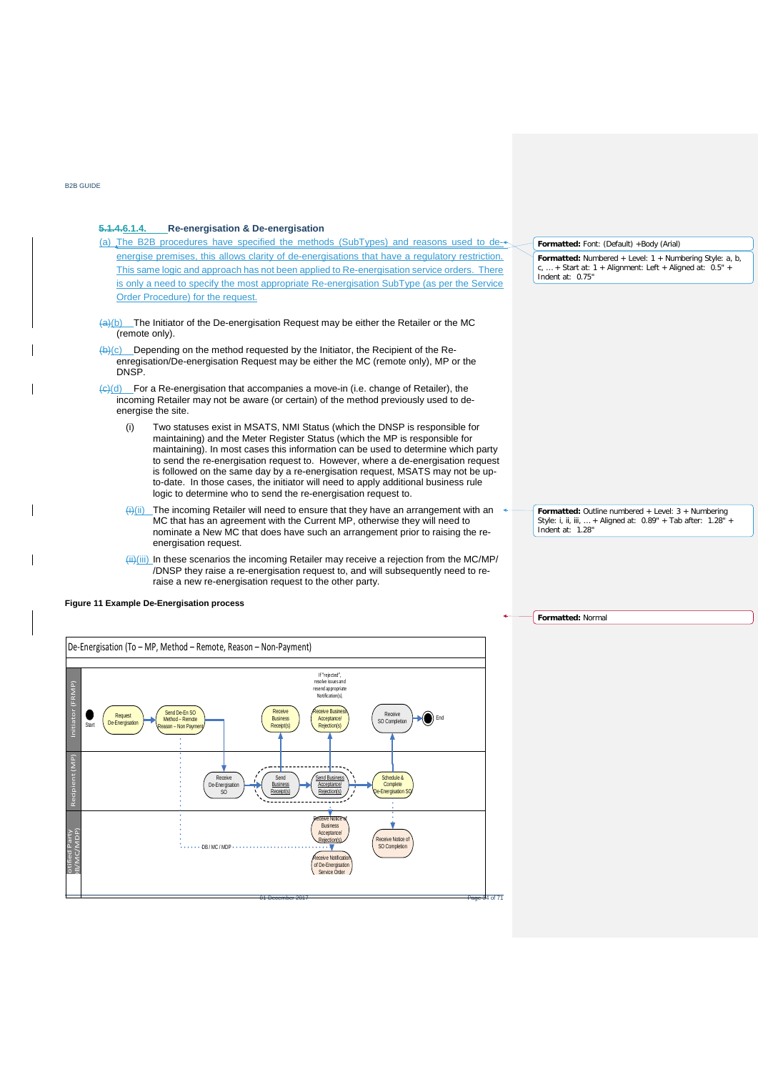# **5.1.4.6.1.4. Re-energisation & De-energisation**

- (a) The B2B procedures have specified the methods (SubTypes) and reasons used to deenergise premises, this allows clarity of de-energisations that have a regulatory restriction. This same logic and approach has not been applied to Re-energisation service orders. There is only a need to specify the most appropriate Re-energisation SubType (as per the Service Order Procedure) for the request.
- $(a)(b)$  The Initiator of the De-energisation Request may be either the Retailer or the MC (remote only).
- $\langle b \rangle$ (c) Depending on the method requested by the Initiator, the Recipient of the Reenregisation/De-energisation Request may be either the MC (remote only), MP or the DNSP.
- (c)(d) For a Re-energisation that accompanies a move-in (i.e. change of Retailer), the incoming Retailer may not be aware (or certain) of the method previously used to deenergise the site.
	- (i) Two statuses exist in MSATS, NMI Status (which the DNSP is responsible for maintaining) and the Meter Register Status (which the MP is responsible for maintaining). In most cases this information can be used to determine which party to send the re-energisation request to. However, where a de-energisation request is followed on the same day by a re-energisation request, MSATS may not be upto-date. In those cases, the initiator will need to apply additional business rule logic to determine who to send the re-energisation request to.
	- $(i)$ (ii) The incoming Retailer will need to ensure that they have an arrangement with an MC that has an agreement with the Current MP, otherwise they will need to nominate a New MC that does have such an arrangement prior to raising the reenergisation request.
	- $\frac{f(i)}{f(i)}$  In these scenarios the incoming Retailer may receive a rejection from the MC/MP/ /DNSP they raise a re-energisation request to, and will subsequently need to reraise a new re-energisation request to the other party.

<span id="page-33-0"></span>**Figure 11 Example De-Energisation process**



**Formatted:** Font: (Default) +Body (Arial)

**Formatted:** Numbered + Level: 1 + Numbering Style: a, b, + Start at: 1 + Alignment: Left + Aligned at: 0.5" Indent at: 0.75"

**Formatted:** Outline numbered + Level: 3 + Numbering<br>Style: i, ii, iii, ... + Aligned at: 0.89" + Tab after: 1.28" +<br>Indent at: 1.28"

**Formatted:** Normal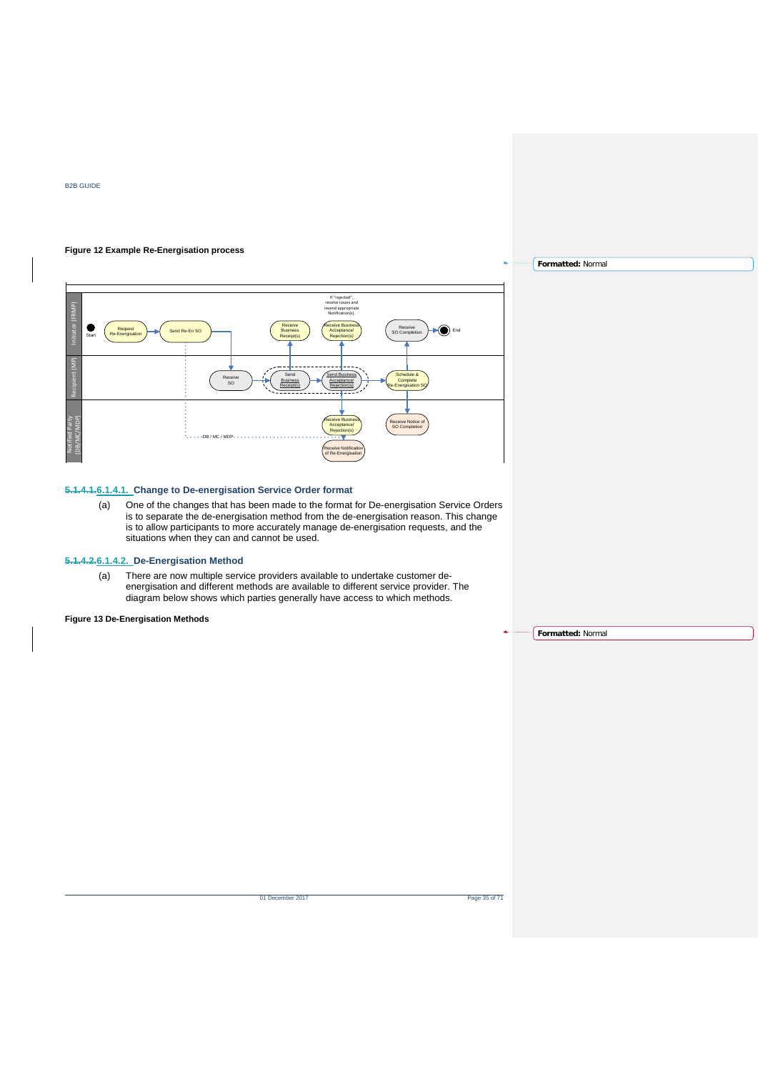#### <span id="page-34-0"></span>**Figure 12 Example Re-Energisation process**



# <span id="page-34-2"></span>**5.1.4.1.6.1.4.1. Change to De-energisation Service Order format**

(a) One of the changes that has been made to the format for De-energisation Service Orders is to separate the de-energisation method from the de-energisation reason. This change is to allow participants to more accurately manage de-energisation requests, and the situations when they can and cannot be used.

# **5.1.4.2.6.1.4.2. De-Energisation Method**

(a) There are now multiple service providers available to undertake customer deenergisation and different methods are available to different service provider. The diagram below shows which parties generally have access to which methods.

# <span id="page-34-1"></span>**Figure 13 De-Energisation Methods**

**Formatted:** Normal

**Formatted:** Normal

01 December 2017 Page 35 of 71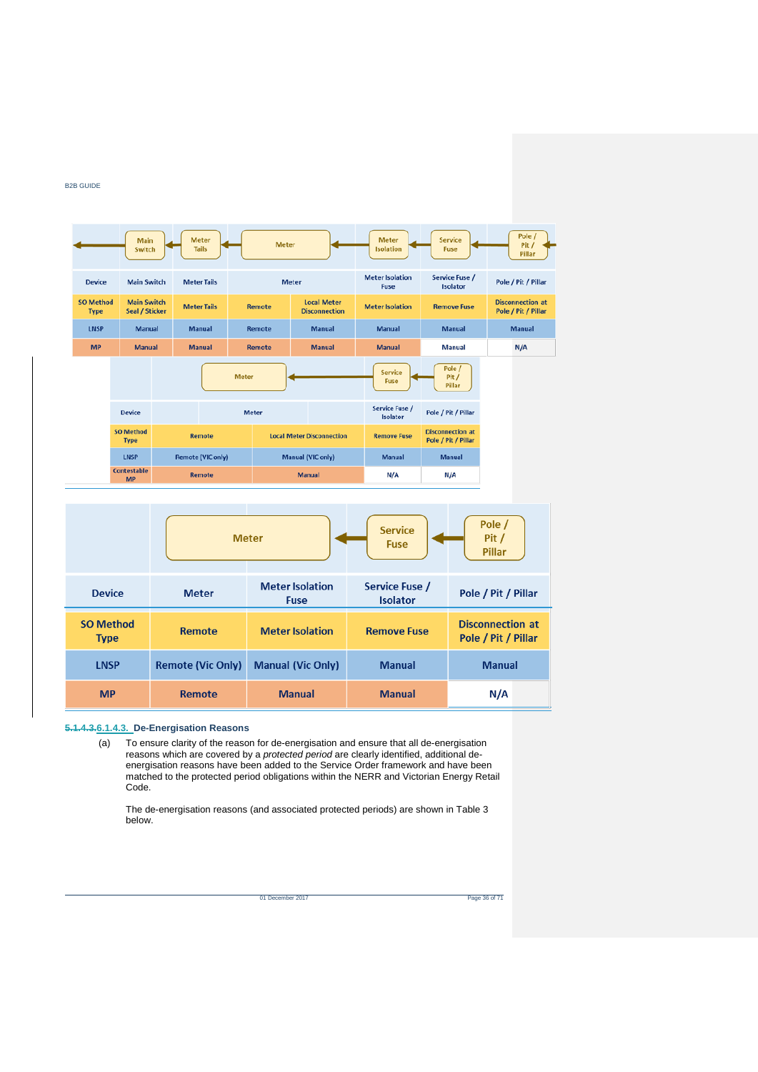|                                 | Main<br>Switch                              | <b>Meter</b><br><b>Tails</b> |                       | <b>Meter</b>      |                                            | Meter<br><b>Isolation</b>         | <b>Service</b><br>Fuse                           | Pole /<br>Pit /<br>Pillar                      |
|---------------------------------|---------------------------------------------|------------------------------|-----------------------|-------------------|--------------------------------------------|-----------------------------------|--------------------------------------------------|------------------------------------------------|
| <b>Device</b>                   | <b>Main Switch</b>                          | <b>Meter Tails</b>           | <b>Meter</b>          |                   |                                            | <b>Meter Isolation</b><br>Fuse    | Service Fuse /<br><b>Isolator</b>                | Pole / Pit / Pillar                            |
| <b>SO Method</b><br><b>Type</b> | <b>Main Switch</b><br><b>Seal / Sticker</b> | <b>Meter Tails</b>           | Remote                |                   | <b>Local Meter</b><br><b>Disconnection</b> | <b>Meter Isolation</b>            | <b>Remove Fuse</b>                               | <b>Disconnection at</b><br>Pole / Pit / Pillar |
| <b>LNSP</b>                     | <b>Manual</b>                               | <b>Manual</b>                | Remote                |                   | <b>Manual</b>                              | <b>Manual</b>                     | <b>Manual</b>                                    | <b>Manual</b>                                  |
| <b>MP</b>                       | <b>Manual</b>                               | <b>Manual</b>                | Remote                |                   | <b>Manual</b>                              | <b>Manual</b>                     | <b>Manual</b>                                    | N/A                                            |
|                                 | <b>Device</b>                               |                              | <b>Meter</b><br>Meter |                   |                                            | Service<br>Fuse<br>Service Fuse / | Pole /<br>Pit /<br>Pillar<br>Pole / Pit / Pillar |                                                |
|                                 | <b>SO Method</b><br><b>Type</b>             | Remote                       |                       |                   | <b>Local Meter Disconnection</b>           | Isolator<br><b>Remove Fuse</b>    | <b>Disconnection at</b><br>Pole / Pit / Pillar   |                                                |
|                                 | <b>LNSP</b>                                 | <b>Remote (VIC only)</b>     |                       | Manual (VIC only) |                                            | Manual                            | <b>Manual</b>                                    |                                                |
|                                 | Contestable<br><b>MP</b>                    | Remote                       | <b>Manual</b>         |                   |                                            | N/A                               | N/A                                              |                                                |
|                                 |                                             |                              |                       |                   |                                            |                                   |                                                  |                                                |
|                                 |                                             |                              |                       |                   |                                            | <b>Service</b>                    |                                                  | Pole /                                         |

|                                 |                          | <b>Meter</b>                          | <b>Service</b><br><b>Fuse</b>     | Pole /<br>Pit/<br><b>Pillar</b>                |
|---------------------------------|--------------------------|---------------------------------------|-----------------------------------|------------------------------------------------|
| <b>Device</b>                   | <b>Meter</b>             | <b>Meter Isolation</b><br><b>Fuse</b> | Service Fuse /<br><b>Isolator</b> | Pole / Pit / Pillar                            |
| <b>SO Method</b><br><b>Type</b> | <b>Remote</b>            | <b>Meter Isolation</b>                | <b>Remove Fuse</b>                | <b>Disconnection at</b><br>Pole / Pit / Pillar |
| <b>LNSP</b>                     | <b>Remote (Vic Only)</b> | <b>Manual (Vic Only)</b>              | <b>Manual</b>                     | <b>Manual</b>                                  |
| <b>MP</b>                       | <b>Remote</b>            | <b>Manual</b>                         | <b>Manual</b>                     | N/A                                            |

# **5.1.4.3.6.1.4.3. De-Energisation Reasons**

(a) To ensure clarity of the reason for de-energisation and ensure that all de-energisation reasons which are covered by a *protected period* are clearly identified, additional deenergisation reasons have been added to the Service Order framework and have been matched to the protected period obligations within the NERR and Victorian Energy Retail Code.

The de-energisation reasons (and associated protected periods) are shown in [Table 3](#page-36-0) below.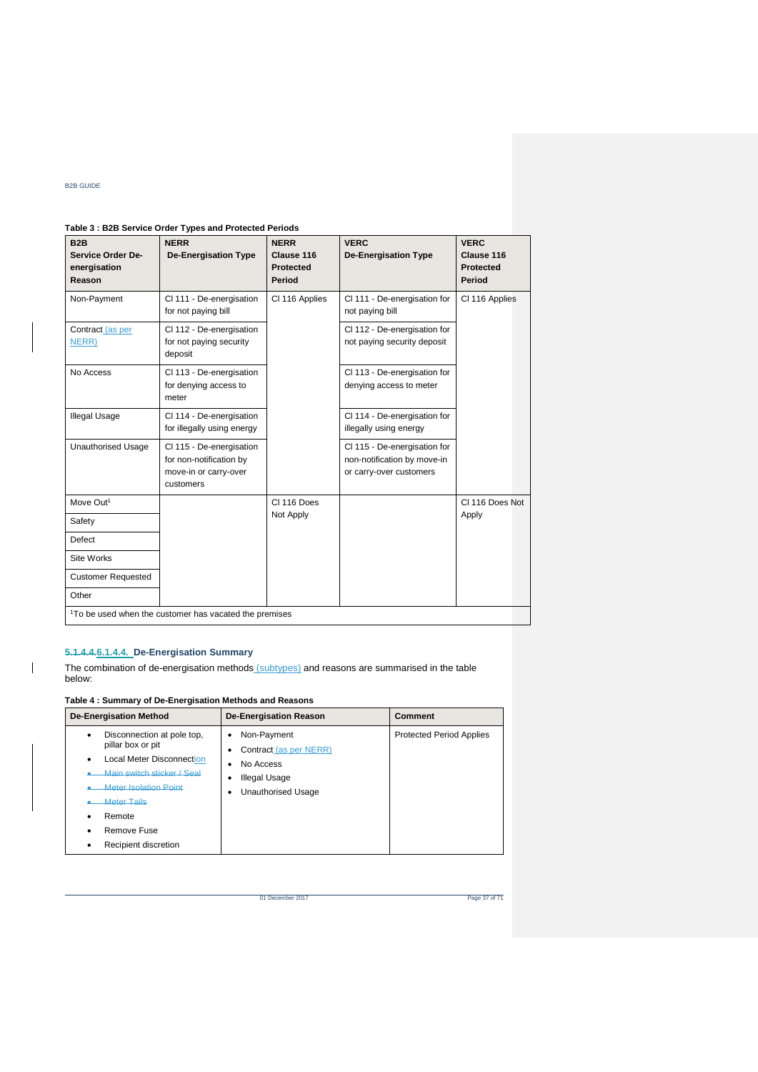# <span id="page-36-0"></span>**Table 3 : B2B Service Order Types and Protected Periods**

| B <sub>2</sub> B<br>Service Order De-<br>energisation<br>Reason | <b>NERR</b><br><b>De-Energisation Type</b>                                                | <b>NERR</b><br>Clause 116<br><b>Protected</b><br>Period | <b>VERC</b><br><b>De-Energisation Type</b>                                             | <b>VERC</b><br>Clause 116<br><b>Protected</b><br>Period |
|-----------------------------------------------------------------|-------------------------------------------------------------------------------------------|---------------------------------------------------------|----------------------------------------------------------------------------------------|---------------------------------------------------------|
| Non-Payment                                                     | Cl 111 - De-energisation<br>for not paying bill                                           | CI 116 Applies                                          | CI 111 - De-energisation for<br>not paying bill                                        | CI 116 Applies                                          |
| Contract (as per<br>NERR)                                       | Cl 112 - De-energisation<br>for not paying security<br>deposit                            |                                                         | CI 112 - De-energisation for<br>not paying security deposit                            |                                                         |
| No Access                                                       | CI 113 - De-energisation<br>for denying access to<br>meter                                |                                                         | Cl 113 - De-energisation for<br>denying access to meter                                |                                                         |
| <b>Illegal Usage</b>                                            | CI 114 - De-energisation<br>for illegally using energy                                    |                                                         | CI 114 - De-energisation for<br>illegally using energy                                 |                                                         |
| <b>Unauthorised Usage</b>                                       | CI 115 - De-energisation<br>for non-notification by<br>move-in or carry-over<br>customers |                                                         | CI 115 - De-energisation for<br>non-notification by move-in<br>or carry-over customers |                                                         |
| Move Out <sup>1</sup>                                           |                                                                                           | CI 116 Does                                             |                                                                                        | CI 116 Does Not                                         |
| Safety                                                          |                                                                                           | Not Apply                                               |                                                                                        | Apply                                                   |
| Defect                                                          |                                                                                           |                                                         |                                                                                        |                                                         |
| Site Works                                                      |                                                                                           |                                                         |                                                                                        |                                                         |
| <b>Customer Requested</b>                                       |                                                                                           |                                                         |                                                                                        |                                                         |
| Other                                                           |                                                                                           |                                                         |                                                                                        |                                                         |
|                                                                 | <sup>1</sup> To be used when the customer has vacated the premises                        |                                                         |                                                                                        |                                                         |

# **5.1.4.4.6.1.4.4. De-Energisation Summary**

 $\overline{\phantom{a}}$ 

The combination of de-energisation methods (subtypes) and reasons are summarised in the table below:

<span id="page-36-1"></span>**Table 4 : Summary of De-Energisation Methods and Reasons**

| <b>De-Energisation Method</b>                                                                                                                                                                                                           | <b>De-Energisation Reason</b>                                                                                | Comment                         |
|-----------------------------------------------------------------------------------------------------------------------------------------------------------------------------------------------------------------------------------------|--------------------------------------------------------------------------------------------------------------|---------------------------------|
| Disconnection at pole top,<br>٠<br>pillar box or pit<br><b>Local Meter Disconnection</b><br>٠<br>Main switch sticker / Seal<br><b>Meter Isolation Point</b><br><b>Meter Tails</b><br>Remote<br>Remove Fuse<br>Recipient discretion<br>٠ | Non-Payment<br>Contract (as per NERR)<br>No Access<br>٠<br><b>Illegal Usage</b><br><b>Unauthorised Usage</b> | <b>Protected Period Applies</b> |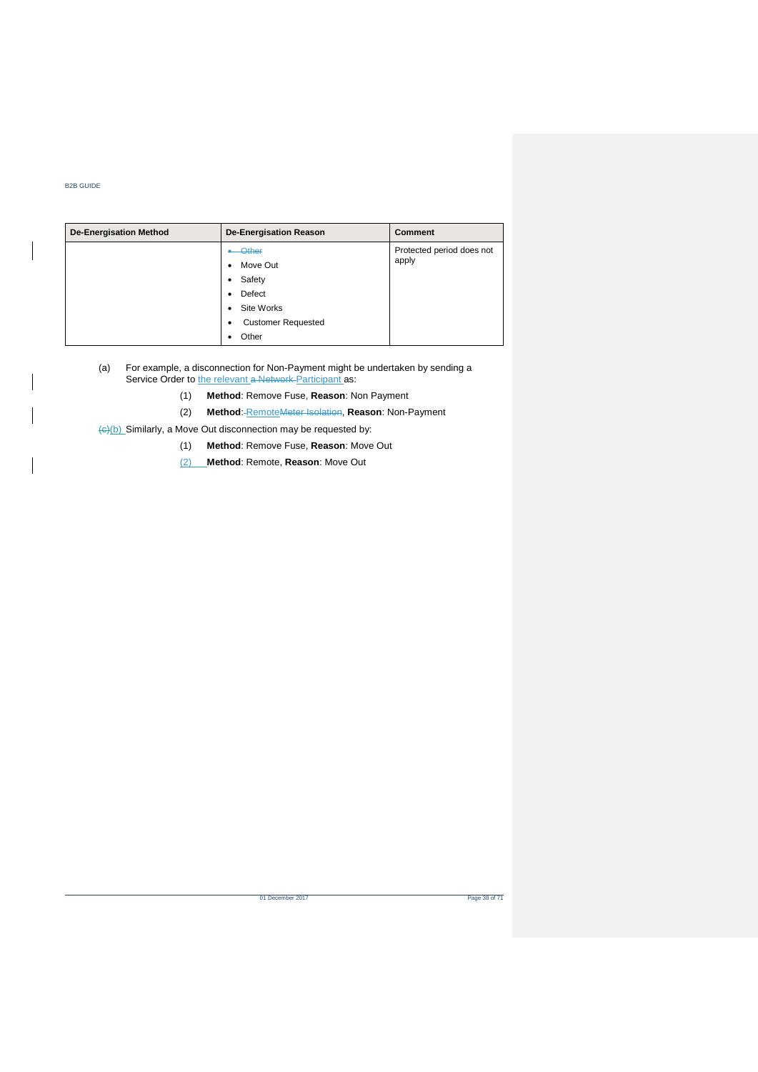| <b>De-Energisation Method</b> | <b>De-Energisation Reason</b>  | <b>Comment</b>            |  |  |
|-------------------------------|--------------------------------|---------------------------|--|--|
|                               | Other                          | Protected period does not |  |  |
|                               | Move Out<br>٠                  | apply                     |  |  |
|                               | Safety<br>٠                    |                           |  |  |
|                               | Defect<br>٠                    |                           |  |  |
|                               | Site Works<br>٠                |                           |  |  |
|                               | <b>Customer Requested</b><br>٠ |                           |  |  |
|                               | Other                          |                           |  |  |

(a) For example, a disconnection for Non-Payment might be undertaken by sending a Service Order to the relevant a Network Participant as:

- (1) **Method**: Remove Fuse, **Reason**: Non Payment
- (2) **Method**: RemoteMeter Isolation, **Reason**: Non-Payment

(c)(b) Similarly, a Move Out disconnection may be requested by:

- (1) **Method**: Remove Fuse, **Reason**: Move Out
- (2) **Method**: Remote, **Reason**: Move Out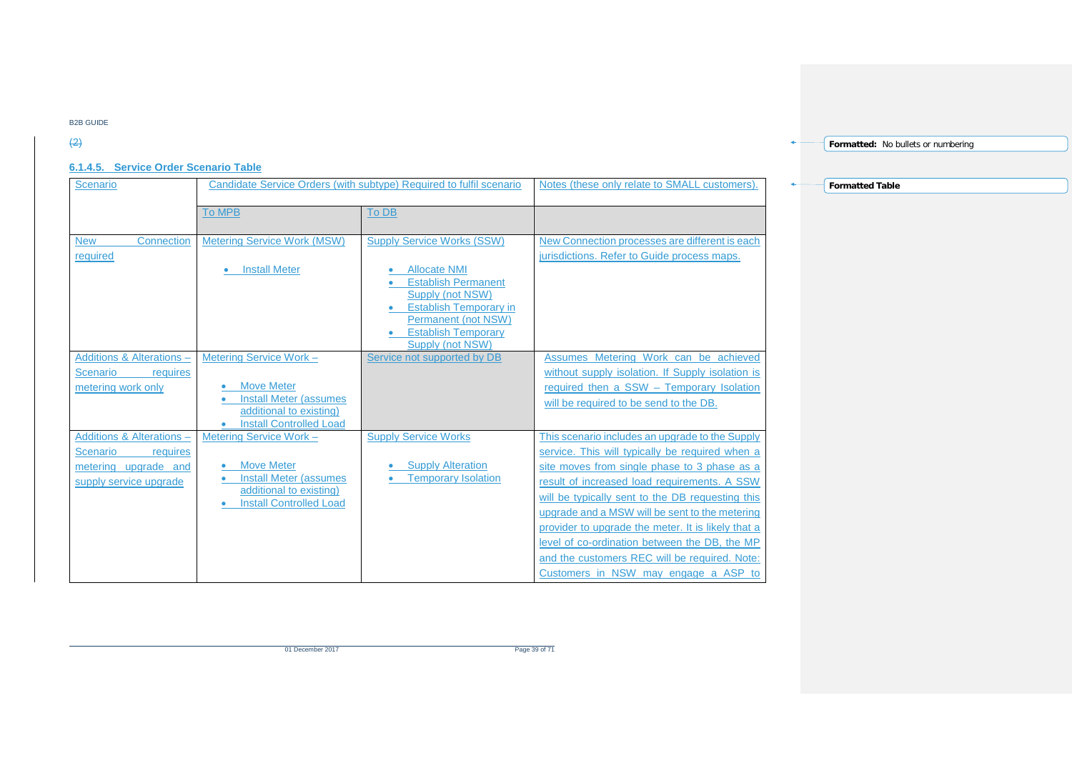# $(2)$

# **6.1.4.5. Service Order Scenario Table**

| Scenario                                                                                                       |                                                                                                                                                          | Candidate Service Orders (with subtype) Required to fulfil scenario                                                                                                                                                         | Notes (these only relate to SMALL customers).                                                                                                                                                                                                                                                                                                                                                                                                                                                            |
|----------------------------------------------------------------------------------------------------------------|----------------------------------------------------------------------------------------------------------------------------------------------------------|-----------------------------------------------------------------------------------------------------------------------------------------------------------------------------------------------------------------------------|----------------------------------------------------------------------------------------------------------------------------------------------------------------------------------------------------------------------------------------------------------------------------------------------------------------------------------------------------------------------------------------------------------------------------------------------------------------------------------------------------------|
|                                                                                                                | <b>To MPB</b>                                                                                                                                            | To DB                                                                                                                                                                                                                       |                                                                                                                                                                                                                                                                                                                                                                                                                                                                                                          |
| Connection<br><b>New</b><br>required                                                                           | <b>Metering Service Work (MSW)</b><br><b>Install Meter</b>                                                                                               | <b>Supply Service Works (SSW)</b><br><b>Allocate NMI</b><br><b>Establish Permanent</b><br>Supply (not NSW)<br><b>Establish Temporary in</b><br><b>Permanent (not NSW)</b><br><b>Establish Temporary</b><br>Supply (not NSW) | New Connection processes are different is each<br>jurisdictions. Refer to Guide process maps.                                                                                                                                                                                                                                                                                                                                                                                                            |
| <b>Additions &amp; Alterations -</b><br>Scenario<br>requires<br>metering work only                             | Metering Service Work -<br><b>Move Meter</b><br><b>Install Meter (assumes)</b><br>additional to existing)<br><b>Install Controlled Load</b><br>$\bullet$ | Service not supported by DB                                                                                                                                                                                                 | Assumes Metering Work can be achieved<br>without supply isolation. If Supply isolation is<br>required then a SSW - Temporary Isolation<br>will be required to be send to the DB.                                                                                                                                                                                                                                                                                                                         |
| <b>Additions &amp; Alterations -</b><br>Scenario<br>requires<br>metering upgrade and<br>supply service upgrade | Metering Service Work -<br><b>Move Meter</b><br><b>Install Meter (assumes)</b><br>٠<br>additional to existing)<br><b>Install Controlled Load</b><br>٠    | <b>Supply Service Works</b><br><b>Supply Alteration</b><br><b>Temporary Isolation</b>                                                                                                                                       | This scenario includes an upgrade to the Supply<br>service. This will typically be required when a<br>site moves from single phase to 3 phase as a<br>result of increased load requirements. A SSW<br>will be typically sent to the DB requesting this<br>upgrade and a MSW will be sent to the metering<br>provider to upgrade the meter. It is likely that a<br>level of co-ordination between the DB, the MP<br>and the customers REC will be required. Note:<br>Customers in NSW may engage a ASP to |

**Formatted:** No bullets or numbering

**Formatted Table**

01 December 2017 Page 39 of 71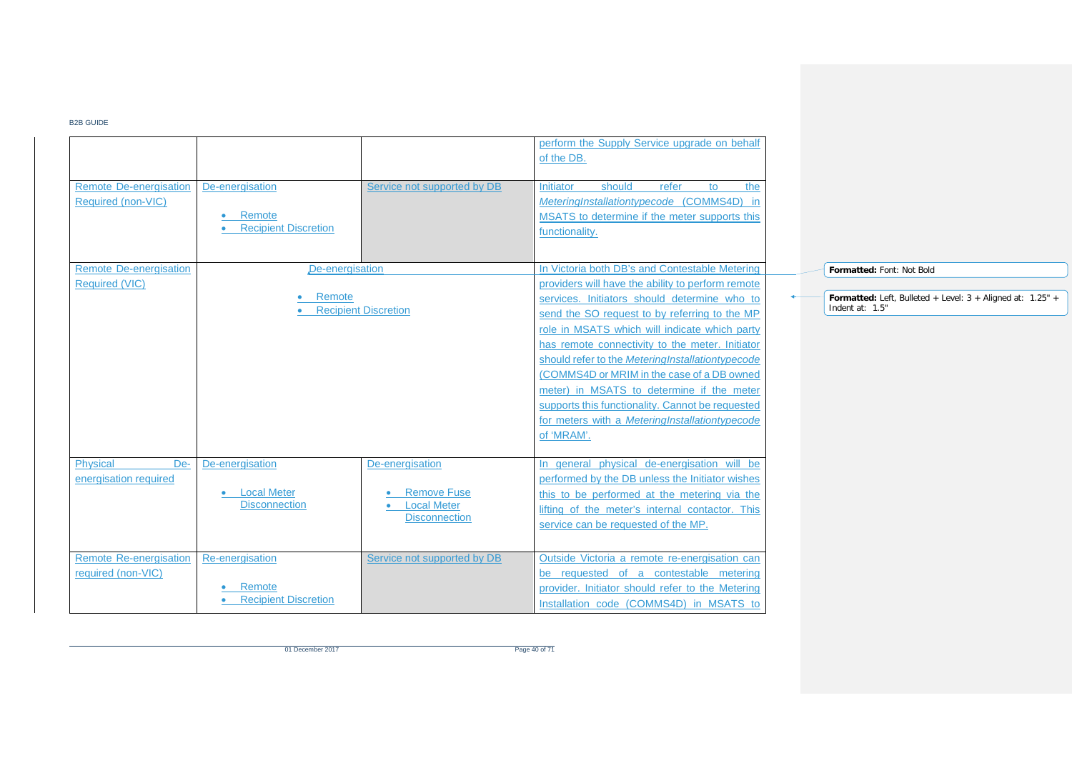| <b>Remote De-energisation</b><br>Required (non-VIC) | De-energisation<br>Remote<br>۰<br><b>Recipient Discretion</b> | Service not supported by DB     | perform the Supply Service upgrade on behalf<br>of the DB.<br>should<br>refer<br>Initiator<br>to<br>MeteringInstallationtypecode (COMMS4D) in<br>MSATS to determine if the meter supports this<br>functionality. | the |                                                            |
|-----------------------------------------------------|---------------------------------------------------------------|---------------------------------|------------------------------------------------------------------------------------------------------------------------------------------------------------------------------------------------------------------|-----|------------------------------------------------------------|
| <b>Remote De-energisation</b>                       | De-energisation                                               |                                 | In Victoria both DB's and Contestable Metering                                                                                                                                                                   |     | Formatted: Font: Not Bold                                  |
| <b>Required (VIC)</b>                               |                                                               |                                 | providers will have the ability to perform remote                                                                                                                                                                |     |                                                            |
|                                                     | Remote<br>$\bullet$                                           |                                 | services. Initiators should determine who to                                                                                                                                                                     |     | Formatted: Left, Bulleted + Level: 3 + Aligned at: 1.25" + |
|                                                     |                                                               | <b>Recipient Discretion</b>     | send the SO request to by referring to the MP                                                                                                                                                                    |     | Indent at: 1.5"                                            |
|                                                     |                                                               |                                 | role in MSATS which will indicate which party                                                                                                                                                                    |     |                                                            |
|                                                     |                                                               |                                 | has remote connectivity to the meter. Initiator                                                                                                                                                                  |     |                                                            |
|                                                     |                                                               |                                 | should refer to the Metering Installation typecode                                                                                                                                                               |     |                                                            |
|                                                     |                                                               |                                 | (COMMS4D or MRIM in the case of a DB owned                                                                                                                                                                       |     |                                                            |
|                                                     |                                                               |                                 | meter) in MSATS to determine if the meter                                                                                                                                                                        |     |                                                            |
|                                                     |                                                               |                                 | supports this functionality. Cannot be requested                                                                                                                                                                 |     |                                                            |
|                                                     |                                                               |                                 | for meters with a Metering Installation type code                                                                                                                                                                |     |                                                            |
|                                                     |                                                               |                                 | of 'MRAM'.                                                                                                                                                                                                       |     |                                                            |
| De-<br><b>Physical</b>                              | De-energisation                                               | De-energisation                 | In general physical de-energisation will be                                                                                                                                                                      |     |                                                            |
| energisation required                               |                                                               |                                 | performed by the DB unless the Initiator wishes                                                                                                                                                                  |     |                                                            |
|                                                     | <b>Local Meter</b><br>$\bullet$                               | <b>Remove Fuse</b>              | this to be performed at the metering via the                                                                                                                                                                     |     |                                                            |
|                                                     | <b>Disconnection</b>                                          | <b>Local Meter</b><br>$\bullet$ | lifting of the meter's internal contactor. This                                                                                                                                                                  |     |                                                            |
|                                                     |                                                               | <b>Disconnection</b>            | service can be requested of the MP.                                                                                                                                                                              |     |                                                            |
|                                                     |                                                               |                                 |                                                                                                                                                                                                                  |     |                                                            |
| <b>Remote Re-energisation</b>                       | Re-energisation                                               | Service not supported by DB     | Outside Victoria a remote re-energisation can                                                                                                                                                                    |     |                                                            |
| required (non-VIC)                                  |                                                               |                                 | be requested of a contestable metering                                                                                                                                                                           |     |                                                            |
|                                                     | Remote                                                        |                                 | provider. Initiator should refer to the Metering                                                                                                                                                                 |     |                                                            |
|                                                     | <b>Recipient Discretion</b>                                   |                                 | Installation code (COMMS4D) in MSATS to                                                                                                                                                                          |     |                                                            |

01 December 2017 Page 40 of 71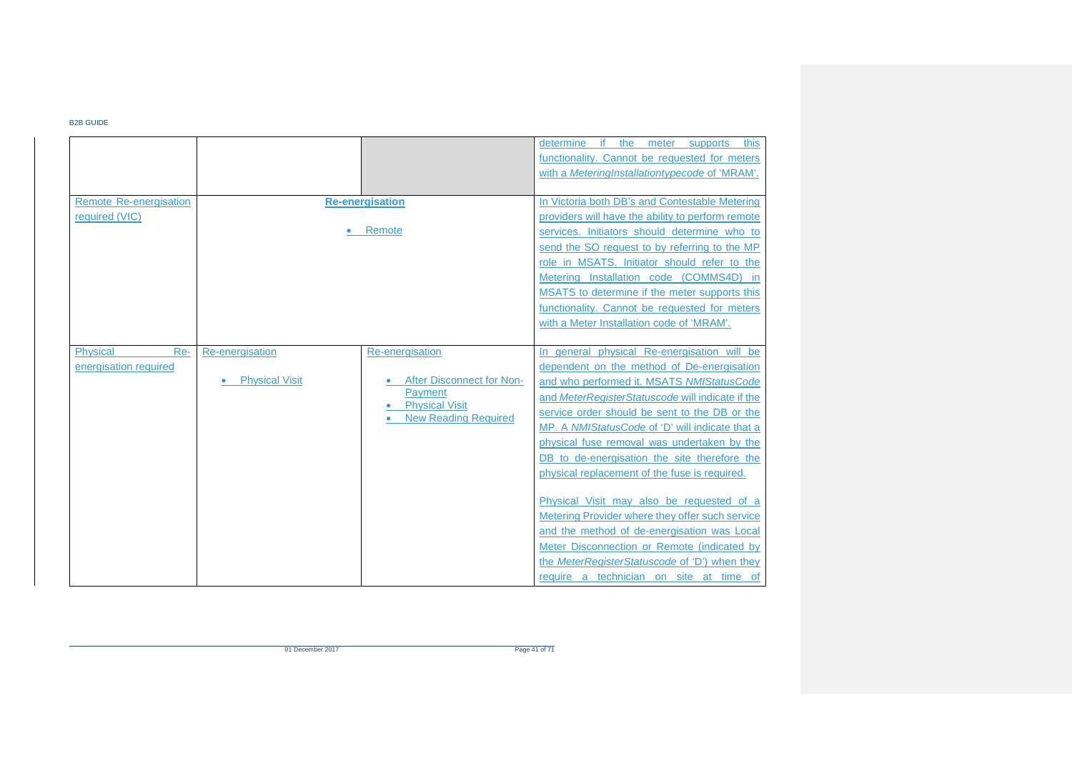| <b>Remote Re-energisation</b><br>required (VIC) |                                          | <b>Re-energisation</b><br>Remote                                | if.<br>the<br>meter<br>this<br>determine<br>supports<br>functionality. Cannot be requested for meters<br>with a <i>Metering Installation typecode</i> of 'MRAM'.<br>In Victoria both DB's and Contestable Metering<br>providers will have the ability to perform remote<br>services. Initiators should determine who to<br>send the SO request to by referring to the MP<br>role in MSATS. Initiator should refer to the<br>Metering Installation code (COMMS4D) in<br>MSATS to determine if the meter supports this |
|-------------------------------------------------|------------------------------------------|-----------------------------------------------------------------|----------------------------------------------------------------------------------------------------------------------------------------------------------------------------------------------------------------------------------------------------------------------------------------------------------------------------------------------------------------------------------------------------------------------------------------------------------------------------------------------------------------------|
| <b>Physical</b><br>Re-<br>energisation required | Re-energisation<br><b>Physical Visit</b> | Re-energisation<br>After Disconnect for Non-                    | functionality. Cannot be requested for meters<br>with a Meter Installation code of 'MRAM'.<br>In general physical Re-energisation will be<br>dependent on the method of De-energisation<br>and who performed it. MSATS NMIStatusCode                                                                                                                                                                                                                                                                                 |
|                                                 |                                          | Payment<br><b>Physical Visit</b><br><b>New Reading Required</b> | and MeterRegisterStatuscode will indicate if the<br>service order should be sent to the DB or the<br>MP. A NMIStatusCode of 'D' will indicate that a<br>physical fuse removal was undertaken by the<br>DB to de-energisation the site therefore the<br>physical replacement of the fuse is required.                                                                                                                                                                                                                 |
|                                                 |                                          |                                                                 | Physical Visit may also be requested of a<br>Metering Provider where they offer such service<br>and the method of de-energisation was Local<br>Meter Disconnection or Remote (indicated by<br>the MeterRegisterStatuscode of 'D') when they<br>require a technician on site at time of                                                                                                                                                                                                                               |

01 December 2017 Page 41 of 71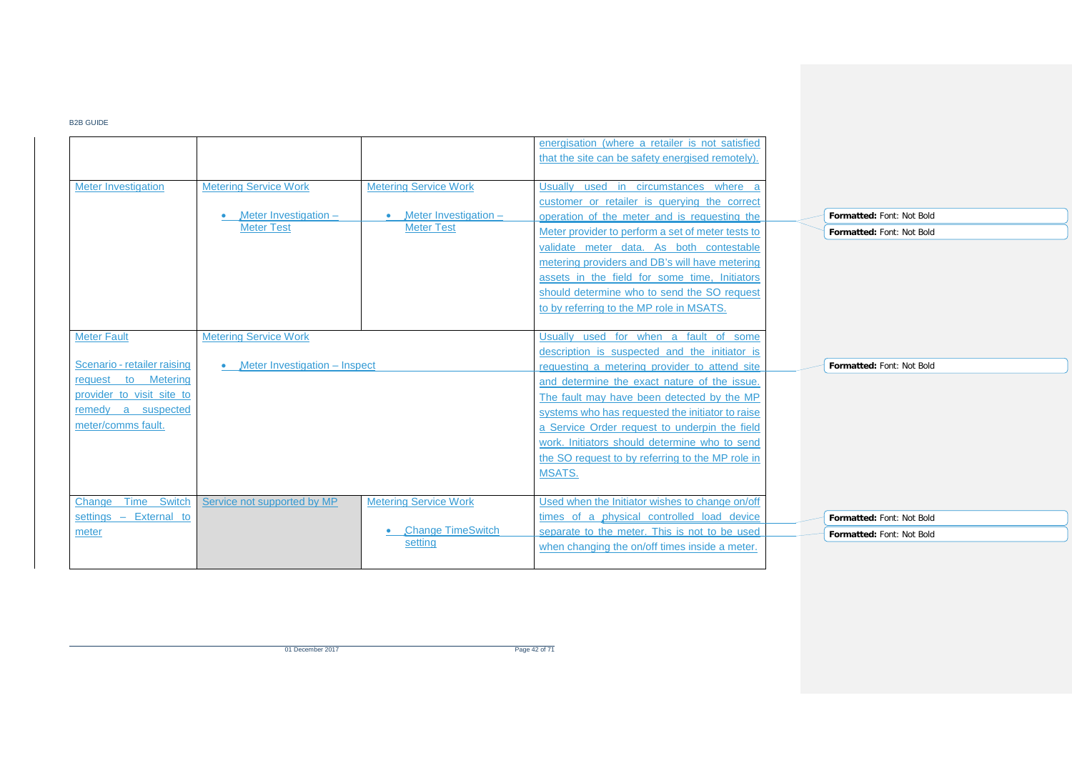|                             |                               |                              | energisation (where a retailer is not satisfied   |  |                           |
|-----------------------------|-------------------------------|------------------------------|---------------------------------------------------|--|---------------------------|
|                             |                               |                              | that the site can be safety energised remotely).  |  |                           |
|                             |                               |                              |                                                   |  |                           |
| <b>Meter Investigation</b>  | <b>Metering Service Work</b>  | <b>Metering Service Work</b> | Usually used in circumstances where a             |  |                           |
|                             |                               |                              | customer or retailer is querying the correct      |  |                           |
|                             | Meter Investigation -         | • Meter Investigation $-$    | operation of the meter and is requesting the      |  | Formatted: Font: Not Bold |
|                             | <b>Meter Test</b>             | <b>Meter Test</b>            | Meter provider to perform a set of meter tests to |  | Formatted: Font: Not Bold |
|                             |                               |                              | validate meter data. As both contestable          |  |                           |
|                             |                               |                              | metering providers and DB's will have metering    |  |                           |
|                             |                               |                              | assets in the field for some time, Initiators     |  |                           |
|                             |                               |                              | should determine who to send the SO request       |  |                           |
|                             |                               |                              | to by referring to the MP role in MSATS.          |  |                           |
|                             |                               |                              |                                                   |  |                           |
| <b>Meter Fault</b>          | <b>Metering Service Work</b>  |                              | Usually used for when a fault of some             |  |                           |
|                             |                               |                              |                                                   |  |                           |
| Scenario - retailer raising | Meter Investigation - Inspect |                              | description is suspected and the initiator is     |  | Formatted: Font: Not Bold |
| request to Metering         |                               |                              | requesting a metering provider to attend site     |  |                           |
|                             |                               |                              | and determine the exact nature of the issue.      |  |                           |
| provider to visit site to   |                               |                              | The fault may have been detected by the MP        |  |                           |
| remedy a suspected          |                               |                              | systems who has requested the initiator to raise  |  |                           |
| meter/comms fault.          |                               |                              | a Service Order request to underpin the field     |  |                           |
|                             |                               |                              | work. Initiators should determine who to send     |  |                           |
|                             |                               |                              | the SO request to by referring to the MP role in  |  |                           |
|                             |                               |                              | MSATS.                                            |  |                           |
|                             |                               |                              |                                                   |  |                           |
| Time Switch<br>Change       | Service not supported by MP   | <b>Metering Service Work</b> | Used when the Initiator wishes to change on/off   |  |                           |
| External to<br>settings $-$ |                               |                              | times of a physical controlled load device        |  | Formatted: Font: Not Bold |
| meter                       |                               | <b>Change TimeSwitch</b>     | separate to the meter. This is not to be used     |  | Formatted: Font: Not Bold |
|                             |                               | setting                      | when changing the on/off times inside a meter.    |  |                           |
|                             |                               |                              |                                                   |  |                           |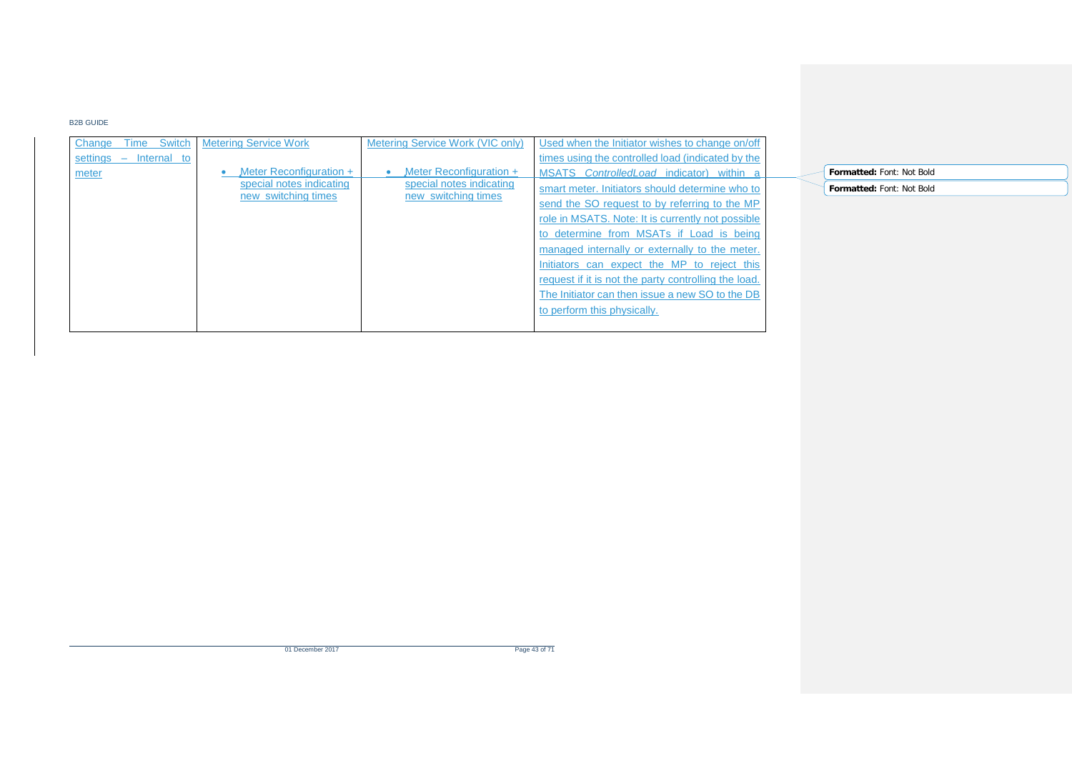| Change                                              | <b>Metering Service Work</b><br><b>Switch</b> |                          | Metering Service Work (VIC only) | Used when the Initiator wishes to change on/off      |  |              |
|-----------------------------------------------------|-----------------------------------------------|--------------------------|----------------------------------|------------------------------------------------------|--|--------------|
| Time                                                |                                               |                          |                                  |                                                      |  |              |
| Internal to<br>settings<br>$\overline{\phantom{a}}$ |                                               |                          |                                  | times using the controlled load (indicated by the    |  |              |
| meter                                               |                                               | Meter Reconfiguration +  | Meter Reconfiguration +          | MSATS Controlled Load indicator) within a            |  | Formatted: I |
|                                                     |                                               | special notes indicating | special notes indicating         | smart meter. Initiators should determine who to      |  | Formatted: I |
|                                                     |                                               | new switching times      | new switching times              | send the SO request to by referring to the MP        |  |              |
|                                                     |                                               |                          |                                  | role in MSATS. Note: It is currently not possible    |  |              |
|                                                     |                                               |                          |                                  | to determine from MSATs if Load is being             |  |              |
|                                                     |                                               |                          |                                  | managed internally or externally to the meter.       |  |              |
|                                                     |                                               |                          |                                  | Initiators can expect the MP to reject this          |  |              |
|                                                     |                                               |                          |                                  | request if it is not the party controlling the load. |  |              |
|                                                     |                                               |                          |                                  | The Initiator can then issue a new SO to the DB      |  |              |
|                                                     |                                               |                          |                                  | to perform this physically.                          |  |              |
|                                                     |                                               |                          |                                  |                                                      |  |              |

Font: Not Bold

**Font: Not Bold**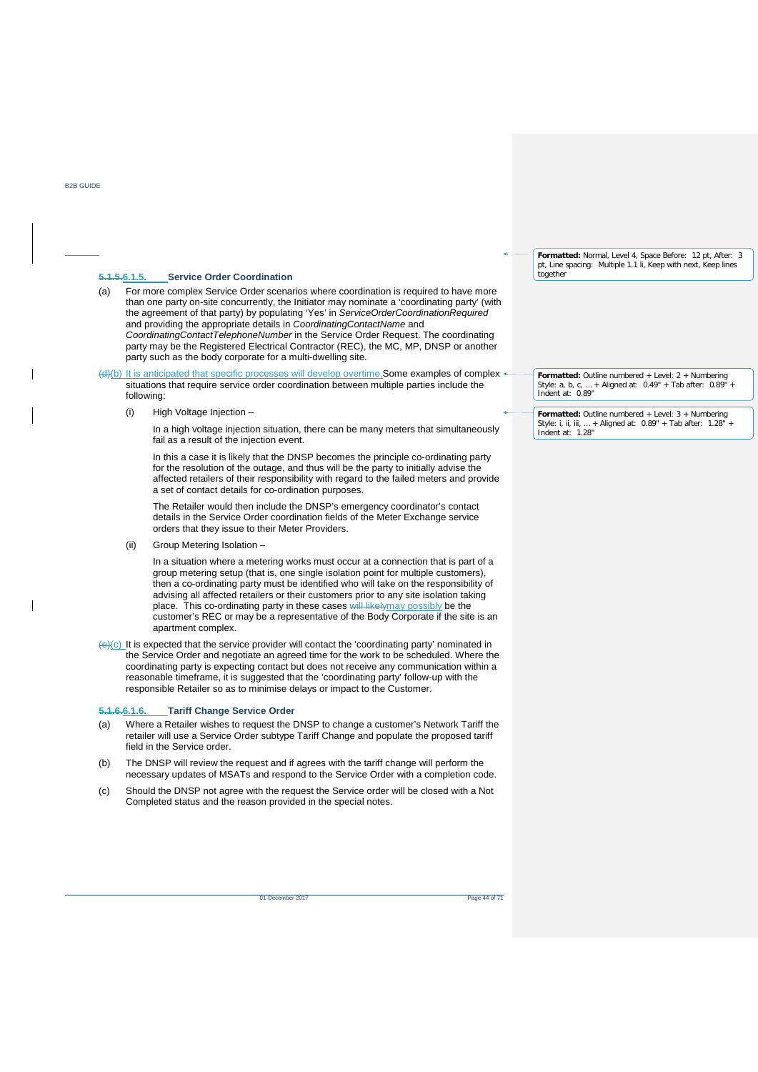#### **5.1.5.6.1.5. Service Order Coordination**

- (a) For more complex Service Order scenarios where coordination is required to have more than one party on-site concurrently, the Initiator may nominate a 'coordinating party' (with the agreement of that party) by populating 'Yes' in *ServiceOrderCoordinationRequired* and providing the appropriate details in *CoordinatingContactName* and *CoordinatingContactTelephoneNumber* in the Service Order Request. The coordinating party may be the Registered Electrical Contractor (REC), the MC, MP, DNSP or another party such as the body corporate for a multi-dwelling site.
- (d)(b) It is anticipated that specific processes will develop overtime, Some examples of complex situations that require service order coordination between multiple parties include the following:
	- (i) High Voltage Injection –

In a high voltage injection situation, there can be many meters that simultaneously fail as a result of the injection event.

In this a case it is likely that the DNSP becomes the principle co-ordinating party for the resolution of the outage, and thus will be the party to initially advise the affected retailers of their responsibility with regard to the failed meters and provide a set of contact details for co-ordination purposes.

The Retailer would then include the DNSP's emergency coordinator's contact details in the Service Order coordination fields of the Meter Exchange service orders that they issue to their Meter Providers.

(ii) Group Metering Isolation –

In a situation where a metering works must occur at a connection that is part of a group metering setup (that is, one single isolation point for multiple customers), then a co-ordinating party must be identified who will take on the responsibility of advising all affected retailers or their customers prior to any site isolation taking place. This co-ordinating party in these cases will likely may possibly be the customer's REC or may be a representative of the Body Corporate if the site is an apartment complex.

(e)(c) It is expected that the service provider will contact the 'coordinating party' nominated in the Service Order and negotiate an agreed time for the work to be scheduled. Where the coordinating party is expecting contact but does not receive any communication within a reasonable timeframe, it is suggested that the 'coordinating party' follow-up with the responsible Retailer so as to minimise delays or impact to the Customer.

#### **5.1.6.6.1.6. Tariff Change Service Order**

- (a) Where a Retailer wishes to request the DNSP to change a customer's Network Tariff the retailer will use a Service Order subtype Tariff Change and populate the proposed tariff field in the Service order.
- (b) The DNSP will review the request and if agrees with the tariff change will perform the necessary updates of MSATs and respond to the Service Order with a completion code.
- (c) Should the DNSP not agree with the request the Service order will be closed with a Not Completed status and the reason provided in the special notes.

**Formatted:** Normal, Level 4, Space Before: 12 pt, After: 3 pt, Line spacing: Multiple 1.1 li, Keep with next, Keep lines together

**Formatted:** Outline numbered + Level: 2 + Numbering Style: a, b, c, … + Aligned at: 0.49" + Tab after: 0.89" + Indent at: 0.89"

**Formatted:** Outline numbered + Level: 3 + Numbering<br>Style: i, ii, iii, ... + Aligned at: 0.89" + Tab after: 1.28" +<br>Indent at: 1.28"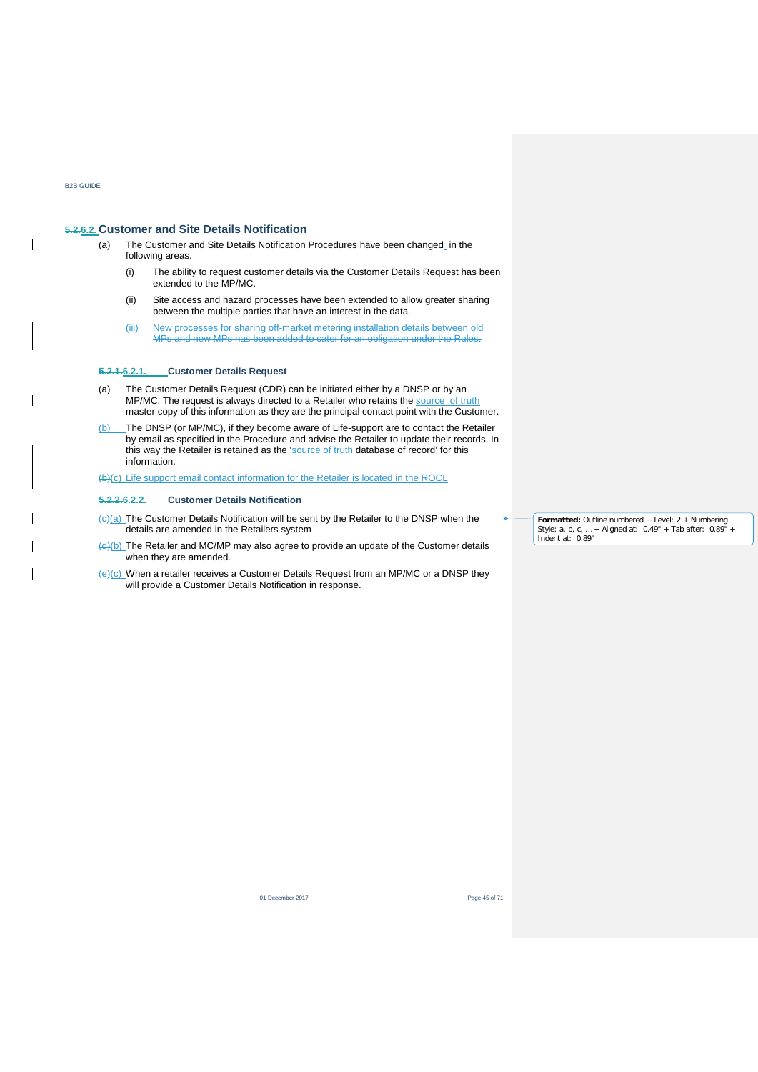$\overline{\phantom{a}}$ 

# <span id="page-44-0"></span>**5.2.6.2. Customer and Site Details Notification**

- (a) The Customer and Site Details Notification Procedures have been changed\_in the following areas.
	- (i) The ability to request customer details via the Customer Details Request has been extended to the MP/MC.
	- (ii) Site access and hazard processes have been extended to allow greater sharing between the multiple parties that have an interest in the data.
	- (iii) New processes for sharing off-market metering installation details between old MPs and new MPs has been added to cater for an obligation under the Rules.

#### **5.2.1.6.2.1. Customer Details Request**

- (a) The Customer Details Request (CDR) can be initiated either by a DNSP or by an MP/MC. The request is always directed to a Retailer who retains the source of truth master copy of this information as they are the principal contact point with the Customer.
- (b) The DNSP (or MP/MC), if they become aware of Life-support are to contact the Retailer by email as specified in the Procedure and advise the Retailer to update their records. In this way the Retailer is retained as the 'source of truth database of record' for this information.

(b)(c) Life support email contact information for the Retailer is located in the ROCL

#### **5.2.2.6.2.2. Customer Details Notification**

- (e)(a) The Customer Details Notification will be sent by the Retailer to the DNSP when the details are amended in the Retailers system
- (d)(b) The Retailer and MC/MP may also agree to provide an update of the Customer details when they are amended.
- (e)(c) When a retailer receives a Customer Details Request from an MP/MC or a DNSP they will provide a Customer Details Notification in response.

**Formatted:** Outline numbered + Level: 2 + Numbering<br>Style: a, b, c, ... + Aligned at: 0.49" + Tab after: 0.89" +<br>Indent at: 0.89"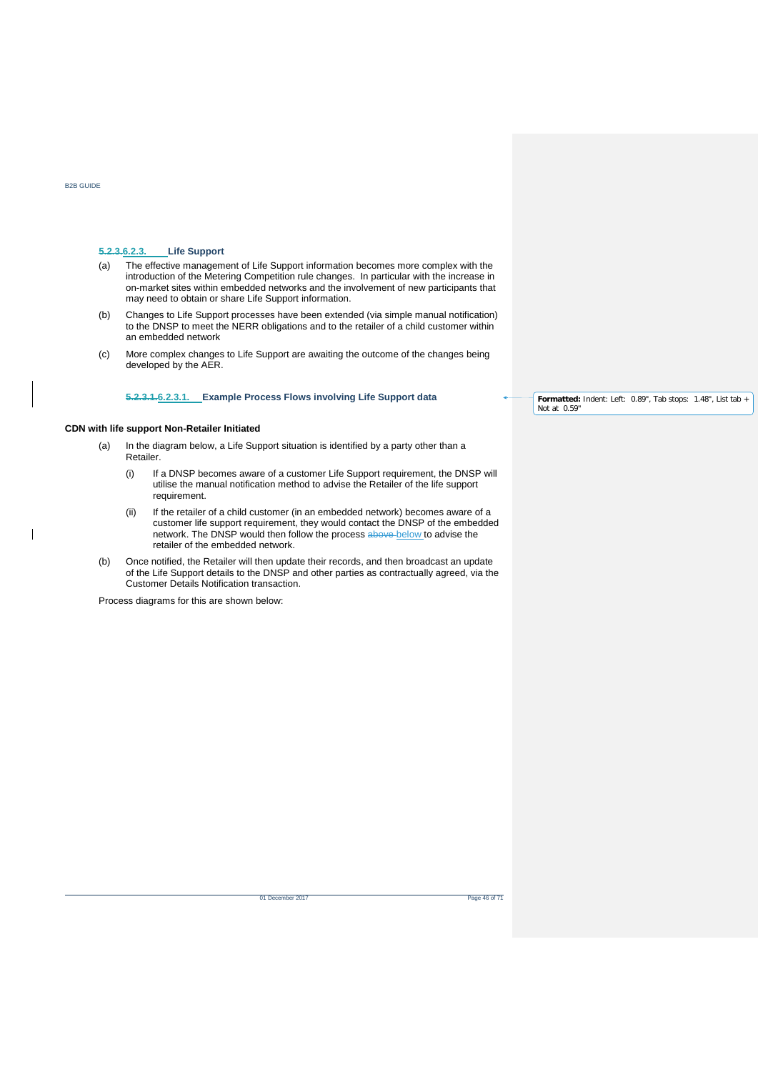$\overline{\phantom{a}}$ 

# **5.2.3.6.2.3. Life Support**

- (a) The effective management of Life Support information becomes more complex with the introduction of the Metering Competition rule changes. In particular with the increase in on-market sites within embedded networks and the involvement of new participants that may need to obtain or share Life Support information.
- (b) Changes to Life Support processes have been extended (via simple manual notification) to the DNSP to meet the NERR obligations and to the retailer of a child customer within an embedded network
- (c) More complex changes to Life Support are awaiting the outcome of the changes being developed by the AER.

# **5.2.3.1.6.2.3.1. Example Process Flows involving Life Support data**

#### **CDN with life support Non-Retailer Initiated**

- (a) In the diagram below, a Life Support situation is identified by a party other than a Retailer.
	- (i) If a DNSP becomes aware of a customer Life Support requirement, the DNSP will utilise the manual notification method to advise the Retailer of the life support requirement.
	- (ii) If the retailer of a child customer (in an embedded network) becomes aware of a customer life support requirement, they would contact the DNSP of the embedded network. The DNSP would then follow the process above below to advise the retailer of the embedded network.
- (b) Once notified, the Retailer will then update their records, and then broadcast an update of the Life Support details to the DNSP and other parties as contractually agreed, via the Customer Details Notification transaction.

Process diagrams for this are shown below:

**Formatted:** Indent: Left: 0.89", Tab stops: 1.48", List tab + Not at 0.59"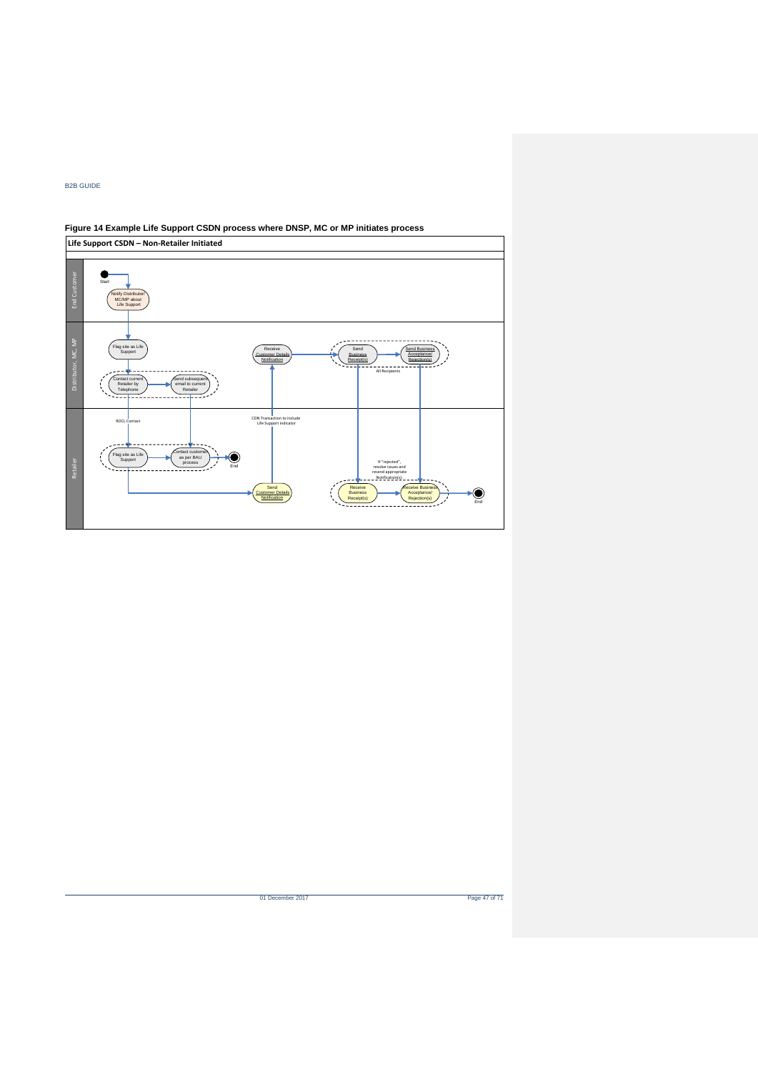

<span id="page-46-0"></span>**Figure 14 Example Life Support CSDN process where DNSP, MC or MP initiates process**

of December 2017 Page 47 of 71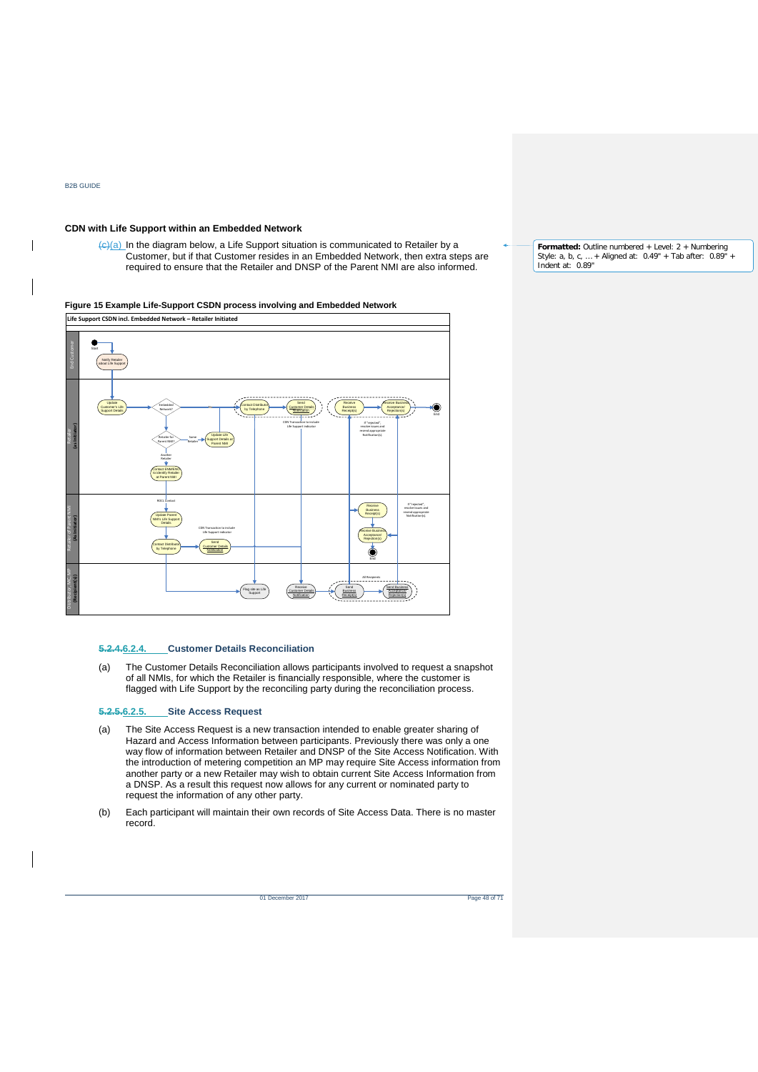# **CDN with Life Support within an Embedded Network**

 $\frac{1}{2}$  In the diagram below, a Life Support situation is communicated to Retailer by a Customer, but if that Customer resides in an Embedded Network, then extra steps are required to ensure that the Retailer and DNSP of the Parent NMI are also informed.

# <span id="page-47-0"></span>**Figure 15 Example Life-Support CSDN process involving and Embedded Network**



#### **5.2.4.6.2.4. Customer Details Reconciliation**

(a) The Customer Details Reconciliation allows participants involved to request a snapshot of all NMIs, for which the Retailer is financially responsible, where the customer is flagged with Life Support by the reconciling party during the reconciliation process.

#### **5.2.5.6.2.5. Site Access Request**

- (a) The Site Access Request is a new transaction intended to enable greater sharing of Hazard and Access Information between participants. Previously there was only a one way flow of information between Retailer and DNSP of the Site Access Notification. With the introduction of metering competition an MP may require Site Access information from another party or a new Retailer may wish to obtain current Site Access Information from a DNSP. As a result this request now allows for any current or nominated party to request the information of any other party.
- (b) Each participant will maintain their own records of Site Access Data. There is no master record.

**Formatted:** Outline numbered + Level: 2 + Numbering<br>Style: a, b, c, ... + Aligned at: 0.49" + Tab after: 0.89" +<br>Indent at: 0.89"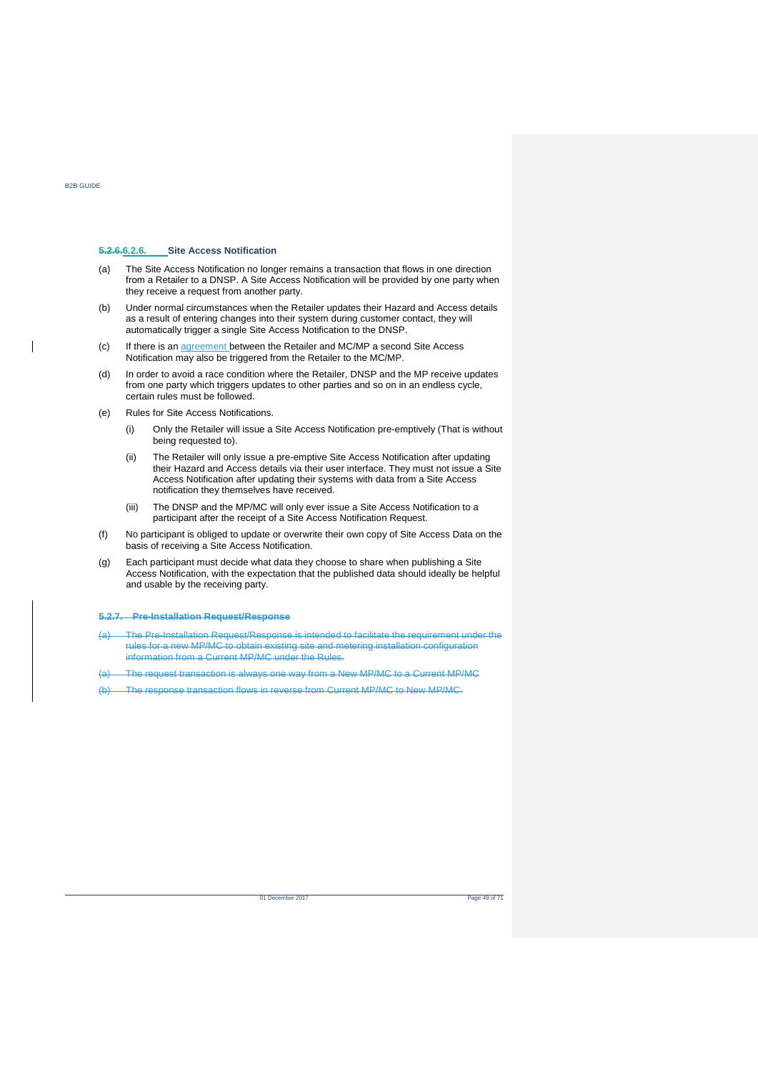#### **5.2.6.6.2.6. Site Access Notification**

- (a) The Site Access Notification no longer remains a transaction that flows in one direction from a Retailer to a DNSP. A Site Access Notification will be provided by one party when they receive a request from another party.
- (b) Under normal circumstances when the Retailer updates their Hazard and Access details as a result of entering changes into their system during customer contact, they will automatically trigger a single Site Access Notification to the DNSP.
- (c) If there is an agreement between the Retailer and MC/MP a second Site Access Notification may also be triggered from the Retailer to the MC/MP.
- (d) In order to avoid a race condition where the Retailer, DNSP and the MP receive updates from one party which triggers updates to other parties and so on in an endless cycle, certain rules must be followed.
- (e) Rules for Site Access Notifications.
	- (i) Only the Retailer will issue a Site Access Notification pre-emptively (That is without being requested to).
	- (ii) The Retailer will only issue a pre-emptive Site Access Notification after updating their Hazard and Access details via their user interface. They must not issue a Site Access Notification after updating their systems with data from a Site Access notification they themselves have received.
	- (iii) The DNSP and the MP/MC will only ever issue a Site Access Notification to a participant after the receipt of a Site Access Notification Request.
- (f) No participant is obliged to update or overwrite their own copy of Site Access Data on the basis of receiving a Site Access Notification.
- (g) Each participant must decide what data they choose to share when publishing a Site Access Notification, with the expectation that the published data should ideally be helpful and usable by the receiving party.

#### **5.2.7. Pre-Installation Request/Response**

- (a) The Pre-Installation Request/Response is intended to facilitate the requirement under the rules for a new MP/MC to obtain existing site and metering installation configuration information from a Current MP/MC under the Rules.
- (a) The request transaction is always one way from a New MP/MC to a Current MP/MC
- (b) The response transaction flows in reverse from Current MP/MC to New MP/MC.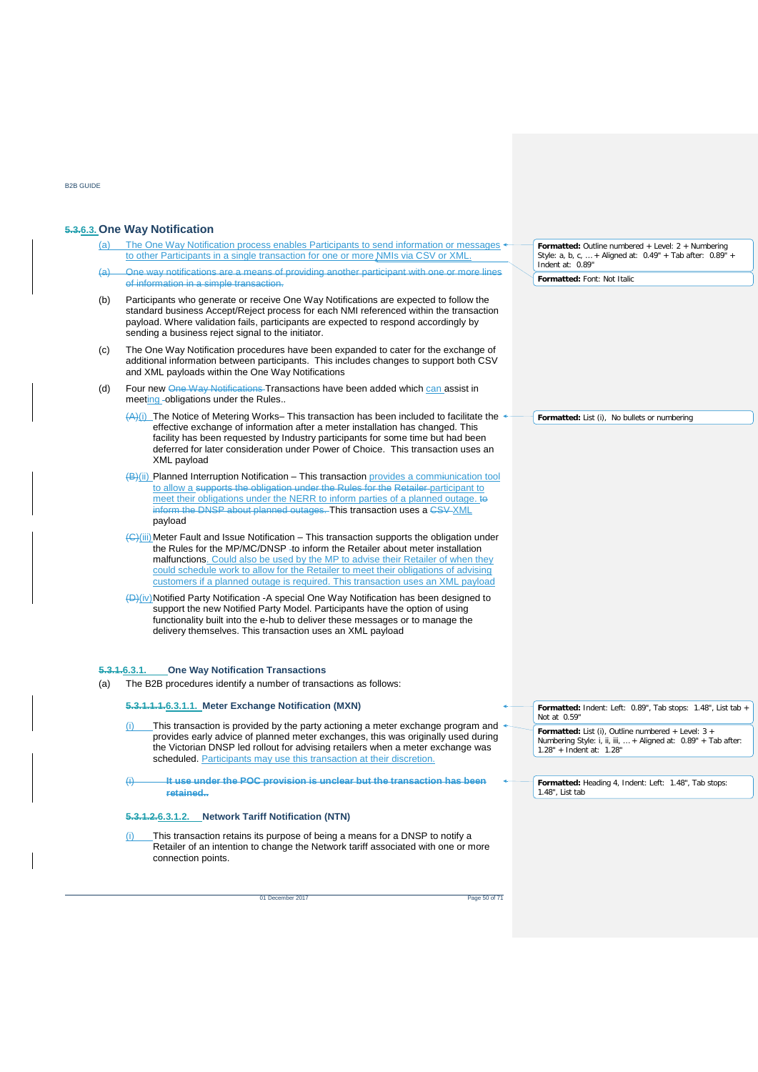# <span id="page-49-0"></span>**5.3.6.3. One Way Notification**

|     | $0.5.$ One way nothication                                                                                                                                                                                                                                                                                                                                                                                                                                         |                                                                                                                                                      |
|-----|--------------------------------------------------------------------------------------------------------------------------------------------------------------------------------------------------------------------------------------------------------------------------------------------------------------------------------------------------------------------------------------------------------------------------------------------------------------------|------------------------------------------------------------------------------------------------------------------------------------------------------|
| (a) | The One Way Notification process enables Participants to send information or messages<br>to other Participants in a single transaction for one or more NMIs via CSV or XML                                                                                                                                                                                                                                                                                         | <b>Formatted:</b> Outline numbered $+$ Level: $2 +$ Numbering<br>Style: a, b, c,  + Aligned at: $0.49'' +$ Tab after: $0.89'' +$<br>Indent at: 0.89" |
| (a) | One way notifications are a means of providing another participant with one or more lines<br>of information in a simple transaction.                                                                                                                                                                                                                                                                                                                               | Formatted: Font: Not Italic                                                                                                                          |
| (b) | Participants who generate or receive One Way Notifications are expected to follow the<br>standard business Accept/Reject process for each NMI referenced within the transaction<br>payload. Where validation fails, participants are expected to respond accordingly by<br>sending a business reject signal to the initiator.                                                                                                                                      |                                                                                                                                                      |
| (c) | The One Way Notification procedures have been expanded to cater for the exchange of<br>additional information between participants. This includes changes to support both CSV<br>and XML payloads within the One Way Notifications                                                                                                                                                                                                                                 |                                                                                                                                                      |
| (d) | Four new One Way Notifications-Transactions have been added which can assist in<br>meeting -obligations under the Rules                                                                                                                                                                                                                                                                                                                                            |                                                                                                                                                      |
|     | $(A)(i)$ The Notice of Metering Works– This transaction has been included to facilitate the $\triangleleft$<br>effective exchange of information after a meter installation has changed. This<br>facility has been requested by Industry participants for some time but had been<br>deferred for later consideration under Power of Choice. This transaction uses an<br>XML payload                                                                                | Formatted: List (i), No bullets or numbering                                                                                                         |
|     | $\frac{[B_{i}(ii)]}{[B_{i}(iii)]}$ Planned Interruption Notification – This transaction provides a commiunication tool<br>to allow a supports the obligation under the Rules for the Retailer participant to<br>meet their obligations under the NERR to inform parties of a planned outage. to<br>inform the DNSP about planned outages. This transaction uses a CSV-XML<br>payload                                                                               |                                                                                                                                                      |
|     | $\langle \ominus \rangle$ (iii) Meter Fault and Issue Notification – This transaction supports the obligation under<br>the Rules for the MP/MC/DNSP -to inform the Retailer about meter installation<br>malfunctions. Could also be used by the MP to advise their Retailer of when they<br>could schedule work to allow for the Retailer to meet their obligations of advising<br>customers if a planned outage is required. This transaction uses an XML payload |                                                                                                                                                      |
|     | $\left\langle \Box \right\rangle$ (iv) Notified Party Notification -A special One Way Notification has been designed to<br>support the new Notified Party Model. Participants have the option of using<br>functionality built into the e-hub to deliver these messages or to manage the<br>delivery themselves. This transaction uses an XML payload                                                                                                               |                                                                                                                                                      |
| (a) | <b>One Way Notification Transactions</b><br><del>5.3.1.</del> 6.3.1.<br>The B2B procedures identify a number of transactions as follows:                                                                                                                                                                                                                                                                                                                           |                                                                                                                                                      |
|     | 5.3.1.1.1.6.3.1.1. Meter Exchange Notification (MXN)                                                                                                                                                                                                                                                                                                                                                                                                               | Formatted: Indent: Left: 0.89", Tab stops: 1.48", List tab +<br>Not at 0.59"                                                                         |
|     | This transaction is provided by the party actioning a meter exchange program and $\triangleleft$<br>(i)<br>provides early advice of planned meter exchanges, this was originally used during<br>the Victorian DNSP led rollout for advising retailers when a meter exchange was<br>scheduled. Participants may use this transaction at their discretion.                                                                                                           | Formatted: List (i), Outline numbered + Level: $3 +$<br>Numbering Style: i, ii, iii,  + Aligned at: 0.89" + Tab after:<br>1.28" + Indent at: 1.28"   |
|     | It use under the POC provision is unclear but the transaction has been<br>$\leftrightarrow$<br>retained                                                                                                                                                                                                                                                                                                                                                            | Formatted: Heading 4, Indent: Left: 1.48", Tab stops:<br>1.48", List tab                                                                             |
|     | 5.3.1.2.6.3.1.2. Network Tariff Notification (NTN)                                                                                                                                                                                                                                                                                                                                                                                                                 |                                                                                                                                                      |
|     | This transaction retains its purpose of being a means for a DNSP to notify a<br>(i)<br>Retailer of an intention to change the Network tariff associated with one or more<br>connection points.                                                                                                                                                                                                                                                                     |                                                                                                                                                      |
|     | 01 December 2017                                                                                                                                                                                                                                                                                                                                                                                                                                                   |                                                                                                                                                      |
|     | Page 50 of 71                                                                                                                                                                                                                                                                                                                                                                                                                                                      |                                                                                                                                                      |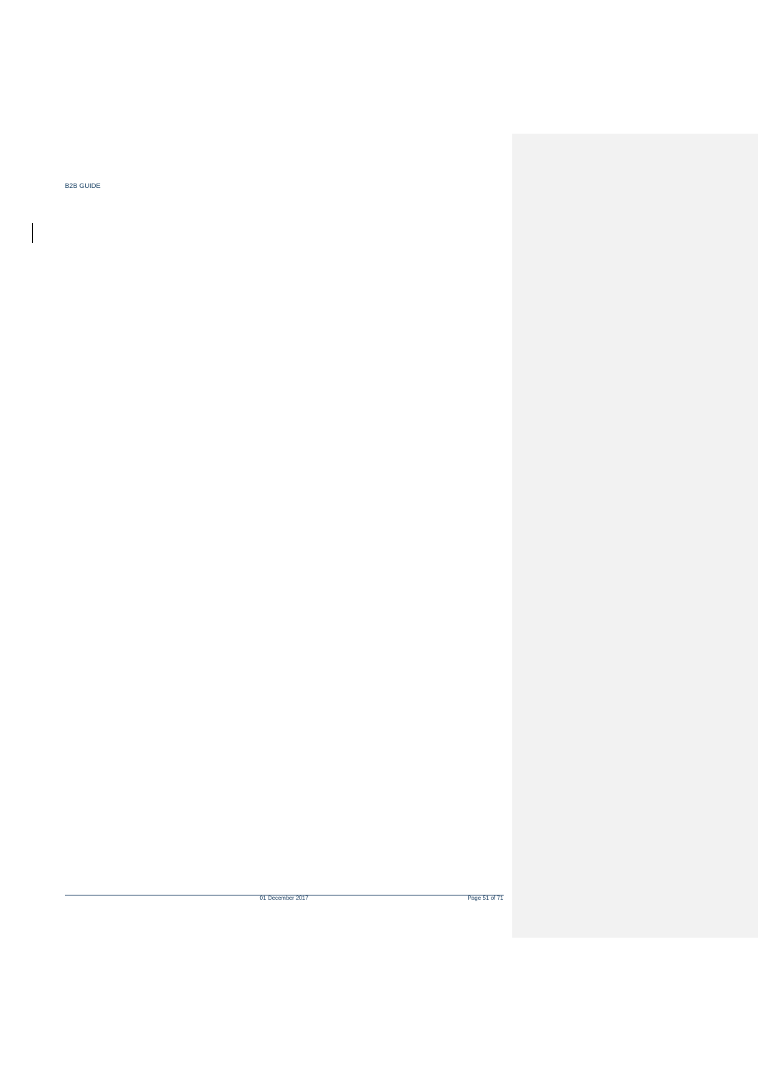of December 2017 Page 51 of 71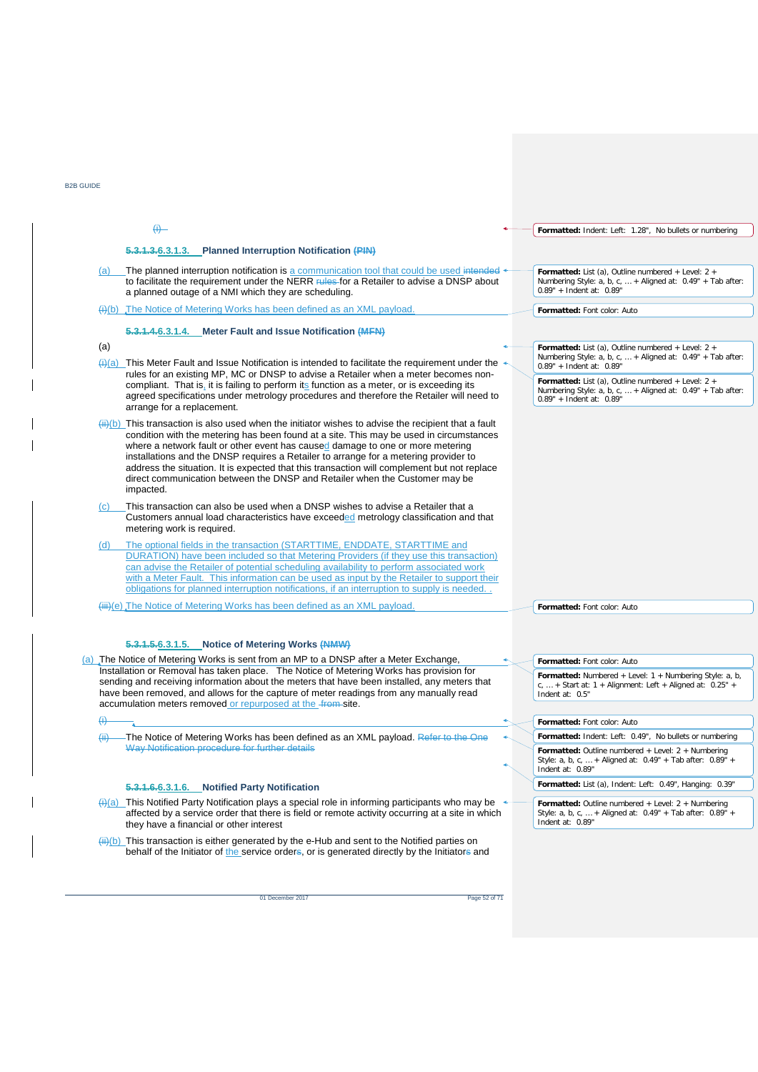H

 $\overline{\phantom{a}}$ 

|             | $\left( i\right)$                                                                                                                                                                                                                                                                                                                                                                                                                                                                                                                                                                | Formatted: Indent: Left: 1.28", No bullets or numbering                                                                                                                           |
|-------------|----------------------------------------------------------------------------------------------------------------------------------------------------------------------------------------------------------------------------------------------------------------------------------------------------------------------------------------------------------------------------------------------------------------------------------------------------------------------------------------------------------------------------------------------------------------------------------|-----------------------------------------------------------------------------------------------------------------------------------------------------------------------------------|
|             | 5.3.1.3.6.3.1.3. Planned Interruption Notification (PIN)                                                                                                                                                                                                                                                                                                                                                                                                                                                                                                                         |                                                                                                                                                                                   |
| (a)         | The planned interruption notification is a communication tool that could be used intended $\triangleleft$<br>to facilitate the requirement under the NERR rules-for a Retailer to advise a DNSP about<br>a planned outage of a NMI which they are scheduling.                                                                                                                                                                                                                                                                                                                    | <b>Formatted:</b> List (a), Outline numbered + Level: $2 +$<br>Numbering Style: a, b, c,  + Aligned at: 0.49" + Tab after:<br>0.89" + Indent at: 0.89"                            |
|             | $\overline{H}(b)$ , The Notice of Metering Works has been defined as an XML payload.                                                                                                                                                                                                                                                                                                                                                                                                                                                                                             | Formatted: Font color: Auto                                                                                                                                                       |
|             | 5.3.1.4.6.3.1.4. Meter Fault and Issue Notification (MFN)                                                                                                                                                                                                                                                                                                                                                                                                                                                                                                                        |                                                                                                                                                                                   |
| (a)<br>H(a) | This Meter Fault and Issue Notification is intended to facilitate the requirement under the                                                                                                                                                                                                                                                                                                                                                                                                                                                                                      | <b>Formatted:</b> List (a), Outline numbered + Level: $2 +$<br>Numbering Style: a, b, c,  + Aligned at: 0.49" + Tab after:<br>0.89" + Indent at: 0.89"                            |
|             | rules for an existing MP, MC or DNSP to advise a Retailer when a meter becomes non-<br>compliant. That is, it is failing to perform its function as a meter, or is exceeding its<br>agreed specifications under metrology procedures and therefore the Retailer will need to<br>arrange for a replacement.                                                                                                                                                                                                                                                                       | <b>Formatted:</b> List (a), Outline numbered + Level: $2 +$<br>Numbering Style: a, b, c,  + Aligned at: 0.49" + Tab after:<br>0.89" + Indent at: 0.89"                            |
|             | $\frac{f(i)}{f(i)}$ This transaction is also used when the initiator wishes to advise the recipient that a fault<br>condition with the metering has been found at a site. This may be used in circumstances<br>where a network fault or other event has caused damage to one or more metering<br>installations and the DNSP requires a Retailer to arrange for a metering provider to<br>address the situation. It is expected that this transaction will complement but not replace<br>direct communication between the DNSP and Retailer when the Customer may be<br>impacted. |                                                                                                                                                                                   |
| (C)         | This transaction can also be used when a DNSP wishes to advise a Retailer that a<br>Customers annual load characteristics have exceeded metrology classification and that<br>metering work is required.                                                                                                                                                                                                                                                                                                                                                                          |                                                                                                                                                                                   |
| (d)         | The optional fields in the transaction (STARTTIME, ENDDATE, STARTTIME and<br>DURATION) have been included so that Metering Providers (if they use this transaction)<br>can advise the Retailer of potential scheduling availability to perform associated work<br>with a Meter Fault. This information can be used as input by the Retailer to support their<br>obligations for planned interruption notifications, if an interruption to supply is needed                                                                                                                       |                                                                                                                                                                                   |
|             | $\overline{\mathsf{fiii}}$ )(e) The Notice of Metering Works has been defined as an XML payload.                                                                                                                                                                                                                                                                                                                                                                                                                                                                                 | Formatted: Font color: Auto                                                                                                                                                       |
|             | 5.3.1.5.6.3.1.5. Notice of Metering Works (NMW)<br>(a) The Notice of Metering Works is sent from an MP to a DNSP after a Meter Exchange,<br>Installation or Removal has taken place. The Notice of Metering Works has provision for<br>sending and receiving information about the meters that have been installed, any meters that<br>have been removed, and allows for the capture of meter readings from any manually read<br>accumulation meters removed or repurposed at the from site.                                                                                     | Formatted: Font color: Auto<br><b>Formatted:</b> Numbered + Level: $1 +$ Numbering Style: a, b,<br>c,  + Start at: $1 +$ Alignment: Left + Aligned at: 0.25" +<br>Indent at: 0.5" |
|             |                                                                                                                                                                                                                                                                                                                                                                                                                                                                                                                                                                                  | Formatted: Font color: Auto                                                                                                                                                       |
| (ii)        | -The Notice of Metering Works has been defined as an XML payload. Refer to the One                                                                                                                                                                                                                                                                                                                                                                                                                                                                                               | Formatted: Indent: Left: 0.49", No bullets or numbering                                                                                                                           |
|             | Way Notification procedure for further details                                                                                                                                                                                                                                                                                                                                                                                                                                                                                                                                   | <b>Formatted:</b> Outline numbered $+$ Level: $2 +$ Numbering<br>Style: a, b, c,  + Aligned at: $0.49'' +$ Tab after: $0.89'' +$<br>Indent at: 0.89"                              |
|             | 5.3.1.6.6.3.1.6. Notified Party Notification                                                                                                                                                                                                                                                                                                                                                                                                                                                                                                                                     | Formatted: List (a), Indent: Left: 0.49", Hanging: 0.39"                                                                                                                          |
|             | $\frac{(\cdot)}{(\cdot)}$ This Notified Party Notification plays a special role in informing participants who may be<br>affected by a service order that there is field or remote activity occurring at a site in which<br>they have a financial or other interest                                                                                                                                                                                                                                                                                                               | <b>Formatted:</b> Outline numbered $+$ Level: $2 +$ Numbering<br>Style: a, b, c,  + Aligned at: 0.49" + Tab after: 0.89" +<br>Indent at: 0.89"                                    |
|             | $\frac{(\text{ii}) (b)}{\text{iii})}$ This transaction is either generated by the e-Hub and sent to the Notified parties on<br>behalf of the Initiator of the service orders, or is generated directly by the Initiators and                                                                                                                                                                                                                                                                                                                                                     |                                                                                                                                                                                   |
|             |                                                                                                                                                                                                                                                                                                                                                                                                                                                                                                                                                                                  |                                                                                                                                                                                   |

out December 2017 Page 52 of 71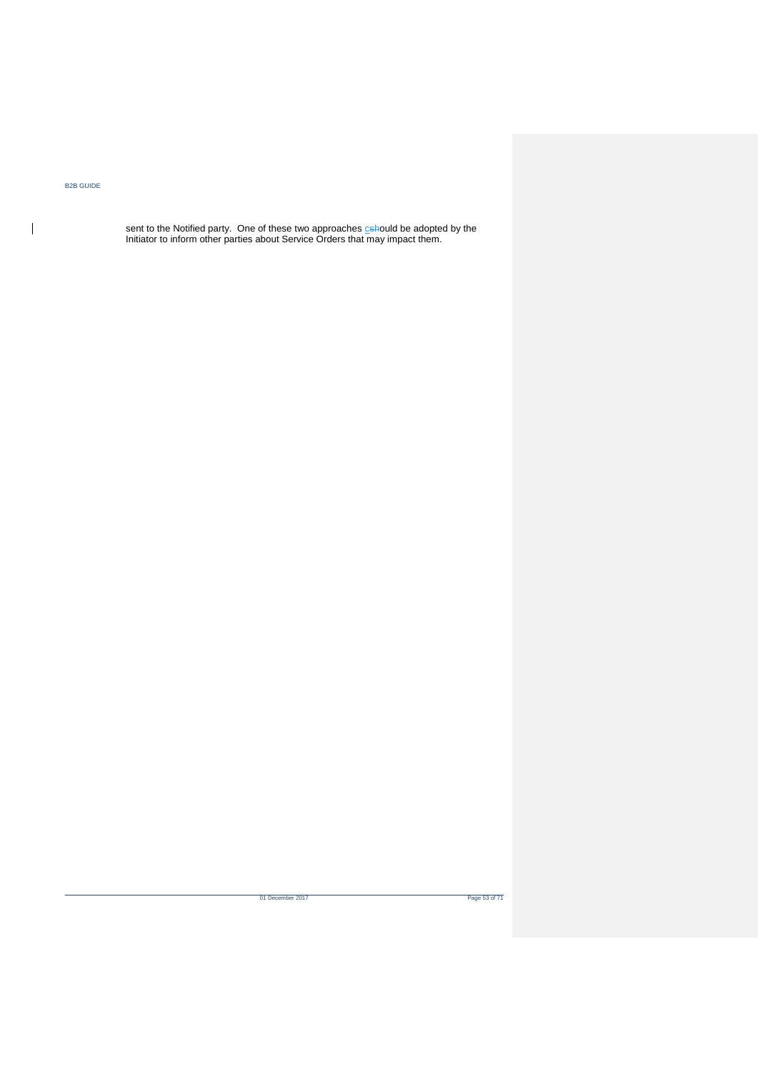$\mathsf I$ 

sent to the Notified party. One of these two approaches cshould be adopted by the Initiator to inform other parties about Service Orders that may impact them.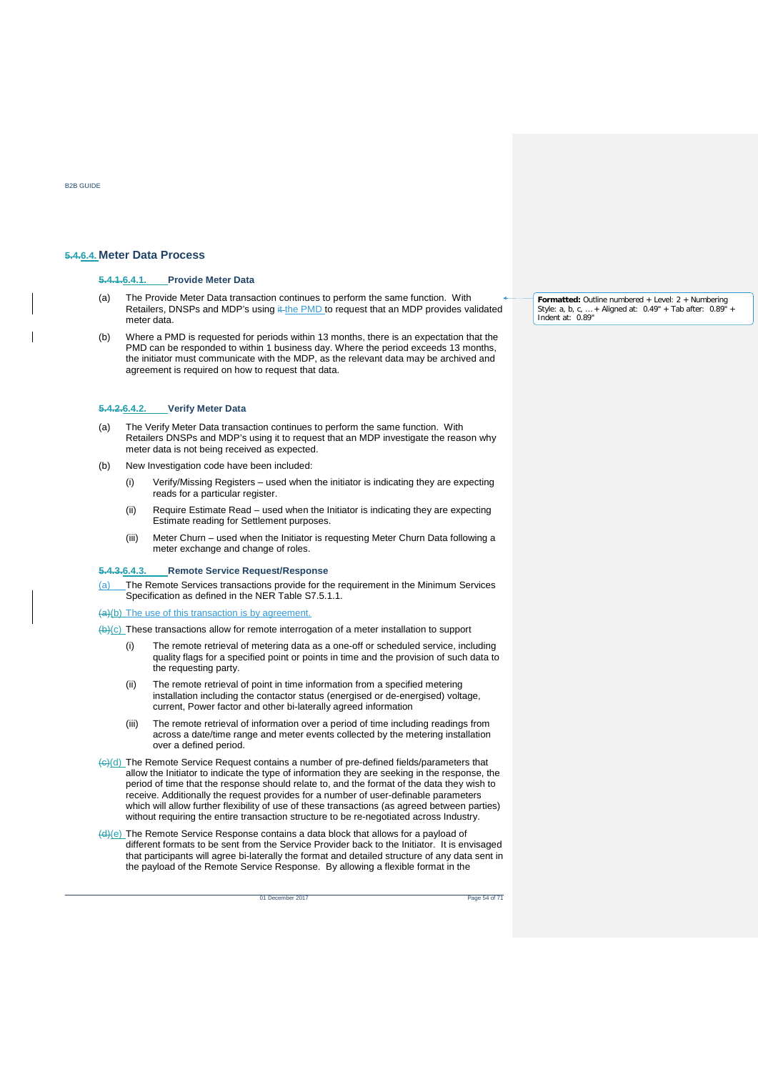# <span id="page-53-0"></span>**5.4.6.4. Meter Data Process**

#### **5.4.1.6.4.1. Provide Meter Data**

- (a) The Provide Meter Data transaction continues to perform the same function. With Retailers, DNSPs and MDP's using it the PMD to request that an MDP provides validated meter data.
- (b) Where a PMD is requested for periods within 13 months, there is an expectation that the PMD can be responded to within 1 business day. Where the period exceeds 13 months, the initiator must communicate with the MDP, as the relevant data may be archived and agreement is required on how to request that data.

#### **5.4.2.6.4.2. Verify Meter Data**

- (a) The Verify Meter Data transaction continues to perform the same function. With Retailers DNSPs and MDP's using it to request that an MDP investigate the reason why meter data is not being received as expected.
- (b) New Investigation code have been included:
	- (i) Verify/Missing Registers used when the initiator is indicating they are expecting reads for a particular register.
	- (ii) Require Estimate Read used when the Initiator is indicating they are expecting Estimate reading for Settlement purposes.
	- (iii) Meter Churn used when the Initiator is requesting Meter Churn Data following a meter exchange and change of roles.

#### **5.4.3.6.4.3. Remote Service Request/Response**

The Remote Services transactions provide for the requirement in the Minimum Services Specification as defined in the NER Table S7.5.1.1.

(a)(b) The use of this transaction is by agreement.

 $(b)(c)$  These transactions allow for remote interrogation of a meter installation to support

- (i) The remote retrieval of metering data as a one-off or scheduled service, including quality flags for a specified point or points in time and the provision of such data to the requesting party.
- (ii) The remote retrieval of point in time information from a specified metering installation including the contactor status (energised or de-energised) voltage, current, Power factor and other bi-laterally agreed information
- (iii) The remote retrieval of information over a period of time including readings from across a date/time range and meter events collected by the metering installation over a defined period.
- (c)(d) The Remote Service Request contains a number of pre-defined fields/parameters that allow the Initiator to indicate the type of information they are seeking in the response, the period of time that the response should relate to, and the format of the data they wish to receive. Additionally the request provides for a number of user-definable parameters which will allow further flexibility of use of these transactions (as agreed between parties) without requiring the entire transaction structure to be re-negotiated across Industry.
- $(d)(e)$  The Remote Service Response contains a data block that allows for a payload of different formats to be sent from the Service Provider back to the Initiator. It is envisaged that participants will agree bi-laterally the format and detailed structure of any data sent in the payload of the Remote Service Response. By allowing a flexible format in the

**Formatted:** Outline numbered + Level: 2 + Numbering Style: a, b, c, … + Aligned at: 0.49" + Tab after: 0.89" + Indent at: 0.89"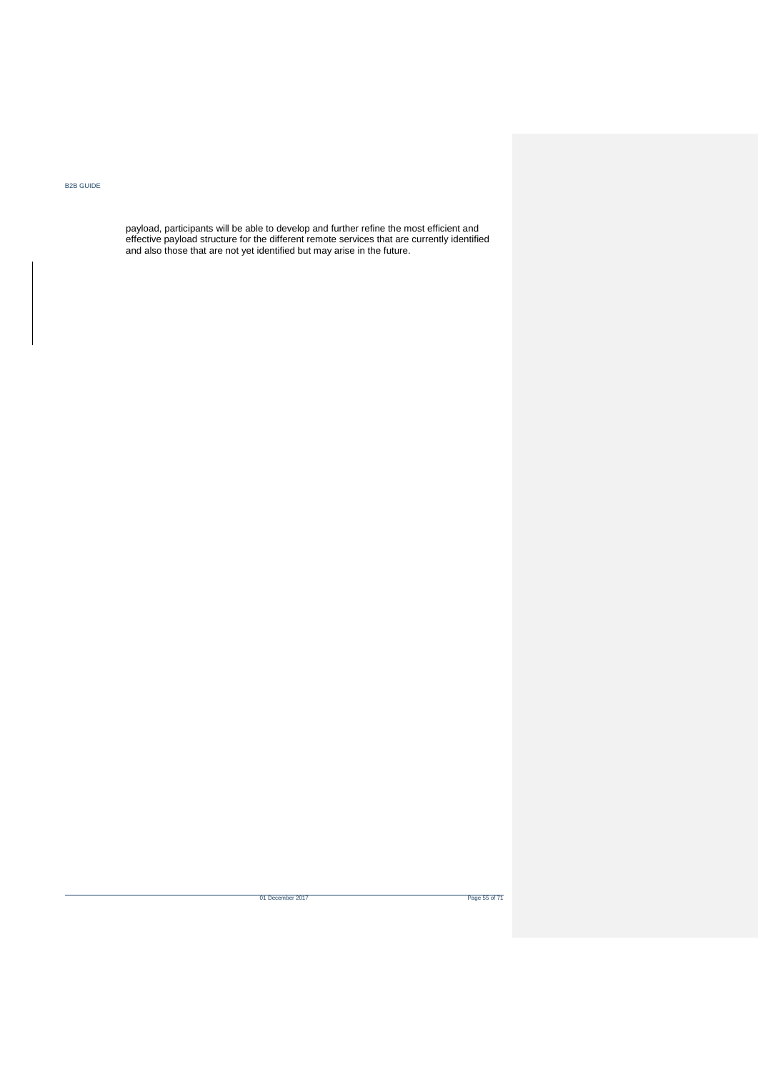payload, participants will be able to develop and further refine the most efficient and effective payload structure for the different remote services that are currently identified and also those that are not yet identified but may arise in the future.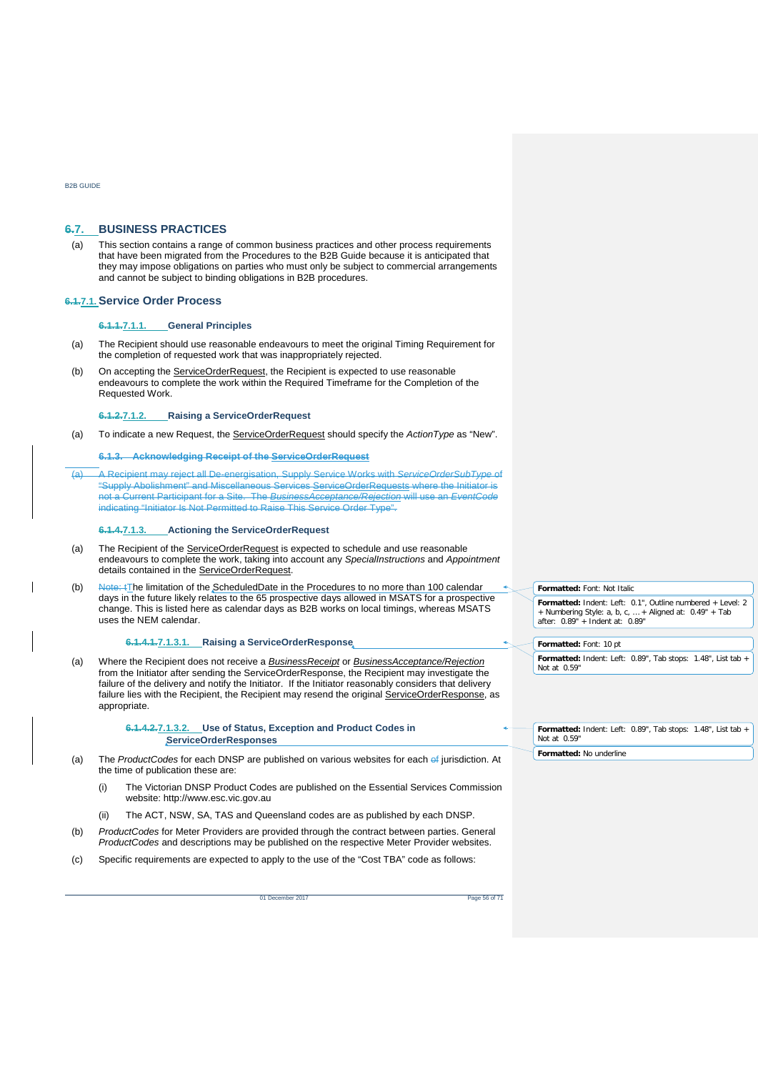# <span id="page-55-0"></span>**6.7. BUSINESS PRACTICES**

(a) This section contains a range of common business practices and other process requirements that have been migrated from the Procedures to the B2B Guide because it is anticipated that they may impose obligations on parties who must only be subject to commercial arrangements and cannot be subject to binding obligations in B2B procedures.

# <span id="page-55-1"></span>**6.1.7.1. Service Order Process**

## **6.1.1.7.1.1. General Principles**

- (a) The Recipient should use reasonable endeavours to meet the original Timing Requirement for the completion of requested work that was inappropriately rejected.
- (b) On accepting the ServiceOrderRequest, the Recipient is expected to use reasonable endeavours to complete the work within the Required Timeframe for the Completion of the Requested Work.

#### **6.1.2.7.1.2. Raising a ServiceOrderRequest**

(a) To indicate a new Request, the ServiceOrderRequest should specify the *ActionType* as "New".

## **6.1.3. Acknowledging Receipt of the ServiceOrderRequest**

(a) A Recipient may reject all De-energisation, Supply Service Works with *ServiceOrderSubType* of "Supply Abolishment" and Miscellaneous Services ServiceOrderRequests where the Initiator is not a Current Participant for a Site. The *BusinessAcceptance/Rejection* will use an *EventCode* indicating "Initiator Is Not Permitted to Raise This Service Order Type".

#### **6.1.4.7.1.3. Actioning the ServiceOrderRequest**

- (a) The Recipient of the ServiceOrderRequest is expected to schedule and use reasonable endeavours to complete the work, taking into account any *SpecialInstructions* and *Appointment* details contained in the ServiceOrderRequest.
- (b) Note: tThe limitation of the ScheduledDate in the Procedures to no more than 100 calendar days in the future likely relates to the 65 prospective days allowed in MSATS for a prospective change. This is listed here as calendar days as B2B works on local timings, whereas MSATS uses the NEM calendar.

#### **6.1.4.1.7.1.3.1. Raising a ServiceOrderResponse**

(a) Where the Recipient does not receive a *BusinessReceipt* or *BusinessAcceptance/Rejection* from the Initiator after sending the ServiceOrderResponse, the Recipient may investigate the failure of the delivery and notify the Initiator. If the Initiator reasonably considers that delivery failure lies with the Recipient, the Recipient may resend the original ServiceOrderResponse, as appropriate.

> **6.1.4.2.7.1.3.2. Use of Status, Exception and Product Codes in ServiceOrderResponses**

- (a) The *ProductCodes* for each DNSP are published on various websites for each of jurisdiction. At the time of publication these are:
	- (i) The Victorian DNSP Product Codes are published on the Essential Services Commission website: http://www.esc.vic.gov.au
	- (ii) The ACT, NSW, SA, TAS and Queensland codes are as published by each DNSP.
- (b) *ProductCodes* for Meter Providers are provided through the contract between parties. General *ProductCodes* and descriptions may be published on the respective Meter Provider websites.
- (c) Specific requirements are expected to apply to the use of the "Cost TBA" code as follows:

of December 2017 Page 56 of 71

**Formatted:** Font: Not Italic

Formatted: Indent: Left: 0.1", Outline numbered + Level: 2<br>+ Numbering Style: a, b, c, ... + Aligned at: 0.49" + Tab<br>after: 0.89" + Indent at: 0.89"

**Formatted:** Indent: Left: 0.89", Tab stops: 1.48", List tab + Not at 0.59" **Formatted:** Font: 10 pt

**Formatted:** Indent: Left: 0.89", Tab stops: 1.48", List tab + Not at 0.59" **Formatted:** No underline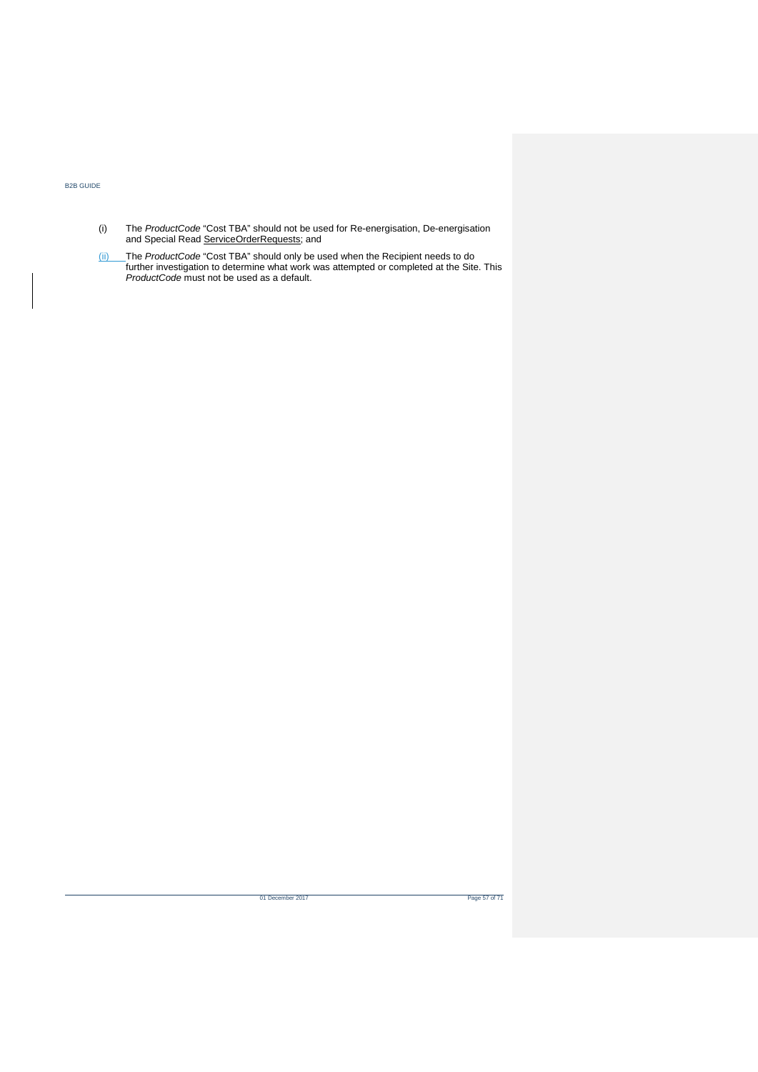- (i) The *ProductCode* "Cost TBA" should not be used for Re-energisation, De-energisation and Special Read ServiceOrderRequests; and
- (ii) The *ProductCode* "Cost TBA" should only be used when the Recipient needs to do further investigation to determine what work was attempted or completed at the Site. This *ProductCode* must not be used as a default.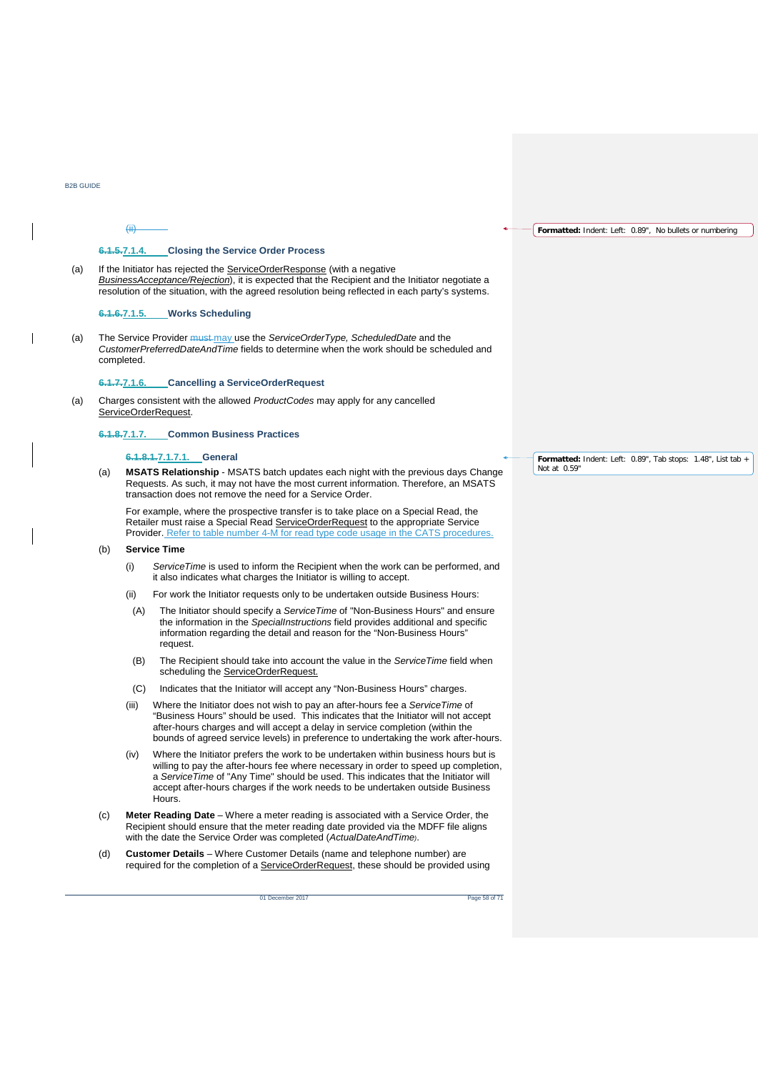$(ii)$ 

| Formatted: Indent: Left: 0.89", No bullets or numbering |  |
|---------------------------------------------------------|--|

#### **6.1.5.7.1.4. Closing the Service Order Process**

(a) If the Initiator has rejected the ServiceOrderResponse (with a negative *BusinessAcceptance/Rejection*), it is expected that the Recipient and the Initiator negotiate a resolution of the situation, with the agreed resolution being reflected in each party's systems.

**6.1.6.7.1.5. Works Scheduling**

(a) The Service Provider must may use the *ServiceOrderType, ScheduledDate* and the *CustomerPreferredDateAndTime* fields to determine when the work should be scheduled and completed.

# **6.1.7.7.1.6. Cancelling a ServiceOrderRequest**

(a) Charges consistent with the allowed *ProductCodes* may apply for any cancelled ServiceOrderRequest.

#### **6.1.8.7.1.7. Common Business Practices**

#### **6.1.8.1.7.1.7.1. General**

(a) **MSATS Relationship** - MSATS batch updates each night with the previous days Change Requests. As such, it may not have the most current information. Therefore, an MSATS transaction does not remove the need for a Service Order.

For example, where the prospective transfer is to take place on a Special Read, the Retailer must raise a Special Read ServiceOrderRequest to the appropriate Service Provider. Refer to table number 4-M for read type code usage in the CATS procedures.

#### (b) **Service Time**

- (i) *ServiceTime* is used to inform the Recipient when the work can be performed, and it also indicates what charges the Initiator is willing to accept.
- (ii) For work the Initiator requests only to be undertaken outside Business Hours:
- (A) The Initiator should specify a *ServiceTime* of "Non-Business Hours" and ensure the information in the *SpecialInstructions* field provides additional and specific information regarding the detail and reason for the "Non-Business Hours" request.
- (B) The Recipient should take into account the value in the *ServiceTime* field when scheduling the ServiceOrderRequest.
- (C) Indicates that the Initiator will accept any "Non-Business Hours" charges.
- (iii) Where the Initiator does not wish to pay an after-hours fee a *ServiceTime* of "Business Hours" should be used. This indicates that the Initiator will not accept after-hours charges and will accept a delay in service completion (within the bounds of agreed service levels) in preference to undertaking the work after-hours.
- (iv) Where the Initiator prefers the work to be undertaken within business hours but is willing to pay the after-hours fee where necessary in order to speed up completion, a *ServiceTime* of "Any Time" should be used. This indicates that the Initiator will accept after-hours charges if the work needs to be undertaken outside Business **Hours**
- (c) **Meter Reading Date**  Where a meter reading is associated with a Service Order, the Recipient should ensure that the meter reading date provided via the MDFF file aligns with the date the Service Order was completed (*ActualDateAndTime)*.
- (d) **Customer Details**  Where Customer Details (name and telephone number) are required for the completion of a ServiceOrderRequest, these should be provided using

**Formatted:** Indent: Left: 0.89", Tab stops: 1.48", List tab + Not at 0.59"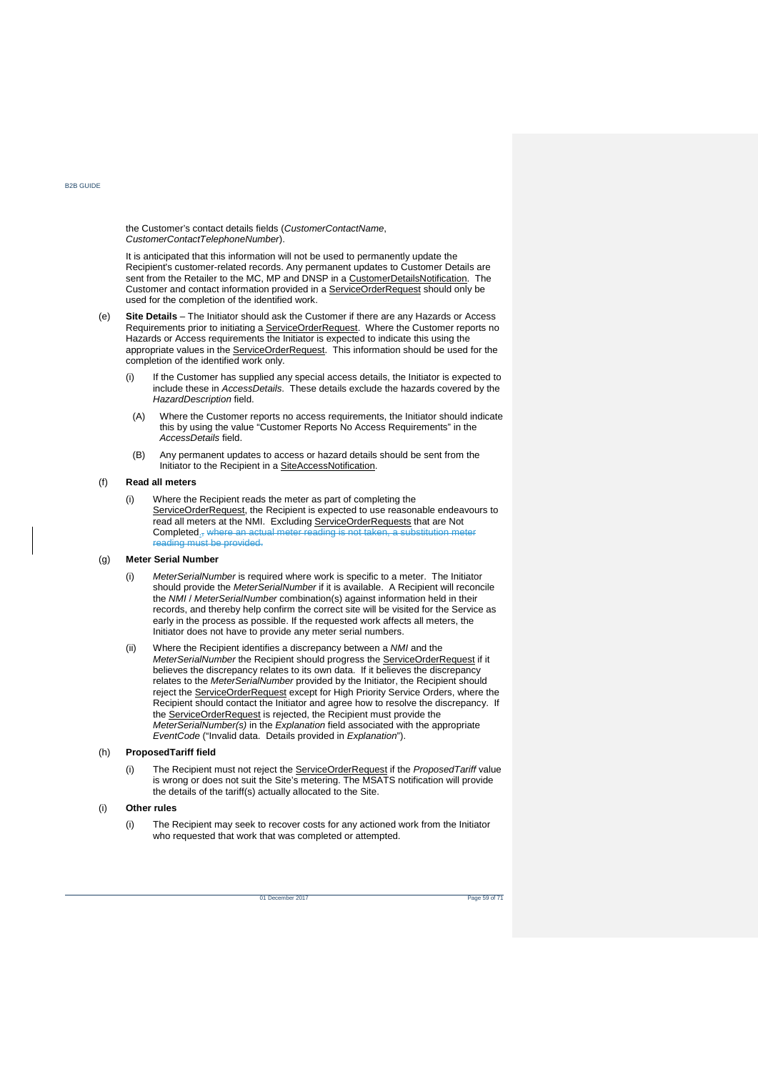the Customer's contact details fields (*CustomerContactName*, *CustomerContactTelephoneNumber*).

It is anticipated that this information will not be used to permanently update the Recipient's customer-related records. Any permanent updates to Customer Details are sent from the Retailer to the MC, MP and DNSP in a <u>CustomerDetailsNotification</u>. The Customer and contact information provided in a ServiceOrderRequest should only be used for the completion of the identified work.

- (e) **Site Details**  The Initiator should ask the Customer if there are any Hazards or Access Requirements prior to initiating a ServiceOrderRequest. Where the Customer reports no Hazards or Access requirements the Initiator is expected to indicate this using the appropriate values in the **ServiceOrderRequest**. This information should be used for the completion of the identified work only.
	- (i) If the Customer has supplied any special access details, the Initiator is expected to include these in *AccessDetails*. These details exclude the hazards covered by the *HazardDescription* field.
	- (A) Where the Customer reports no access requirements, the Initiator should indicate this by using the value "Customer Reports No Access Requirements" in the *AccessDetails* field.
	- (B) Any permanent updates to access or hazard details should be sent from the Initiator to the Recipient in a SiteAccessNotification.

#### (f) **Read all meters**

(i) Where the Recipient reads the meter as part of completing the ServiceOrderRequest, the Recipient is expected to use reasonable endeavours to read all meters at the NMI. Excluding ServiceOrderRequests that are Not Completed.<sub>J</sub> where an actual meter reading is not taken, a subling must be provided.

#### (g) **Meter Serial Number**

- (i) *MeterSerialNumber* is required where work is specific to a meter. The Initiator should provide the *MeterSerialNumber* if it is available. A Recipient will reconcile the *NMI* / *MeterSerialNumber* combination(s) against information held in their records, and thereby help confirm the correct site will be visited for the Service as early in the process as possible. If the requested work affects all meters, the Initiator does not have to provide any meter serial numbers.
- (ii) Where the Recipient identifies a discrepancy between a *NMI* and the *MeterSerialNumber* the Recipient should progress the ServiceOrderRequest if it believes the discrepancy relates to its own data. If it believes the discrepancy relates to the *MeterSerialNumber* provided by the Initiator, the Recipient should reject the ServiceOrderRequest except for High Priority Service Orders, where the Recipient should contact the Initiator and agree how to resolve the discrepancy. If the ServiceOrderRequest is rejected, the Recipient must provide the *MeterSerialNumber(s)* in the *Explanation* field associated with the appropriate *EventCode* ("Invalid data. Details provided in *Explanation*").

#### (h) **ProposedTariff field**

(i) The Recipient must not reject the ServiceOrderRequest if the *ProposedTariff* value is wrong or does not suit the Site's metering. The MSATS notification will provide the details of the tariff(s) actually allocated to the Site.

#### (i) **Other rules**

(i) The Recipient may seek to recover costs for any actioned work from the Initiator who requested that work that was completed or attempted.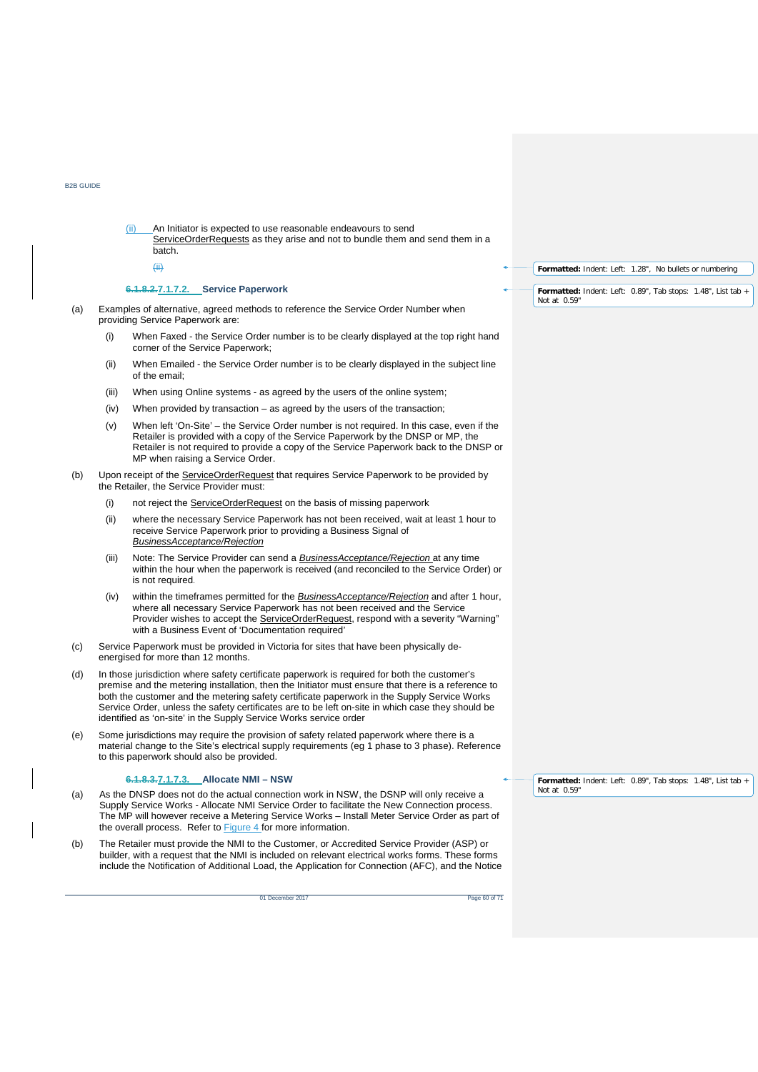An Initiator is expected to use reasonable endeavours to send ServiceOrderRequests as they arise and not to bundle them and send them in a batch.

 $(H<sup>i</sup>)$ 

#### **6.1.8.2.7.1.7.2. Service Paperwork**

- (a) Examples of alternative, agreed methods to reference the Service Order Number when providing Service Paperwork are:
	- (i) When Faxed the Service Order number is to be clearly displayed at the top right hand corner of the Service Paperwork;
	- (ii) When Emailed the Service Order number is to be clearly displayed in the subject line of the email;
	- (iii) When using Online systems as agreed by the users of the online system;
	- (iv) When provided by transaction as agreed by the users of the transaction;
	- (v) When left 'On-Site' the Service Order number is not required. In this case, even if the Retailer is provided with a copy of the Service Paperwork by the DNSP or MP, the Retailer is not required to provide a copy of the Service Paperwork back to the DNSP or MP when raising a Service Order.
- (b) Upon receipt of the ServiceOrderRequest that requires Service Paperwork to be provided by the Retailer, the Service Provider must:
	- (i) not reject the ServiceOrderRequest on the basis of missing paperwork
	- (ii) where the necessary Service Paperwork has not been received, wait at least 1 hour to receive Service Paperwork prior to providing a Business Signal of *BusinessAcceptance/Rejection*
	- (iii) Note: The Service Provider can send a *BusinessAcceptance/Rejection* at any time within the hour when the paperwork is received (and reconciled to the Service Order) or is not required.
	- (iv) within the timeframes permitted for the *BusinessAcceptance/Rejection* and after 1 hour, where all necessary Service Paperwork has not been received and the Service Provider wishes to accept the **ServiceOrderRequest**, respond with a severity "Warning" with a Business Event of 'Documentation required'
- (c) Service Paperwork must be provided in Victoria for sites that have been physically deenergised for more than 12 months.
- (d) In those jurisdiction where safety certificate paperwork is required for both the customer's premise and the metering installation, then the Initiator must ensure that there is a reference to both the customer and the metering safety certificate paperwork in the Supply Service Works Service Order, unless the safety certificates are to be left on-site in which case they should be identified as 'on-site' in the Supply Service Works service order
- (e) Some jurisdictions may require the provision of safety related paperwork where there is a material change to the Site's electrical supply requirements (eg 1 phase to 3 phase). Reference to this paperwork should also be provided.

#### **6.1.8.3.7.1.7.3. Allocate NMI – NSW**

- (a) As the DNSP does not do the actual connection work in NSW, the DSNP will only receive a Supply Service Works - Allocate NMI Service Order to facilitate the New Connection process. The MP will however receive a Metering Service Works – Install Meter Service Order as part of the overall process. Refer to [Figure 4](#page-24-0) for more information.
- (b) The Retailer must provide the NMI to the Customer, or Accredited Service Provider (ASP) or builder, with a request that the NMI is included on relevant electrical works forms. These forms include the Notification of Additional Load, the Application for Connection (AFC), and the Notice

01 December 2017 Page 60 of 71

**Formatted:** Indent: Left: 0.89", Tab stops: 1.48", List tab + Not at 0.59"

**Formatted:** Indent: Left: 1.28", No bullets or numbering **Formatted:** Indent: Left: 0.89", Tab stops: 1.48", List tab + Not at 0.59"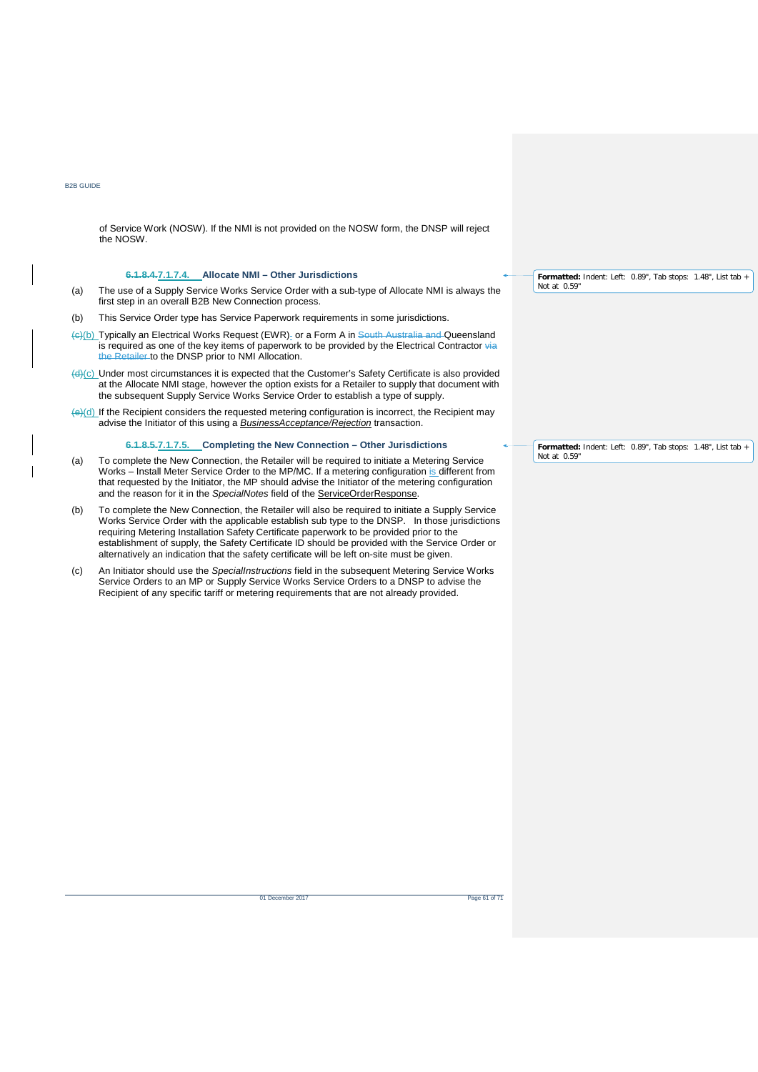of Service Work (NOSW). If the NMI is not provided on the NOSW form, the DNSP will reject the NOSW.

#### **6.1.8.4.7.1.7.4. Allocate NMI – Other Jurisdictions**

- (a) The use of a Supply Service Works Service Order with a sub-type of Allocate NMI is always the first step in an overall B2B New Connection process.
- (b) This Service Order type has Service Paperwork requirements in some jurisdictions.
- (e)(b) Typically an Electrical Works Request (EWR) or a Form A in South Australia and Queensland is required as one of the key items of paperwork to be provided by the Electrical Contractor  $\frac{1}{2}$ the Retailer to the DNSP prior to NMI Allocation.
- (d)(c) Under most circumstances it is expected that the Customer's Safety Certificate is also provided at the Allocate NMI stage, however the option exists for a Retailer to supply that document with the subsequent Supply Service Works Service Order to establish a type of supply.
- $\left\{\theta\right\}\right]$  If the Recipient considers the requested metering configuration is incorrect, the Recipient may advise the Initiator of this using a *BusinessAcceptance/Rejection* transaction.

#### **6.1.8.5.7.1.7.5. Completing the New Connection – Other Jurisdictions**

- (a) To complete the New Connection, the Retailer will be required to initiate a Metering Service Works – Install Meter Service Order to the MP/MC. If a metering configuration is different from that requested by the Initiator, the MP should advise the Initiator of the metering configuration and the reason for it in the *SpecialNotes* field of the ServiceOrderResponse.
- (b) To complete the New Connection, the Retailer will also be required to initiate a Supply Service Works Service Order with the applicable establish sub type to the DNSP. In those jurisdictions requiring Metering Installation Safety Certificate paperwork to be provided prior to the establishment of supply, the Safety Certificate ID should be provided with the Service Order or alternatively an indication that the safety certificate will be left on-site must be given.
- (c) An Initiator should use the *SpecialInstructions* field in the subsequent Metering Service Works Service Orders to an MP or Supply Service Works Service Orders to a DNSP to advise the Recipient of any specific tariff or metering requirements that are not already provided.

**Formatted:** Indent: Left: 0.89", Tab stops: 1.48", List tab + Not at 0.59

**Formatted:** Indent: Left: 0.89", Tab stops: 1.48", List tab + Not at 0.59"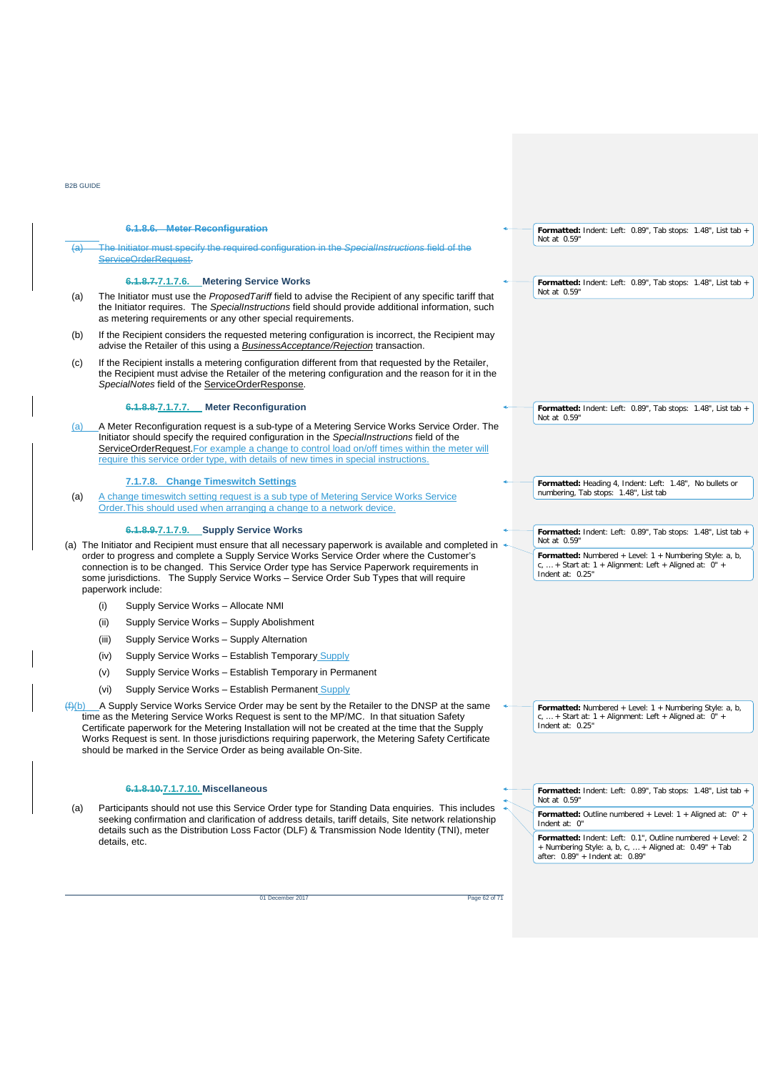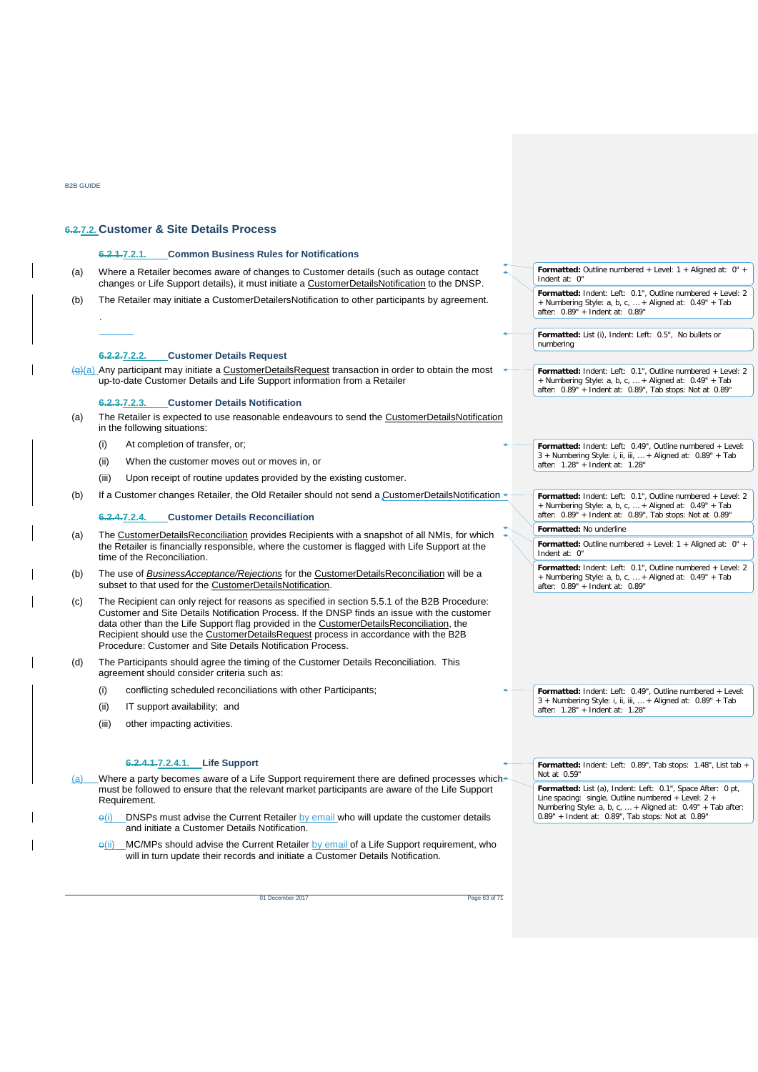.

# <span id="page-62-0"></span>**6.2.7.2. Customer & Site Details Process**

#### **6.2.1.7.2.1. Common Business Rules for Notifications**

- (a) Where a Retailer becomes aware of changes to Customer details (such as outage contact changes or Life Support details), it must initiate a CustomerDetailsNotification to the DNSP. **Formatted:** Outline numbered + Level: 1 + Aligned at: 0" + Indent at: 0" **Formatted:** Indent: Left: 0.1", Outline numbered + Level: 2
- (b) The Retailer may initiate a CustomerDetailersNotification to other participants by agreement.

# **6.2.2.7.2.2. Customer Details Request**

#### (g)(a) Any participant may initiate a CustomerDetailsRequest transaction in order to obtain the most up-to-date Customer Details and Life Support information from a Retailer

#### **6.2.3.7.2.3. Customer Details Notification**

- (a) The Retailer is expected to use reasonable endeavours to send the CustomerDetailsNotification in the following situations:
	- (i) At completion of transfer, or;
	- (ii) When the customer moves out or moves in, or
	- (iii) Upon receipt of routine updates provided by the existing customer.
- (b) If a Customer changes Retailer, the Old Retailer should not send a CustomerDetailsNotification

# **6.2.4.7.2.4. Customer Details Reconciliation**

- (a) The CustomerDetailsReconciliation provides Recipients with a snapshot of all NMIs, for which the Retailer is financially responsible, where the customer is flagged with Life Support at the time of the Reconciliation.
- (b) The use of *BusinessAcceptance/Rejections* for the CustomerDetailsReconciliation will be a subset to that used for the CustomerDetailsNotification.
- (c) The Recipient can only reject for reasons as specified in section 5.5.1 of the B2B Procedure: Customer and Site Details Notification Process. If the DNSP finds an issue with the customer data other than the Life Support flag provided in the CustomerDetailsReconciliation, the Recipient should use the CustomerDetailsRequest process in accordance with the B2B Procedure: Customer and Site Details Notification Process.
- (d) The Participants should agree the timing of the Customer Details Reconciliation. This agreement should consider criteria such as:
	- (i) conflicting scheduled reconciliations with other Participants;
	- (ii) IT support availability; and
	- (iii) other impacting activities.

#### **6.2.4.1.7.2.4.1. Life Support**

- (a) Where a party becomes aware of a Life Support requirement there are defined processes which must be followed to ensure that the relevant market participants are aware of the Life Support Requirement.
	- $\Theta(i)$  DNSPs must advise the Current Retailer by email who will update the customer details and initiate a Customer Details Notification.
	- $\frac{\Theta(i)}{i}$  MC/MPs should advise the Current Retailer by email of a Life Support requirement, who will in turn update their records and initiate a Customer Details Notification.

01 December 2017

|--|

**Formatted:** Indent: Left: 0.49", Outline numbered + Level: 3 + Numbering Style: i, ii, iii, … + Aligned at: 0.89" + Tab after: 1.28" + Indent at: 1.28"

**Formatted:** Indent: Left: 0.1", Outline numbered + Level: 2 + Numbering Style: a, b, c, … + Aligned at: 0.49" + Tab after: 0.89" + Indent at: 0.89", Tab stops: Not at 0.89"

+ Numbering Style: a, b, c, … + Aligned at: 0.49" + Tab after: 0.89" + Indent at: 0.89"

**Formatted:** List (i), Indent: Left: 0.5", No bullets or

**Formatted:** Indent: Left: 0.1", Outline numbered + Level: 2 + Numbering Style: a, b, c, … + Aligned at: 0.49" + Tab after: 0.89" + Indent at: 0.89", Tab stops: Not at 0.89"

**Formatted:** No underline

numbering

**Formatted:** Outline numbered + Level: 1 + Aligned at: 0" + Indent at: 0"

Formatted: Indent: Left: 0.1", Outline numbered + Level: 2<br>+ Numbering Style: a, b, c, ... + Aligned at: 0.49" + Tab<br>after: 0.89" + Indent at: 0.89"

**Formatted:** Indent: Left: 0.49", Outline numbered + Level: 3 + Numbering Style: i, ii, iii, … + Aligned at: 0.89" + Tab after: 1.28" + Indent at: 1.28"

**Formatted:** Indent: Left: 0.89", Tab stops: 1.48", List tab + Not at 0.59"

**Formatted:** List (a), Indent: Left: 0.1", Space After: 0 pt,<br>Line spacing: single, Outline numbered + Level: 2 +<br>Numbering Style: a, b, c, ... + Aligned at: 0.49" + Tab after:<br>0.89" + Indent at: 0.89", Tab stops: Not at 0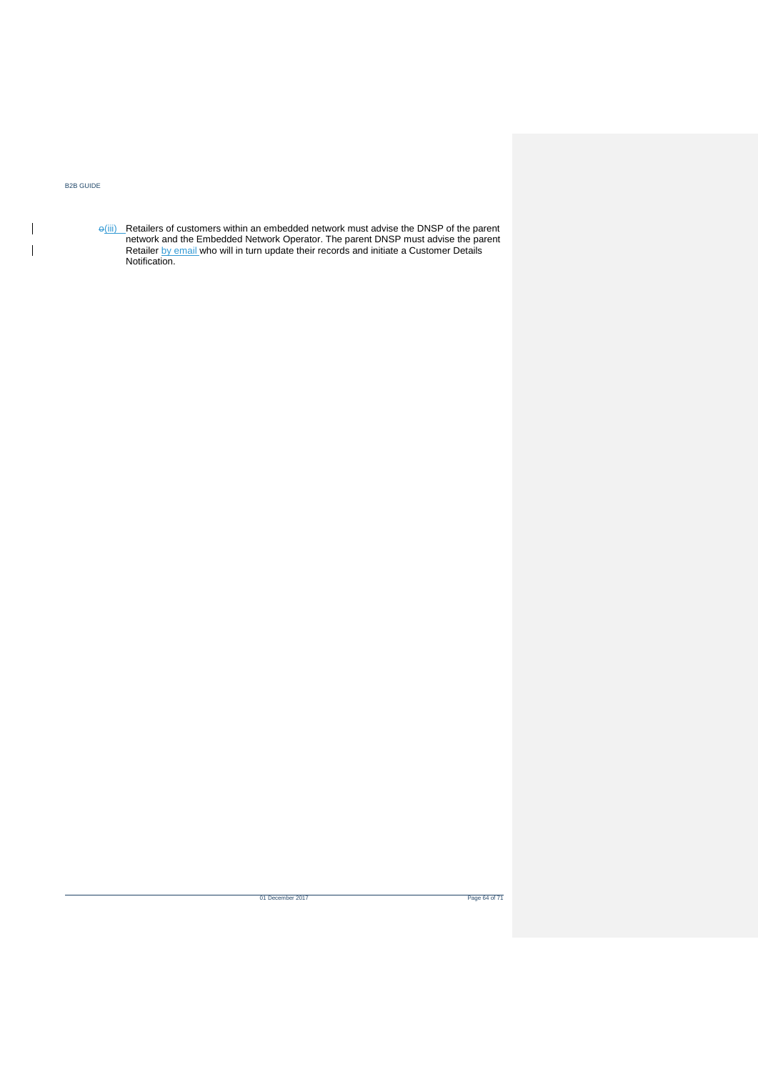$\overline{\phantom{a}}$  $\overline{\phantom{a}}$ 

o(iii) Retailers of customers within an embedded network must advise the DNSP of the parent network and the Embedded Network Operator. The parent DNSP must advise the parent Retailer **by email who will in turn update their records** and initiate a Customer Details Notification.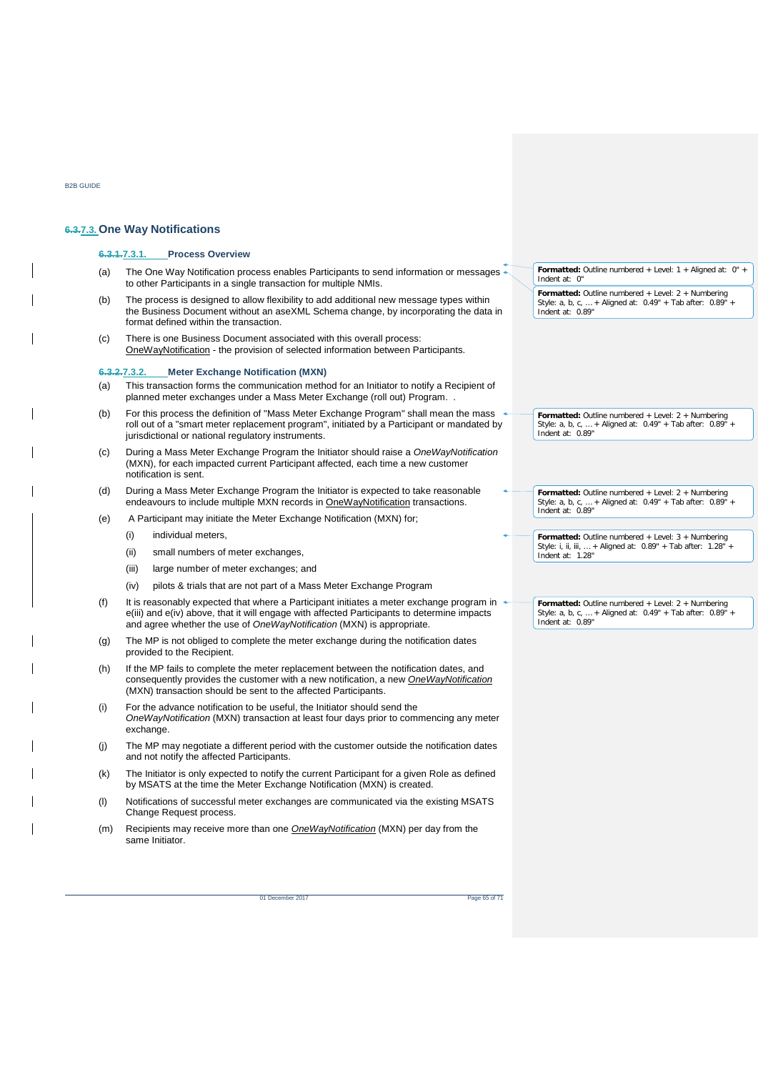# <span id="page-64-0"></span>**6.3.7.3. One Way Notifications**

## **6.3.1.7.3.1. Process Overview**

- (a) The One Way Notification process enables Participants to send information or messages to other Participants in a single transaction for multiple NMIs.
- (b) The process is designed to allow flexibility to add additional new message types within the Business Document without an aseXML Schema change, by incorporating the data in format defined within the transaction.
- (c) There is one Business Document associated with this overall process: OneWayNotification - the provision of selected information between Participants.

#### **6.3.2.7.3.2. Meter Exchange Notification (MXN)**

- (a) This transaction forms the communication method for an Initiator to notify a Recipient of planned meter exchanges under a Mass Meter Exchange (roll out) Program. .
- (b) For this process the definition of "Mass Meter Exchange Program" shall mean the mass roll out of a "smart meter replacement program", initiated by a Participant or mandated by jurisdictional or national regulatory instruments.
- (c) During a Mass Meter Exchange Program the Initiator should raise a *OneWayNotification* (MXN), for each impacted current Participant affected, each time a new customer notification is sent.
- (d) During a Mass Meter Exchange Program the Initiator is expected to take reasonable endeavours to include multiple MXN records in OneWayNotification transactions.
- (e) A Participant may initiate the Meter Exchange Notification (MXN) for;
	- (i) individual meters,
	- (ii) small numbers of meter exchanges,
	- (iii) large number of meter exchanges; and
	- (iv) pilots & trials that are not part of a Mass Meter Exchange Program
- (f) It is reasonably expected that where a Participant initiates a meter exchange program in e(iii) and e(iv) above, that it will engage with affected Participants to determine impacts and agree whether the use of *OneWayNotification* (MXN) is appropriate.
- (g) The MP is not obliged to complete the meter exchange during the notification dates provided to the Recipient.
- (h) If the MP fails to complete the meter replacement between the notification dates, and consequently provides the customer with a new notification, a new *OneWayNotification* (MXN) transaction should be sent to the affected Participants.
- (i) For the advance notification to be useful, the Initiator should send the *OneWayNotification* (MXN) transaction at least four days prior to commencing any meter exchange.
- (j) The MP may negotiate a different period with the customer outside the notification dates and not notify the affected Participants.
- (k) The Initiator is only expected to notify the current Participant for a given Role as defined by MSATS at the time the Meter Exchange Notification (MXN) is created.
- (l) Notifications of successful meter exchanges are communicated via the existing MSATS Change Request process.
- (m) Recipients may receive more than one *OneWayNotification* (MXN) per day from the same Initiator.

**Formatted:** Outline numbered + Level: 1 + Aligned at: 0" + Indent at: 0"

**Formatted:** Outline numbered + Level: 2 + Numbering Style: a, b, c, … + Aligned at: 0.49" + Tab after: 0.89" + Indent at: 0.89"

**Formatted:** Outline numbered + Level: 2 + Numbering Style: a, b, c, … + Aligned at: 0.49" + Tab after: 0.89" + Indent at: 0.89"

**Formatted:** Outline numbered + Level: 2 + Numbering Style: a, b, c, … + Aligned at: 0.49" + Tab after: 0.89" + Indent at: 0.89"

**Formatted:** Outline numbered + Level: 3 + Numbering<br>Style: i, ii, iii, ... + Aligned at: 0.89" + Tab after: 1.28" +<br>Indent at: 1.28"

**Formatted:** Outline numbered + Level: 2 + Numbering<br>Style: a, b, c, ... + Aligned at: 0.49" + Tab after: 0.89" +<br>Indent at: 0.89"

of December 2017 Page 65 of 71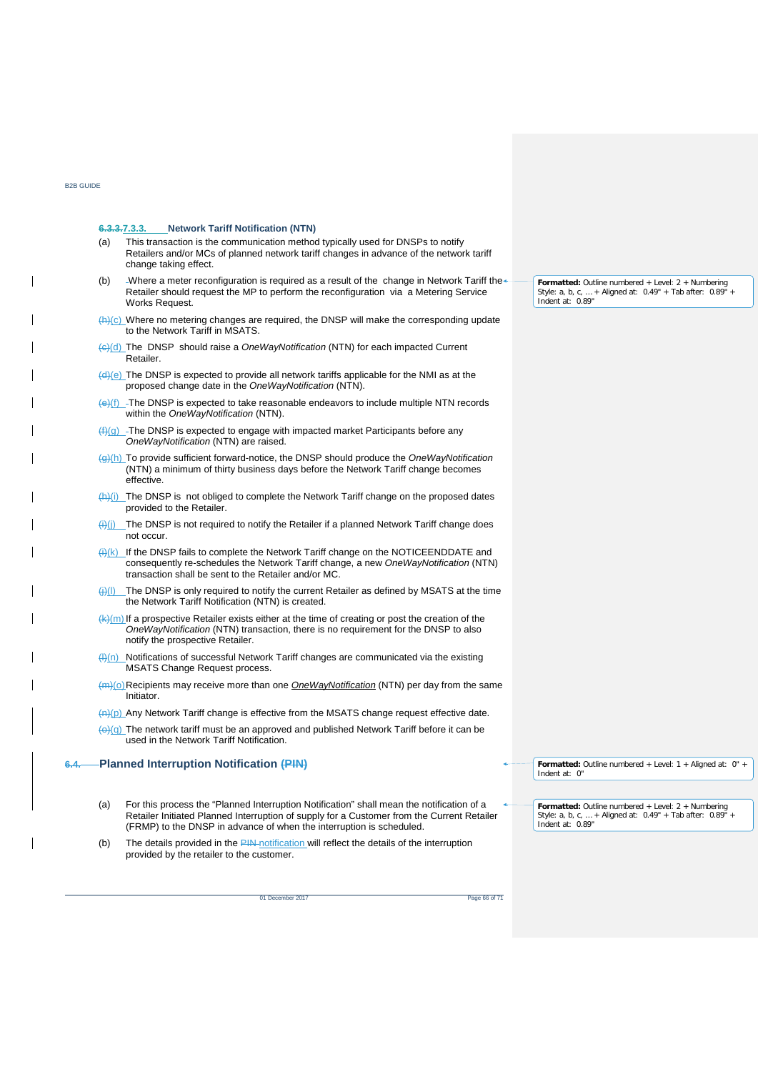# **6.3.3.7.3.3. Network Tariff Notification (NTN)**

- (a) This transaction is the communication method typically used for DNSPs to notify Retailers and/or MCs of planned network tariff changes in advance of the network tariff change taking effect.
- (b) Where a meter reconfiguration is required as a result of the change in Network Tariff the Retailer should request the MP to perform the reconfiguration via a Metering Service Works Request.
- (h)(c) Where no metering changes are required, the DNSP will make the corresponding update to the Network Tariff in MSATS.
- (c)(d) The DNSP should raise a *OneWayNotification* (NTN) for each impacted Current Retailer.
- $(d)(e)$  The DNSP is expected to provide all network tariffs applicable for the NMI as at the proposed change date in the *OneWayNotification* (NTN).
- $\frac{e^{-(t)}}{t}$  The DNSP is expected to take reasonable endeavors to include multiple NTN records within the *OneWayNotification* (NTN).
- $(f)(g)$  -The DNSP is expected to engage with impacted market Participants before any *OneWayNotification* (NTN) are raised.
- (g)(h) To provide sufficient forward-notice, the DNSP should produce the *OneWayNotification* (NTN) a minimum of thirty business days before the Network Tariff change becomes effective.
- $(h)(i)$  The DNSP is not obliged to complete the Network Tariff change on the proposed dates provided to the Retailer.
- $(i)$  The DNSP is not required to notify the Retailer if a planned Network Tariff change does not occur.
- (i)(k) If the DNSP fails to complete the Network Tariff change on the NOTICEENDDATE and consequently re-schedules the Network Tariff change, a new *OneWayNotification* (NTN) transaction shall be sent to the Retailer and/or MC.
- $(f)(I)$  The DNSP is only required to notify the current Retailer as defined by MSATS at the time the Network Tariff Notification (NTN) is created.
- $(k)(m)$  If a prospective Retailer exists either at the time of creating or post the creation of the *OneWayNotification* (NTN) transaction, there is no requirement for the DNSP to also notify the prospective Retailer.
- $(H)(n)$  Notifications of successful Network Tariff changes are communicated via the existing MSATS Change Request process.
- (m)(o)Recipients may receive more than one *OneWayNotification* (NTN) per day from the same Initiator.
- (n)(p) Any Network Tariff change is effective from the MSATS change request effective date.
- (o)(q) The network tariff must be an approved and published Network Tariff before it can be used in the Network Tariff Notification.

## <span id="page-65-0"></span>**6.4. Planned Interruption Notification (PIN)**

- (a) For this process the "Planned Interruption Notification" shall mean the notification of a Retailer Initiated Planned Interruption of supply for a Customer from the Current Retailer (FRMP) to the DNSP in advance of when the interruption is scheduled.
- (b) The details provided in the PIN notification will reflect the details of the interruption provided by the retailer to the customer.

01 December 2017 Page 66 of 71

**Formatted:** Outline numbered + Level: 2 + Numbering Style: a, b, c, … + Aligned at: 0.49" + Tab after: 0.89" + Indent at: 0.89"

**Formatted:** Outline numbered + Level: 1 + Aligned at: 0" + Indent at: 0"

**Formatted:** Outline numbered + Level: 2 + Numbering<br>Style: a, b, c, ... + Aligned at: 0.49" + Tab after: 0.89" +<br>Indent at: 0.89"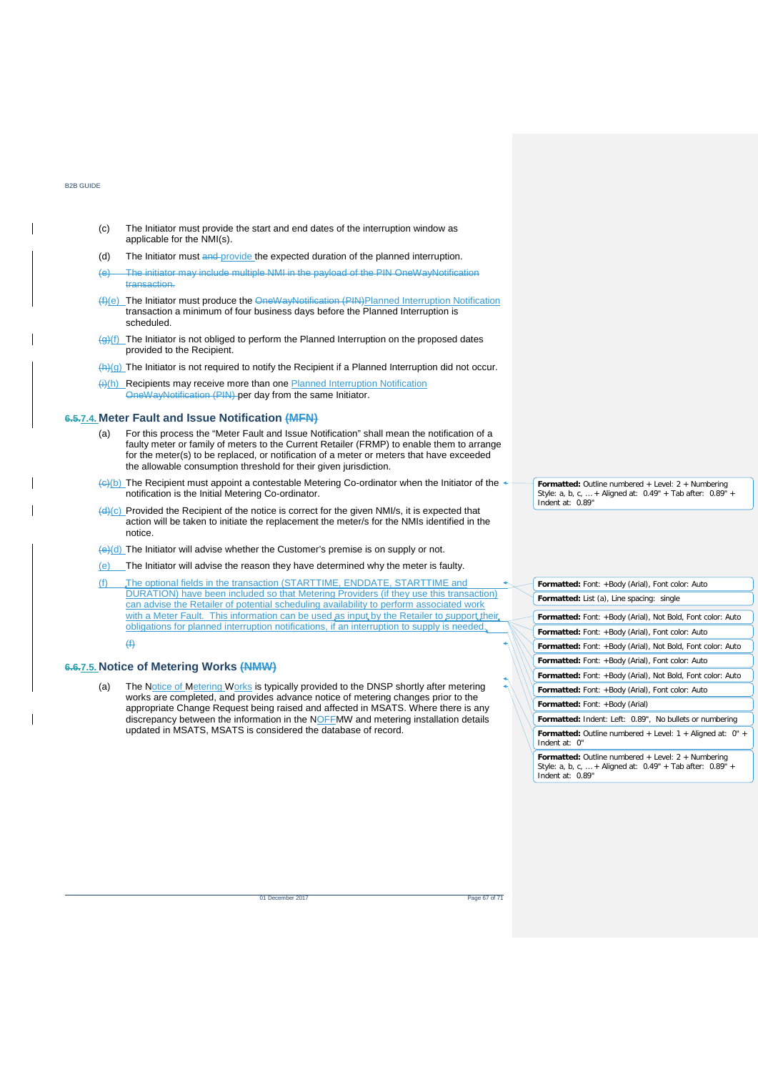- (c) The Initiator must provide the start and end dates of the interruption window as applicable for the NMI(s).
- (d) The Initiator must and provide the expected duration of the planned interruption.
- (e) The initiator may include multiple NMI in the payload of the PIN OneWayNotification transaction
- (f)(e) The Initiator must produce the OneWayNotification (PIN)Planned Interruption Notification transaction a minimum of four business days before the Planned Interruption is scheduled.
- $(g)(f)$  The Initiator is not obliged to perform the Planned Interruption on the proposed dates provided to the Recipient.
- $(h)(q)$  The Initiator is not required to notify the Recipient if a Planned Interruption did not occur.

(i)(h) Recipients may receive more than one **Planned Interruption Notification** ayNotification (PIN) per day from the same Initiator.

## <span id="page-66-0"></span>**6.5.7.4. Meter Fault and Issue Notification (MFN)**

- (a) For this process the "Meter Fault and Issue Notification" shall mean the notification of a faulty meter or family of meters to the Current Retailer (FRMP) to enable them to arrange for the meter(s) to be replaced, or notification of a meter or meters that have exceeded the allowable consumption threshold for their given jurisdiction.
- $(6)$  The Recipient must appoint a contestable Metering Co-ordinator when the Initiator of the notification is the Initial Metering Co-ordinator.
- $(d)(c)$  Provided the Recipient of the notice is correct for the given NMI/s, it is expected that action will be taken to initiate the replacement the meter/s for the NMIs identified in the notice.

 $\left(\frac{e}{d}\right)$  The Initiator will advise whether the Customer's premise is on supply or not.

(e) The Initiator will advise the reason they have determined why the meter is faulty.

(f) The optional fields in the transaction (STARTTIME, ENDDATE, STARTTIME and DURATION) have been included so that Metering Providers (if they use this transaction) can advise the Retailer of potential scheduling availability to perform associated work with a Meter Fault. This information can be used as input by the Retailer to support their obligations for planned interruption notifications, if an interruption to supply is needed.

# (f)

# <span id="page-66-1"></span>**6.6.7.5. Notice of Metering Works (NMW)**

(a) The Notice of Metering Works is typically provided to the DNSP shortly after metering works are completed, and provides advance notice of metering changes prior to the appropriate Change Request being raised and affected in MSATS. Where there is any discrepancy between the information in the NOFFMW and metering installation details updated in MSATS, MSATS is considered the database of record.

**Formatted:** Outline numbered + Level: 2 + Numbering<br>Style: a, b, c, ... + Aligned at: 0.49" + Tab after: 0.89" +<br>Indent at: 0.89"

of December 2017 Page 67 of 71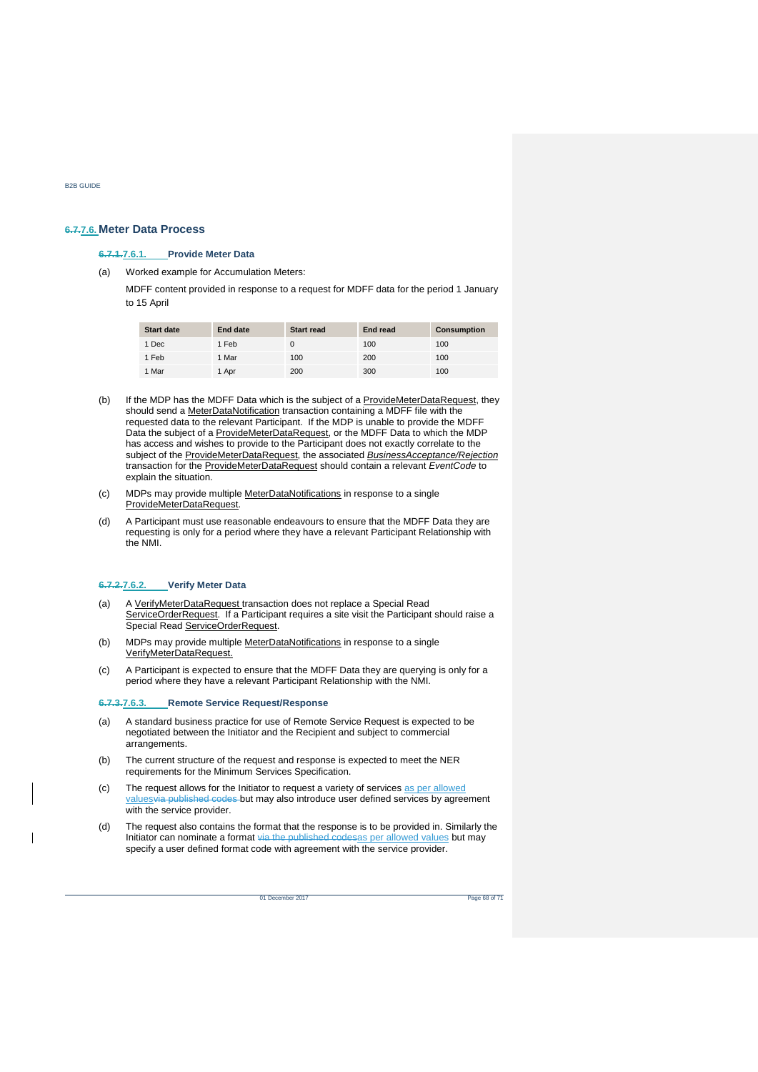# <span id="page-67-0"></span>**6.7.7.6. Meter Data Process**

# **6.7.1.7.6.1. Provide Meter Data**

(a) Worked example for Accumulation Meters:

MDFF content provided in response to a request for MDFF data for the period 1 January to 15 April

| <b>Start date</b> | End date | <b>Start read</b> | <b>End read</b> | <b>Consumption</b> |
|-------------------|----------|-------------------|-----------------|--------------------|
| 1 Dec             | 1 Feb    |                   | 100             | 100                |
| 1 Feb             | 1 Mar    | 100               | 200             | 100                |
| 1 Mar             | 1 Apr    | 200               | 300             | 100                |

- (b) If the MDP has the MDFF Data which is the subject of a ProvideMeterDataRequest, they should send a MeterDataNotification transaction containing a MDFF file with the requested data to the relevant Participant. If the MDP is unable to provide the MDFF Data the subject of a ProvideMeterDataRequest, or the MDFF Data to which the MDP has access and wishes to provide to the Participant does not exactly correlate to the subject of the ProvideMeterDataRequest, the associated *BusinessAcceptance/Rejection* transaction for the ProvideMeterDataRequest should contain a relevant *EventCode* to explain the situation.
- (c) MDPs may provide multiple MeterDataNotifications in response to a single ProvideMeterDataRequest.
- (d) A Participant must use reasonable endeavours to ensure that the MDFF Data they are requesting is only for a period where they have a relevant Participant Relationship with the NMI.

## **6.7.2.7.6.2. Verify Meter Data**

- (a) A VerifyMeterDataRequest transaction does not replace a Special Read ServiceOrderRequest. If a Participant requires a site visit the Participant should raise a Special Read ServiceOrderRequest.
- (b) MDPs may provide multiple MeterDataNotifications in response to a single VerifyMeterDataRequest.
- (c) A Participant is expected to ensure that the MDFF Data they are querying is only for a period where they have a relevant Participant Relationship with the NMI.

# **6.7.3.7.6.3. Remote Service Request/Response**

- (a) A standard business practice for use of Remote Service Request is expected to be negotiated between the Initiator and the Recipient and subject to commercial arrangements.
- (b) The current structure of the request and response is expected to meet the NER requirements for the Minimum Services Specification.
- (c) The request allows for the Initiator to request a variety of services as per allowed valuesvia published codes but may also introduce user defined services by agreement with the service provider.
- (d) The request also contains the format that the response is to be provided in. Similarly the Initiator can nominate a format via the published codesas per allowed values but may specify a user defined format code with agreement with the service provider.

of December 2017 Page 68 of 71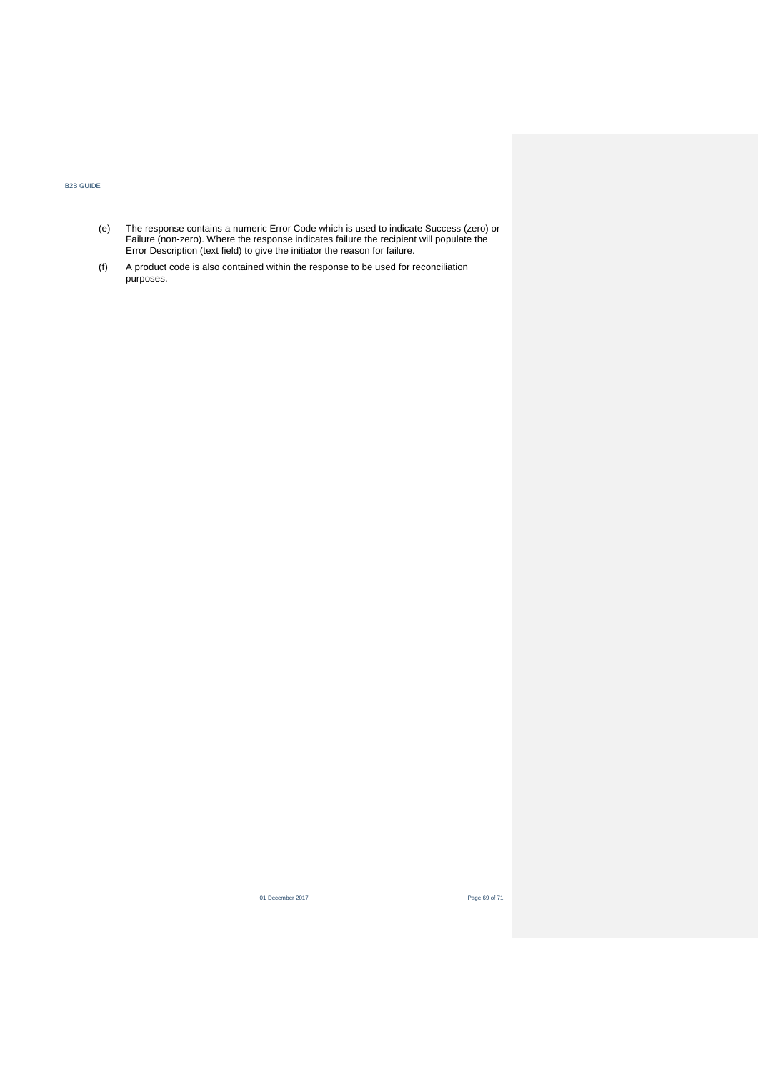- (e) The response contains a numeric Error Code which is used to indicate Success (zero) or Failure (non-zero). Where the response indicates failure the recipient will populate the Error Description (text field) to give the initiator the reason for failure.
- (f) A product code is also contained within the response to be used for reconciliation purposes.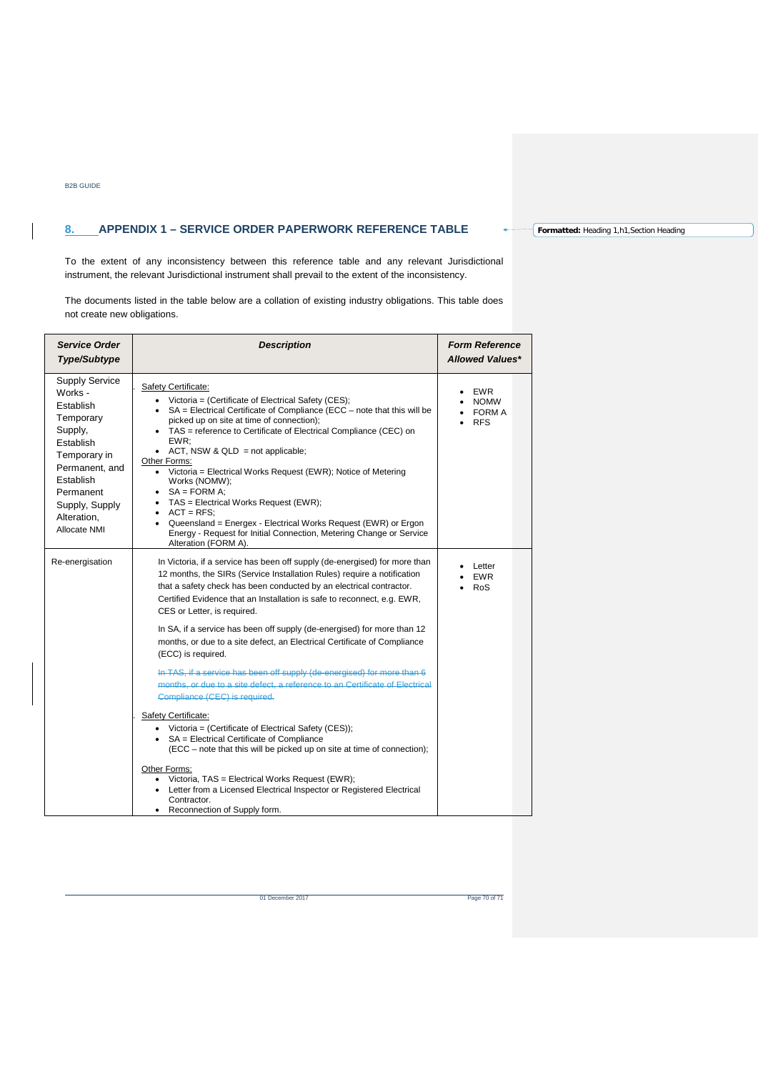# <span id="page-69-0"></span>**8. APPENDIX 1 – SERVICE ORDER PAPERWORK REFERENCE TABLE**

**Formatted:** Heading 1,h1,Section Heading

To the extent of any inconsistency between this reference table and any relevant Jurisdictional instrument, the relevant Jurisdictional instrument shall prevail to the extent of the inconsistency.

The documents listed in the table below are a collation of existing industry obligations. This table does not create new obligations.

| <b>Service Order</b><br><b>Type/Subtype</b>                                                                                                                                                     | <b>Description</b>                                                                                                                                                                                                                                                                                                                                                                                                                                                                                                                                                                                                                                                                               | <b>Form Reference</b><br><b>Allowed Values*</b>          |
|-------------------------------------------------------------------------------------------------------------------------------------------------------------------------------------------------|--------------------------------------------------------------------------------------------------------------------------------------------------------------------------------------------------------------------------------------------------------------------------------------------------------------------------------------------------------------------------------------------------------------------------------------------------------------------------------------------------------------------------------------------------------------------------------------------------------------------------------------------------------------------------------------------------|----------------------------------------------------------|
| <b>Supply Service</b><br>Works -<br>Establish<br>Temporary<br>Supply,<br>Establish<br>Temporary in<br>Permanent, and<br>Establish<br>Permanent<br>Supply, Supply<br>Alteration,<br>Allocate NMI | Safety Certificate:<br>• Victoria = (Certificate of Electrical Safety (CES);<br>• $SA = Electrical$ Certificate of Compliance (ECC – note that this will be<br>picked up on site at time of connection);<br>• TAS = reference to Certificate of Electrical Compliance (CEC) on<br>EWR:<br>• ACT, NSW & QLD = not applicable;<br>Other Forms:<br>• Victoria = Electrical Works Request (EWR); Notice of Metering<br>Works (NOMW);<br>$\bullet$ SA = FORM A;<br>• TAS = Electrical Works Request (EWR);<br>$\bullet$ ACT = RFS:<br>• Queensland = Energex - Electrical Works Request (EWR) or Ergon<br>Energy - Request for Initial Connection, Metering Change or Service<br>Alteration (FORM A). | <b>EWR</b><br><b>NOMW</b><br><b>FORM A</b><br><b>RFS</b> |
| Re-energisation                                                                                                                                                                                 | In Victoria, if a service has been off supply (de-energised) for more than<br>12 months, the SIRs (Service Installation Rules) require a notification<br>that a safety check has been conducted by an electrical contractor.<br>Certified Evidence that an Installation is safe to reconnect, e.g. EWR,<br>CES or Letter, is required.<br>In SA, if a service has been off supply (de-energised) for more than 12                                                                                                                                                                                                                                                                                | Letter<br><b>EWR</b><br>RoS                              |
|                                                                                                                                                                                                 | months, or due to a site defect, an Electrical Certificate of Compliance<br>(ECC) is required.<br>In TAS, if a service has been off supply (de-energised) for more than 6<br>months, or due to a site defect, a reference to an Certificate of Electrical<br>Compliance (CEC) is required.                                                                                                                                                                                                                                                                                                                                                                                                       |                                                          |
|                                                                                                                                                                                                 | Safety Certificate:<br>• Victoria = (Certificate of Electrical Safety (CES));<br>• SA = Electrical Certificate of Compliance<br>(ECC – note that this will be picked up on site at time of connection);                                                                                                                                                                                                                                                                                                                                                                                                                                                                                          |                                                          |
|                                                                                                                                                                                                 | Other Forms:<br>• Victoria, TAS = Electrical Works Request (EWR);<br>• Letter from a Licensed Electrical Inspector or Registered Electrical<br>Contractor.<br>• Reconnection of Supply form.                                                                                                                                                                                                                                                                                                                                                                                                                                                                                                     |                                                          |